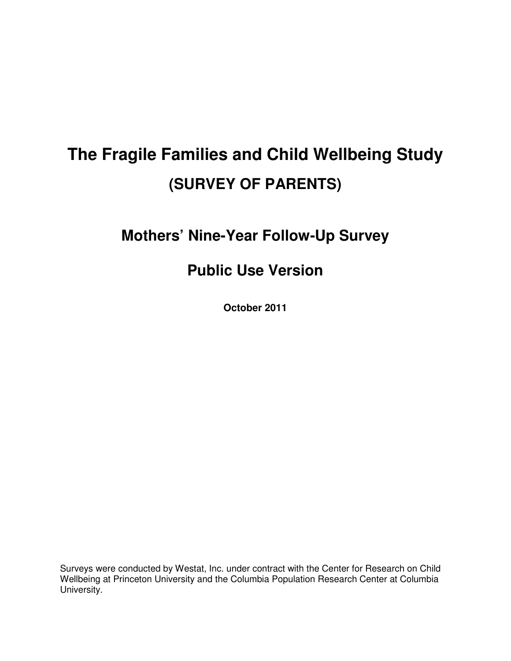# **The Fragile Families and Child Wellbeing Study (SURVEY OF PARENTS)**

## **Mothers' Nine-Year Follow-Up Survey**

## **Public Use Version**

**October 2011** 

Surveys were conducted by Westat, Inc. under contract with the Center for Research on Child Wellbeing at Princeton University and the Columbia Population Research Center at Columbia University.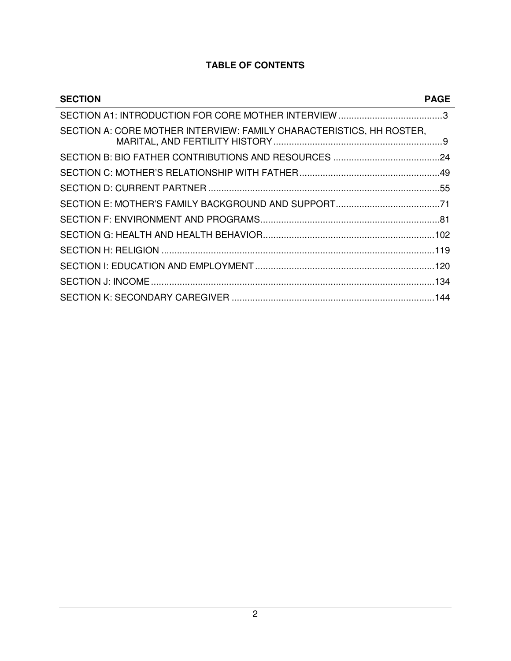## **TABLE OF CONTENTS**

 $\overline{a}$ 

| <b>SECTION</b>                                                       | <b>PAGE</b> |
|----------------------------------------------------------------------|-------------|
|                                                                      |             |
| SECTION A: CORE MOTHER INTERVIEW: FAMILY CHARACTERISTICS, HH ROSTER, |             |
|                                                                      |             |
|                                                                      |             |
|                                                                      |             |
|                                                                      |             |
|                                                                      |             |
|                                                                      |             |
|                                                                      |             |
|                                                                      |             |
|                                                                      |             |
|                                                                      |             |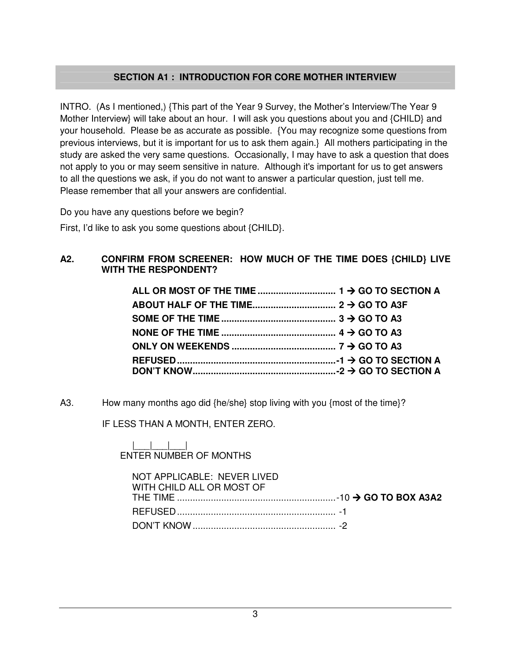## **SECTION A1 : INTRODUCTION FOR CORE MOTHER INTERVIEW**

INTRO. (As I mentioned,) {This part of the Year 9 Survey, the Mother's Interview/The Year 9 Mother Interview} will take about an hour. I will ask you questions about you and {CHILD} and your household. Please be as accurate as possible. {You may recognize some questions from previous interviews, but it is important for us to ask them again.} All mothers participating in the study are asked the very same questions. Occasionally, I may have to ask a question that does not apply to you or may seem sensitive in nature. Although it's important for us to get answers to all the questions we ask, if you do not want to answer a particular question, just tell me. Please remember that all your answers are confidential.

Do you have any questions before we begin?

First, I'd like to ask you some questions about {CHILD}.

#### **A2. CONFIRM FROM SCREENER: HOW MUCH OF THE TIME DOES {CHILD} LIVE WITH THE RESPONDENT?**

A3. How many months ago did {he/she} stop living with you {most of the time}?

IF LESS THAN A MONTH, ENTER ZERO.

#### |\_\_\_|\_\_\_|\_\_\_| ENTER NUMBER OF MONTHS

| NOT APPLICABLE: NEVER LIVED<br>WITH CHILD ALL OR MOST OF |  |
|----------------------------------------------------------|--|
|                                                          |  |
|                                                          |  |
|                                                          |  |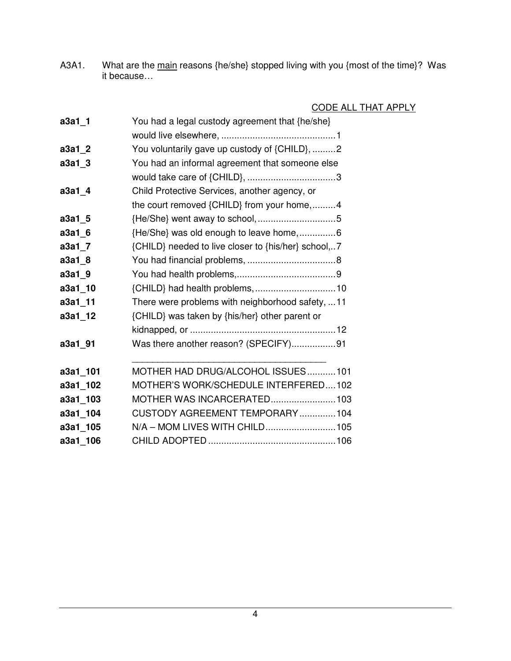A3A1. What are the main reasons {he/she} stopped living with you {most of the time}? Was it because…

## CODE ALL THAT APPLY

| a3a1_1   | You had a legal custody agreement that {he/she}     |
|----------|-----------------------------------------------------|
|          |                                                     |
| $a3a1_2$ | You voluntarily gave up custody of {CHILD}, 2       |
| a3a1_3   | You had an informal agreement that someone else     |
|          |                                                     |
| a3a1_4   | Child Protective Services, another agency, or       |
|          | the court removed {CHILD} from your home,4          |
| a3a1_5   |                                                     |
| a3a1 6   | {He/She} was old enough to leave home,6             |
| $a3a1-7$ | {CHILD} needed to live closer to {his/her} school,7 |
| $a3a1_8$ |                                                     |
| a3a1_9   |                                                     |
| a3a1_10  |                                                     |
| a3a1_11  | There were problems with neighborhood safety, 11    |
| a3a1_12  | {CHILD} was taken by {his/her} other parent or      |
|          |                                                     |
| a3a1_91  | Was there another reason? (SPECIFY)91               |
| a3a1_101 | MOTHER HAD DRUG/ALCOHOL ISSUES101                   |
| a3a1_102 | MOTHER'S WORK/SCHEDULE INTERFERED102                |
| a3a1_103 | MOTHER WAS INCARCERATED103                          |
| a3a1_104 | CUSTODY AGREEMENT TEMPORARY104                      |
| a3a1_105 | N/A - MOM LIVES WITH CHILD105                       |
| a3a1_106 |                                                     |
|          |                                                     |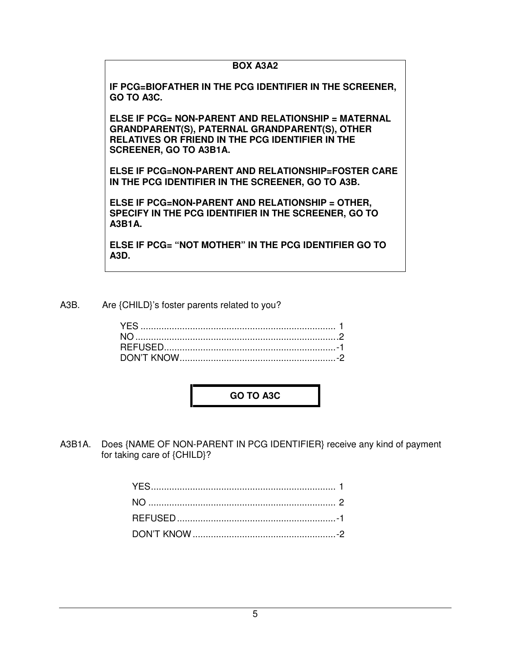#### **BOX A3A2**

**IF PCG=BIOFATHER IN THE PCG IDENTIFIER IN THE SCREENER, GO TO A3C.** 

**ELSE IF PCG= NON-PARENT AND RELATIONSHIP = MATERNAL GRANDPARENT(S), PATERNAL GRANDPARENT(S), OTHER RELATIVES OR FRIEND IN THE PCG IDENTIFIER IN THE SCREENER, GO TO A3B1A.** 

**ELSE IF PCG=NON-PARENT AND RELATIONSHIP=FOSTER CARE IN THE PCG IDENTIFIER IN THE SCREENER, GO TO A3B.** 

**ELSE IF PCG=NON-PARENT AND RELATIONSHIP = OTHER, SPECIFY IN THE PCG IDENTIFIER IN THE SCREENER, GO TO A3B1A.** 

**ELSE IF PCG= "NOT MOTHER" IN THE PCG IDENTIFIER GO TO A3D.** 

A3B. Are {CHILD}'s foster parents related to you?

**GO TO A3C** 

A3B1A. Does {NAME OF NON-PARENT IN PCG IDENTIFIER} receive any kind of payment for taking care of {CHILD}?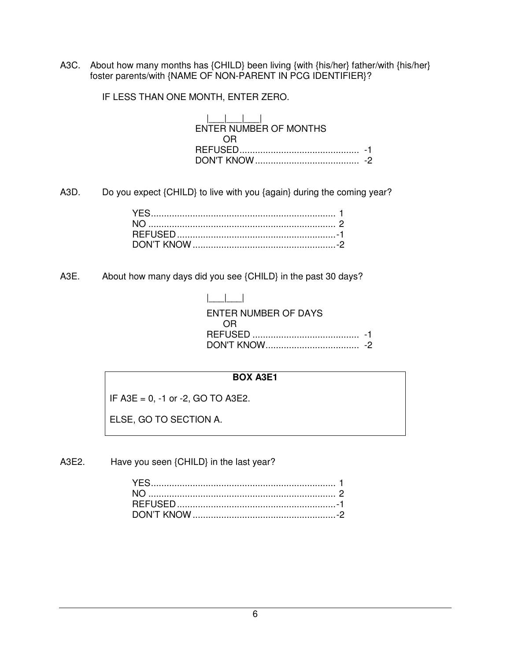A3C. About how many months has {CHILD} been living {with {his/her} father/with {his/her} foster parents/with {NAME OF NON-PARENT IN PCG IDENTIFIER}?

IF LESS THAN ONE MONTH, ENTER ZERO.

| ENTER NUMBER OF MONTHS |  |
|------------------------|--|
| 0 H                    |  |
| <u>RFFUSFI)</u>        |  |
|                        |  |

A3D. Do you expect {CHILD} to live with you {again} during the coming year?

A3E. About how many days did you see {CHILD} in the past 30 days?

| $\mathbf{1}$ and $\mathbf{1}$ |  |
|-------------------------------|--|
| ENTER NUMBER OF DAYS          |  |
| 0.R                           |  |
|                               |  |
|                               |  |

#### **BOX A3E1**

IF A3E = 0, -1 or -2, GO TO A3E2.

ELSE, GO TO SECTION A.

A3E2. Have you seen {CHILD} in the last year?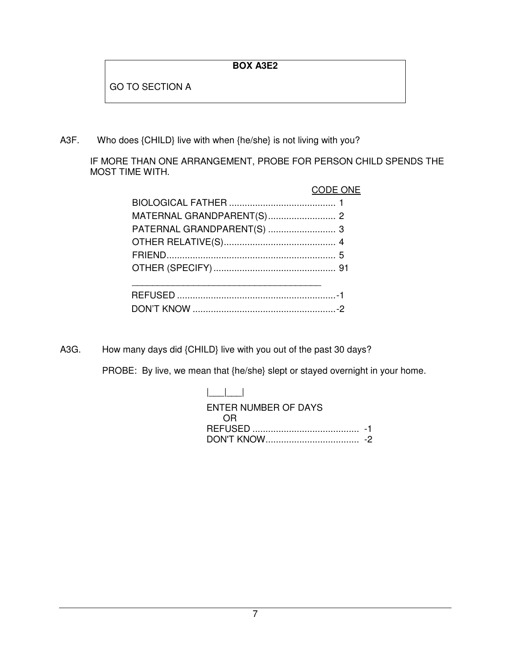## **BOX A3E2**

GO TO SECTION A

A3F. Who does {CHILD} live with when {he/she} is not living with you?

IF MORE THAN ONE ARRANGEMENT, PROBE FOR PERSON CHILD SPENDS THE MOST TIME WITH.

|                            | CODE ONE |
|----------------------------|----------|
|                            |          |
|                            |          |
| PATERNAL GRANDPARENT(S)  3 |          |
|                            |          |
|                            |          |
|                            |          |
|                            |          |
|                            |          |
|                            |          |

A3G. How many days did {CHILD} live with you out of the past 30 days?

PROBE: By live, we mean that {he/she} slept or stayed overnight in your home.

| $\mathbf{1}$ $\mathbf{1}$ $\mathbf{1}$ |  |
|----------------------------------------|--|
| ENTER NUMBER OF DAYS                   |  |
| 0.R                                    |  |
|                                        |  |
|                                        |  |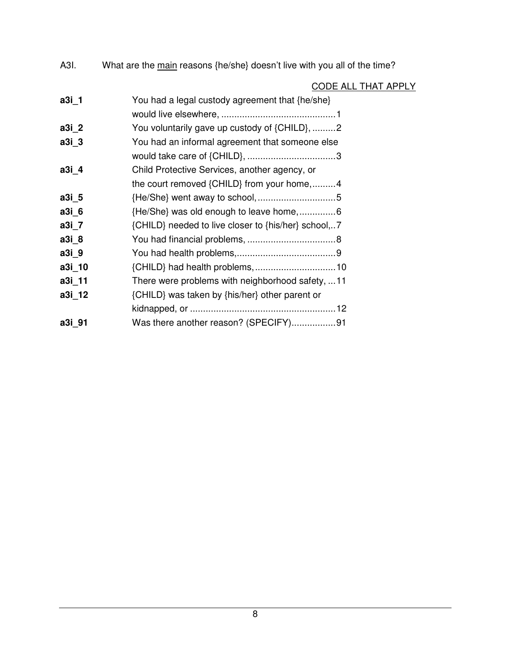A3I. What are the main reasons {he/she} doesn't live with you all of the time?

|        | <u>CODE ALL THAT APPLY</u>                          |  |
|--------|-----------------------------------------------------|--|
| a3i_1  | You had a legal custody agreement that {he/she}     |  |
|        |                                                     |  |
| a3i_2  | You voluntarily gave up custody of {CHILD}, 2       |  |
| a3i_3  | You had an informal agreement that someone else     |  |
|        |                                                     |  |
| a3i 4  | Child Protective Services, another agency, or       |  |
|        | the court removed {CHILD} from your home,4          |  |
| a3i 5  |                                                     |  |
| a3i 6  |                                                     |  |
| a3i_7  | {CHILD} needed to live closer to {his/her} school,7 |  |
| a3i 8  |                                                     |  |
| a3i_9  |                                                     |  |
| a3i_10 |                                                     |  |
| a3i 11 | There were problems with neighborhood safety,  11   |  |
| a3i_12 | {CHILD} was taken by {his/her} other parent or      |  |
|        |                                                     |  |
| a3i 91 | Was there another reason? (SPECIFY)91               |  |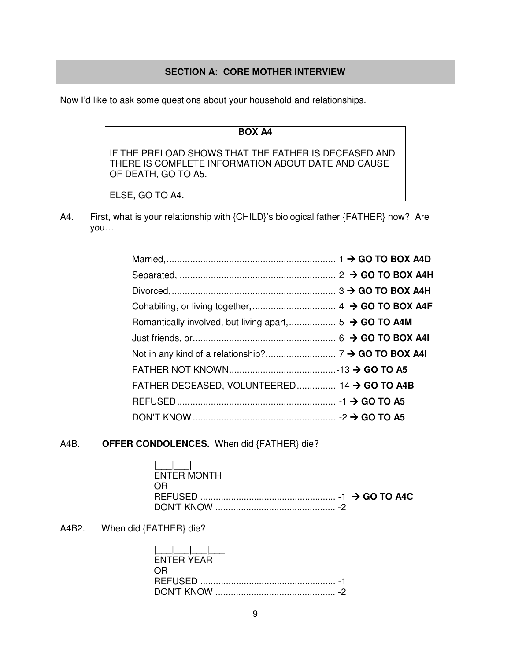#### **SECTION A: CORE MOTHER INTERVIEW**

Now I'd like to ask some questions about your household and relationships.

#### **BOX A4**

IF THE PRELOAD SHOWS THAT THE FATHER IS DECEASED AND THERE IS COMPLETE INFORMATION ABOUT DATE AND CAUSE OF DEATH, GO TO A5.

ELSE, GO TO A4.

A4. First, what is your relationship with {CHILD}'s biological father {FATHER} now? Are you…

| FATHER DECEASED, VOLUNTEERED-14 → GO TO A4B |  |
|---------------------------------------------|--|
|                                             |  |
|                                             |  |

#### A4B. **OFFER CONDOLENCES.** When did {FATHER} die?

| <u> Francisco III e a provincia de la provincia de la provincia de la provincia de la provincia de la provincia </u><br>ENTER MONTH |  |
|-------------------------------------------------------------------------------------------------------------------------------------|--|
| - OR                                                                                                                                |  |
|                                                                                                                                     |  |
|                                                                                                                                     |  |

A4B2. When did {FATHER} die?

| ENTER YEAR |
|------------|
| OR.        |
|            |
|            |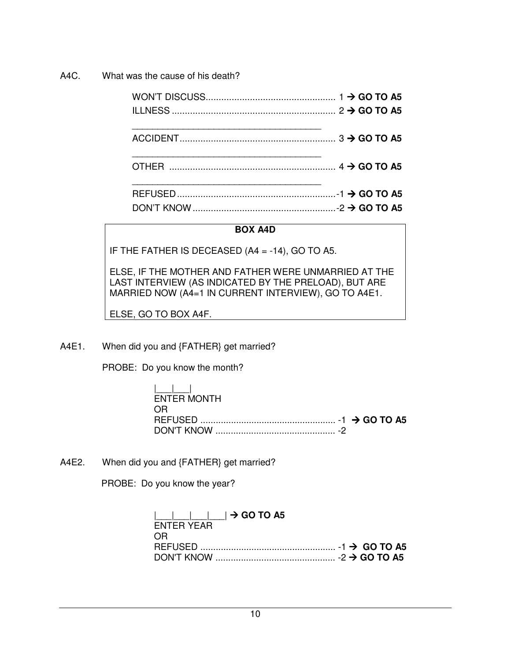A4C. What was the cause of his death?

#### **BOX A4D**

IF THE FATHER IS DECEASED (A4 = -14), GO TO A5.

ELSE, IF THE MOTHER AND FATHER WERE UNMARRIED AT THE LAST INTERVIEW (AS INDICATED BY THE PRELOAD), BUT ARE MARRIED NOW (A4=1 IN CURRENT INTERVIEW), GO TO A4E1.

ELSE, GO TO BOX A4F.

A4E1. When did you and {FATHER} get married?

PROBE: Do you know the month?

| المساحيل    |  |  |
|-------------|--|--|
| ENTER MONTH |  |  |
| OR.         |  |  |
|             |  |  |
|             |  |  |

A4E2. When did you and {FATHER} get married?

PROBE: Do you know the year?

| $\begin{array}{ c c c c c }\n\hline\n\quad & \quad \quad -\end{array}$ $\begin{array}{ c c c c }\n\hline\n\quad & \quad \quad +\end{array}$ GO TO A5 |  |
|------------------------------------------------------------------------------------------------------------------------------------------------------|--|
| <b>FNTFR YFAR</b>                                                                                                                                    |  |
| OR.                                                                                                                                                  |  |
| REFUSED $\ldots$ $\ldots$ $\ldots$ $\ldots$ $\ldots$ $\ldots$ $\ldots$ $\ldots$ $\ldots$ $\ldots$ $\ldots$ $\ldots$ $\ldots$ $\ldots$ GO TO A5       |  |
|                                                                                                                                                      |  |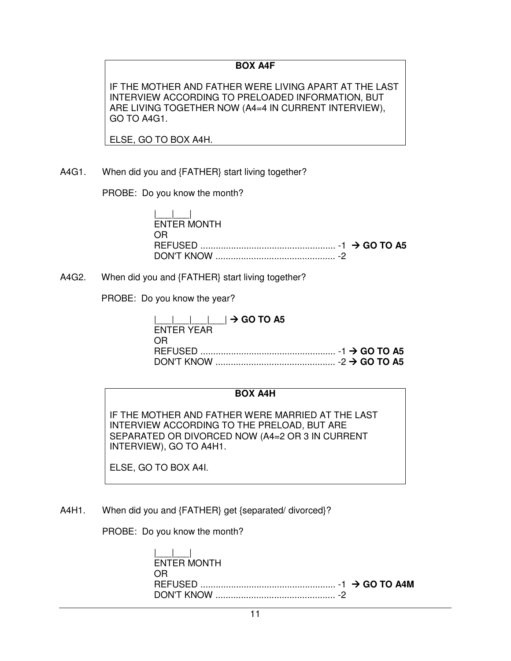#### **BOX A4F**

IF THE MOTHER AND FATHER WERE LIVING APART AT THE LAST INTERVIEW ACCORDING TO PRELOADED INFORMATION, BUT ARE LIVING TOGETHER NOW (A4=4 IN CURRENT INTERVIEW), GO TO A4G1.

ELSE, GO TO BOX A4H.

A4G1. When did you and {FATHER} start living together?

PROBE: Do you know the month?

|\_\_\_|\_\_\_| ENTER MONTH OR REFUSED ..................................................... -1 **GO TO A5** DON'T KNOW ............................................... -2

A4G2. When did you and {FATHER} start living together?

PROBE: Do you know the year?

| $\begin{array}{ c c c c c }\n\hline\n\quad & -  & -  & \rightarrow \text{GO TO A5}\n\end{array}$ |  |
|--------------------------------------------------------------------------------------------------|--|
| <b>FNTFR YFAR</b>                                                                                |  |
| OR.                                                                                              |  |
|                                                                                                  |  |
|                                                                                                  |  |

#### **BOX A4H**

IF THE MOTHER AND FATHER WERE MARRIED AT THE LAST INTERVIEW ACCORDING TO THE PRELOAD, BUT ARE SEPARATED OR DIVORCED NOW (A4=2 OR 3 IN CURRENT INTERVIEW), GO TO A4H1.

ELSE, GO TO BOX A4I.

A4H1. When did you and {FATHER} get {separated/ divorced}?

PROBE: Do you know the month?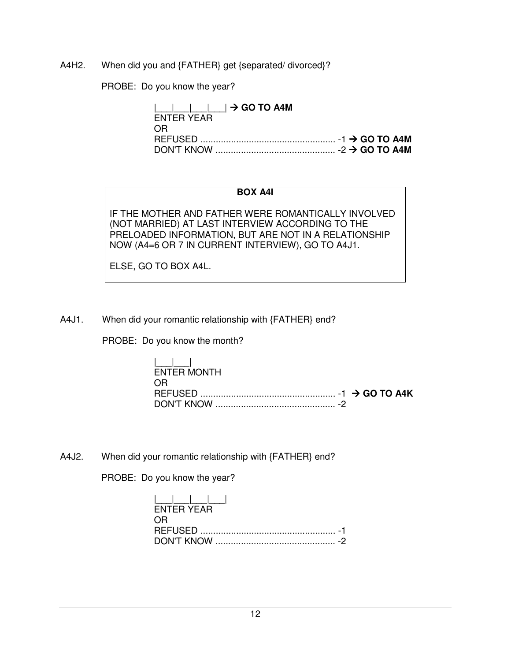A4H2. When did you and {FATHER} get {separated/ divorced}?

PROBE: Do you know the year?

 $|\quad| \rightarrow$  GO TO A4M ENTER YEAR OR REFUSED ..................................................... -1 **GO TO A4M** DON'T KNOW ............................................... -2 **GO TO A4M**

#### **BOX A4I**

IF THE MOTHER AND FATHER WERE ROMANTICALLY INVOLVED (NOT MARRIED) AT LAST INTERVIEW ACCORDING TO THE PRELOADED INFORMATION, BUT ARE NOT IN A RELATIONSHIP NOW (A4=6 OR 7 IN CURRENT INTERVIEW), GO TO A4J1.

ELSE, GO TO BOX A4L.

A4J1. When did your romantic relationship with {FATHER} end?

PROBE: Do you know the month?

| المساحطة    |  |
|-------------|--|
| ENTER MONTH |  |
| OR.         |  |
|             |  |
|             |  |

A4J2. When did your romantic relationship with {FATHER} end?

PROBE: Do you know the year?

| الطاحط الطاط |  |
|--------------|--|
| FNTFR YFAR   |  |
| OR.          |  |
|              |  |
|              |  |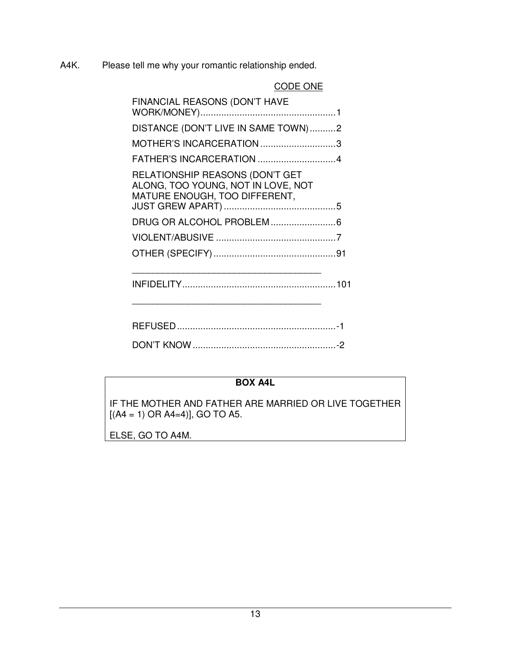A4K. Please tell me why your romantic relationship ended.

CODE ONE

| FINANCIAL REASONS (DON'T HAVE                                                                          |  |
|--------------------------------------------------------------------------------------------------------|--|
| DISTANCE (DON'T LIVE IN SAME TOWN)2                                                                    |  |
| MOTHER'S INCARCERATION 3                                                                               |  |
|                                                                                                        |  |
| RELATIONSHIP REASONS (DON'T GET<br>ALONG, TOO YOUNG, NOT IN LOVE, NOT<br>MATURE ENOUGH, TOO DIFFERENT, |  |
|                                                                                                        |  |
|                                                                                                        |  |
|                                                                                                        |  |
|                                                                                                        |  |

| DON'T KNOW |  |
|------------|--|

## **BOX A4L**

IF THE MOTHER AND FATHER ARE MARRIED OR LIVE TOGETHER  $[(A4 = 1) \text{ OR } A4=4]$ , GO TO A5.

ELSE, GO TO A4M.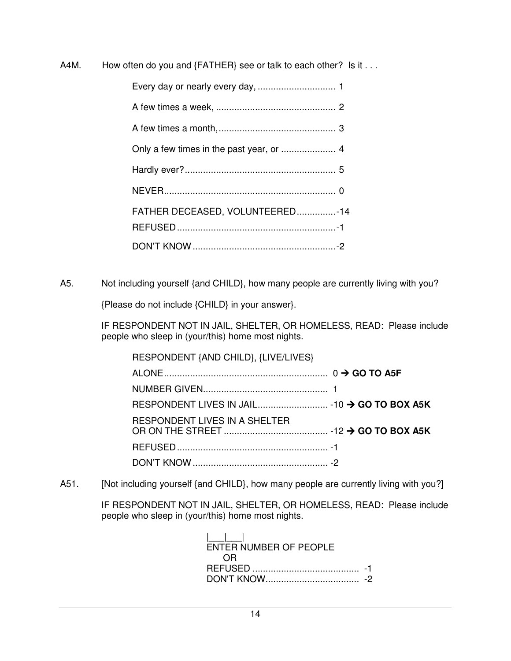A4M. How often do you and {FATHER} see or talk to each other? Is it . . .

| FATHER DECEASED, VOLUNTEERED14 |  |
|--------------------------------|--|
|                                |  |
|                                |  |

A5. Not including yourself {and CHILD}, how many people are currently living with you?

{Please do not include {CHILD} in your answer}.

 IF RESPONDENT NOT IN JAIL, SHELTER, OR HOMELESS, READ: Please include people who sleep in (your/this) home most nights.

| RESPONDENT {AND CHILD}, {LIVE/LIVES}         |  |
|----------------------------------------------|--|
|                                              |  |
|                                              |  |
| RESPONDENT LIVES IN JAIL -10 → GO TO BOX A5K |  |
| RESPONDENT LIVES IN A SHELTER                |  |
|                                              |  |
|                                              |  |

A51. [Not including yourself {and CHILD}, how many people are currently living with you?]

 IF RESPONDENT NOT IN JAIL, SHELTER, OR HOMELESS, READ: Please include people who sleep in (your/this) home most nights.

 |\_\_\_|\_\_\_| ENTER NUMBER OF PEOPLE OR REFUSED ......................................... -1 DON'T KNOW .................................... -2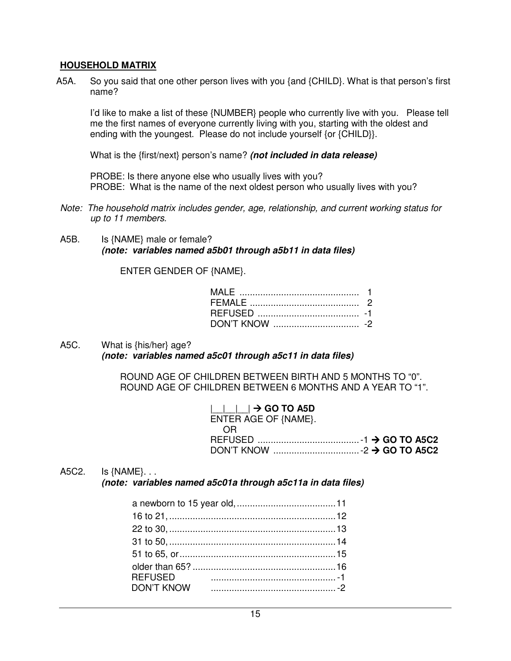#### **HOUSEHOLD MATRIX**

A5A. So you said that one other person lives with you {and {CHILD}. What is that person's first name?

I'd like to make a list of these {NUMBER} people who currently live with you. Please tell me the first names of everyone currently living with you, starting with the oldest and ending with the youngest. Please do not include yourself {or {CHILD}}.

What is the {first/next} person's name? **(not included in data release)**

PROBE: Is there anyone else who usually lives with you? PROBE: What is the name of the next oldest person who usually lives with you?

- Note: The household matrix includes gender, age, relationship, and current working status for up to 11 members.
- A5B. Is {NAME} male or female? **(note: variables named a5b01 through a5b11 in data files)**

ENTER GENDER OF {NAME}.

A5C. What is {his/her} age? **(note: variables named a5c01 through a5c11 in data files)**

> ROUND AGE OF CHILDREN BETWEEN BIRTH AND 5 MONTHS TO "0". ROUND AGE OF CHILDREN BETWEEN 6 MONTHS AND A YEAR TO "1".

| $\Box$ $\Box$ $\rightarrow$ GO TO A5D                                                                                        |  |
|------------------------------------------------------------------------------------------------------------------------------|--|
| ENTER AGE OF {NAME}.                                                                                                         |  |
| 0R                                                                                                                           |  |
| REFUSED $\ldots$ $\ldots$ $\ldots$ $\ldots$ $\ldots$ $\ldots$ $\ldots$ $\ldots$ $\ldots$ $\ldots$ $\ldots$ $\ldots$ $\ldots$ |  |
|                                                                                                                              |  |

#### A5C2. Is {NAME}. . .

**(note: variables named a5c01a through a5c11a in data files)**

| <b>REFUSED</b> |  |
|----------------|--|
|                |  |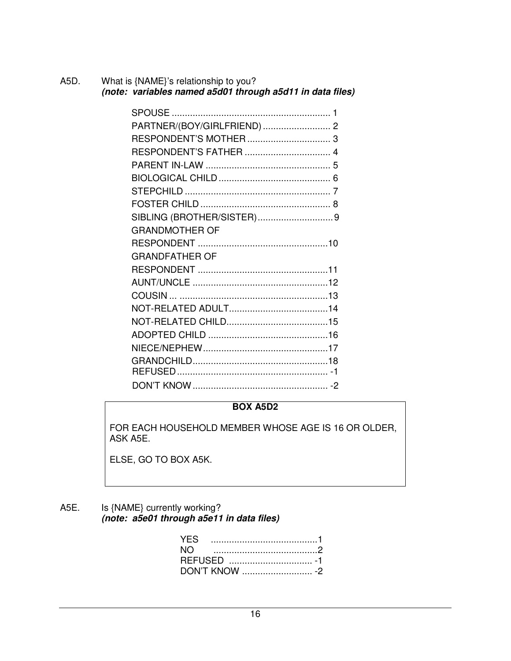| A5D. | What is {NAME}'s relationship to you?<br>(note: variables named a5d01 through a5d11 in data files) |  |
|------|----------------------------------------------------------------------------------------------------|--|
|      |                                                                                                    |  |
|      |                                                                                                    |  |
|      |                                                                                                    |  |
|      |                                                                                                    |  |
|      |                                                                                                    |  |
|      |                                                                                                    |  |
|      |                                                                                                    |  |
|      |                                                                                                    |  |
|      |                                                                                                    |  |
|      | <b>GRANDMOTHER OF</b>                                                                              |  |
|      |                                                                                                    |  |

| <b>GRANDMOTHER OF</b> |  |
|-----------------------|--|
|                       |  |
| <b>GRANDFATHER OF</b> |  |
|                       |  |
|                       |  |
|                       |  |
|                       |  |
|                       |  |
|                       |  |
|                       |  |
|                       |  |
|                       |  |
|                       |  |

## **BOX A5D2**

FOR EACH HOUSEHOLD MEMBER WHOSE AGE IS 16 OR OLDER, ASK A5E.

ELSE, GO TO BOX A5K.

#### A5E. Is {NAME} currently working? **(note: a5e01 through a5e11 in data files)**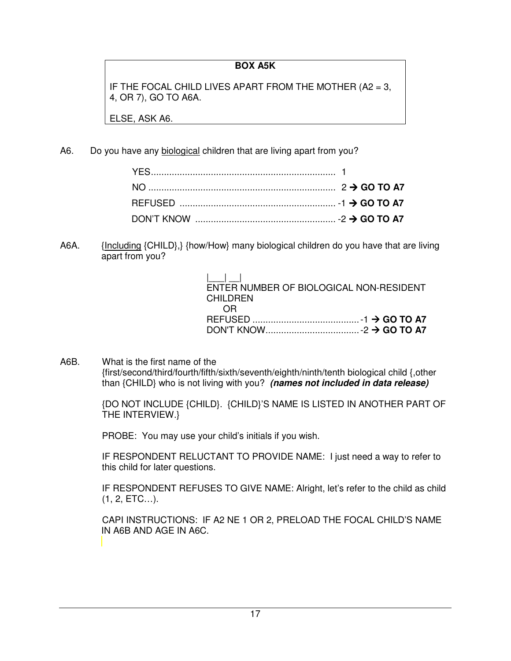## **BOX A5K**

IF THE FOCAL CHILD LIVES APART FROM THE MOTHER (A2 = 3, 4, OR 7), GO TO A6A.

ELSE, ASK A6.

A6. Do you have any biological children that are living apart from you?

A6A. {Including {CHILD},} {how/How} many biological children do you have that are living apart from you?

| $\mathbf{1}$ $\mathbf{1}$ $\mathbf{1}$<br>ENTER NUMBER OF BIOLOGICAL NON-RESIDENT<br>CHII DREN |  |
|------------------------------------------------------------------------------------------------|--|
| OR                                                                                             |  |
|                                                                                                |  |
|                                                                                                |  |

A6B. What is the first name of the {first/second/third/fourth/fifth/sixth/seventh/eighth/ninth/tenth biological child {,other than {CHILD} who is not living with you? **(names not included in data release)**

> {DO NOT INCLUDE {CHILD}. {CHILD}'S NAME IS LISTED IN ANOTHER PART OF THE INTERVIEW.}

PROBE: You may use your child's initials if you wish.

 IF RESPONDENT RELUCTANT TO PROVIDE NAME: I just need a way to refer to this child for later questions.

 IF RESPONDENT REFUSES TO GIVE NAME: Alright, let's refer to the child as child (1, 2, ETC…).

 CAPI INSTRUCTIONS: IF A2 NE 1 OR 2, PRELOAD THE FOCAL CHILD'S NAME IN A6B AND AGE IN A6C.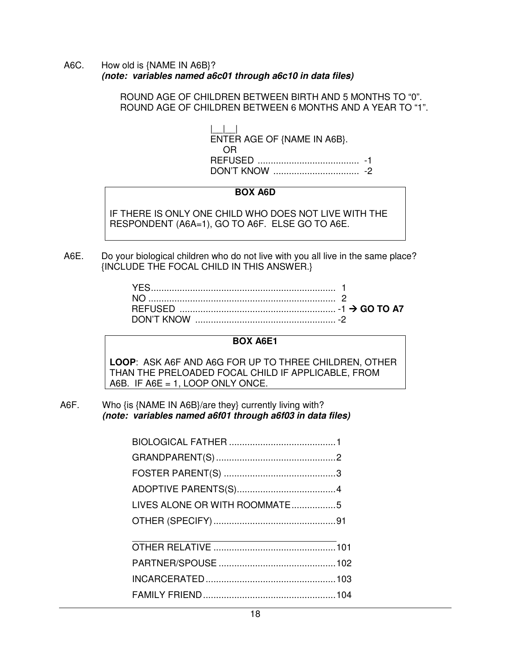A6C. How old is {NAME IN A6B}? **(note: variables named a6c01 through a6c10 in data files)**

> ROUND AGE OF CHILDREN BETWEEN BIRTH AND 5 MONTHS TO "0". ROUND AGE OF CHILDREN BETWEEN 6 MONTHS AND A YEAR TO "1".

| ENTER AGE OF {NAME IN A6B}.<br>OR) |  |
|------------------------------------|--|
|                                    |  |

#### **BOX A6D**

IF THERE IS ONLY ONE CHILD WHO DOES NOT LIVE WITH THE RESPONDENT (A6A=1), GO TO A6F. ELSE GO TO A6E.

A6E. Do your biological children who do not live with you all live in the same place? {INCLUDE THE FOCAL CHILD IN THIS ANSWER.}

#### **BOX A6E1**

**LOOP**: ASK A6F AND A6G FOR UP TO THREE CHILDREN, OTHER THAN THE PRELOADED FOCAL CHILD IF APPLICABLE, FROM A6B. IF A6E = 1, LOOP ONLY ONCE.

A6F. Who {is {NAME IN A6B}/are they} currently living with? **(note: variables named a6f01 through a6f03 in data files)**

| LIVES ALONE OR WITH ROOMMATE5 |  |
|-------------------------------|--|
|                               |  |
|                               |  |
|                               |  |
|                               |  |
|                               |  |
|                               |  |
|                               |  |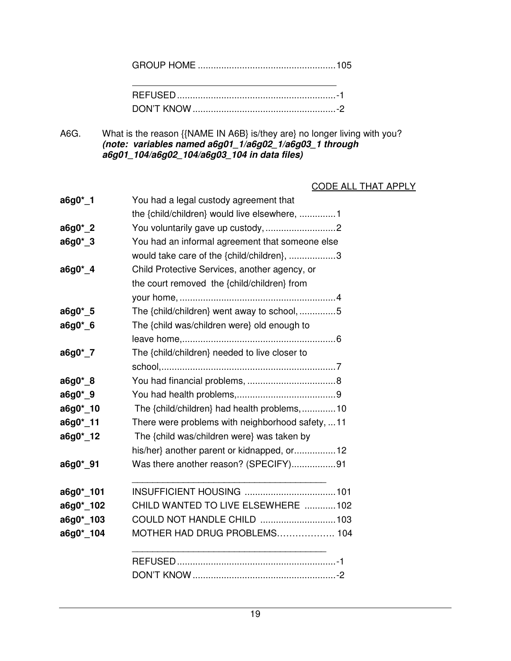GROUP HOME ..................................................... 105

A6G. What is the reason {{NAME IN A6B} is/they are} no longer living with you? **(note: variables named a6g01\_1/a6g02\_1/a6g03\_1 through a6g01\_104/a6g02\_104/a6g03\_104 in data files)**

#### CODE ALL THAT APPLY

| You had a legal custody agreement that           |
|--------------------------------------------------|
| the {child/children} would live elsewhere, 1     |
| You voluntarily gave up custody, 2               |
| You had an informal agreement that someone else  |
| would take care of the {child/children}, 3       |
| Child Protective Services, another agency, or    |
| the court removed the {child/children} from      |
|                                                  |
| The {child/children} went away to school, 5      |
| The {child was/children were} old enough to      |
|                                                  |
| The {child/children} needed to live closer to    |
|                                                  |
|                                                  |
|                                                  |
| The {child/children} had health problems, 10     |
| There were problems with neighborhood safety, 11 |
| The {child was/children were} was taken by       |
| his/her} another parent or kidnapped, or 12      |
| Was there another reason? (SPECIFY)91            |
|                                                  |
| CHILD WANTED TO LIVE ELSEWHERE 102               |
| COULD NOT HANDLE CHILD 103                       |
| MOTHER HAD DRUG PROBLEMS 104                     |
|                                                  |
|                                                  |
|                                                  |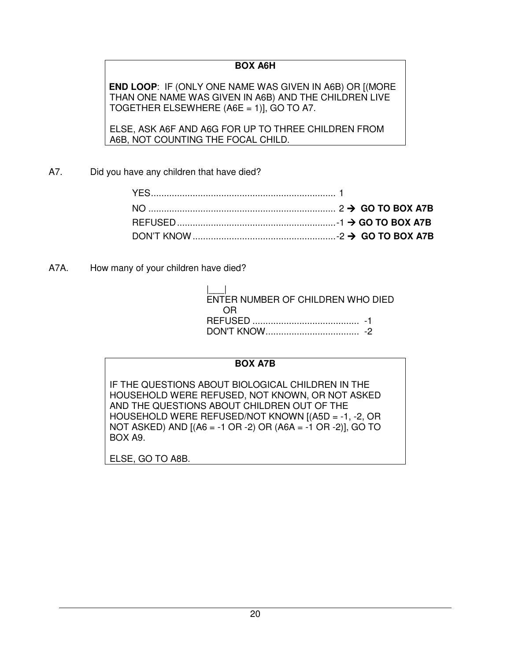## **BOX A6H**

**END LOOP**: IF (ONLY ONE NAME WAS GIVEN IN A6B) OR [(MORE THAN ONE NAME WAS GIVEN IN A6B) AND THE CHILDREN LIVE TOGETHER ELSEWHERE (A6E = 1)], GO TO A7.

ELSE, ASK A6F AND A6G FOR UP TO THREE CHILDREN FROM A6B, NOT COUNTING THE FOCAL CHILD.

A7. Did you have any children that have died?

A7A. How many of your children have died?

| ENTER NUMBER OF CHILDREN WHO DIED |  |
|-----------------------------------|--|
| OR                                |  |
|                                   |  |
|                                   |  |

#### **BOX A7B**

IF THE QUESTIONS ABOUT BIOLOGICAL CHILDREN IN THE HOUSEHOLD WERE REFUSED, NOT KNOWN, OR NOT ASKED AND THE QUESTIONS ABOUT CHILDREN OUT OF THE HOUSEHOLD WERE REFUSED/NOT KNOWN [(A5D = -1, -2, OR NOT ASKED) AND [(A6 = -1 OR -2) OR (A6A = -1 OR -2)], GO TO BOX A9.

ELSE, GO TO A8B.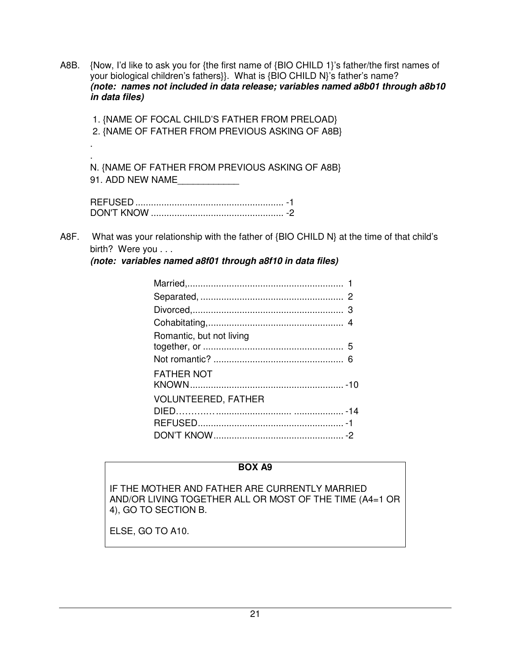A8B. {Now, I'd like to ask you for {the first name of {BIO CHILD 1}'s father/the first names of your biological children's fathers}}. What is {BIO CHILD N}'s father's name?  **(note: names not included in data release; variables named a8b01 through a8b10 in data files)** 

 1. {NAME OF FOCAL CHILD'S FATHER FROM PRELOAD} 2. {NAME OF FATHER FROM PREVIOUS ASKING OF A8B} . . N. {NAME OF FATHER FROM PREVIOUS ASKING OF A8B} 91. ADD NEW NAME

A8F. What was your relationship with the father of {BIO CHILD N} at the time of that child's birth? Were you . . .

**(note: variables named a8f01 through a8f10 in data files)**

| Romantic, but not living   |  |
|----------------------------|--|
|                            |  |
| <b>FATHER NOT</b>          |  |
| <b>VOLUNTEERED, FATHER</b> |  |
|                            |  |
|                            |  |

#### **BOX A9**

IF THE MOTHER AND FATHER ARE CURRENTLY MARRIED AND/OR LIVING TOGETHER ALL OR MOST OF THE TIME (A4=1 OR 4), GO TO SECTION B.

ELSE, GO TO A10.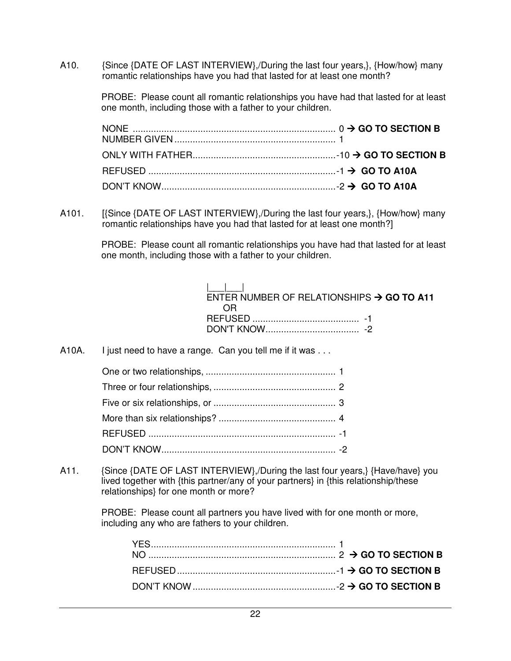A10. {Since {DATE OF LAST INTERVIEW},/During the last four years,}, {How/how} many romantic relationships have you had that lasted for at least one month?

> PROBE: Please count all romantic relationships you have had that lasted for at least one month, including those with a father to your children.

A101. [{Since {DATE OF LAST INTERVIEW},/During the last four years,}, {How/how} many romantic relationships have you had that lasted for at least one month?]

> PROBE: Please count all romantic relationships you have had that lasted for at least one month, including those with a father to your children.

 |\_\_\_|\_\_\_| ENTER NUMBER OF RELATIONSHIPS  $\rightarrow$  GO TO A11 OR REFUSED ......................................... -1 DON'T KNOW .................................... -2

A10A. I just need to have a range. Can you tell me if it was ...

A11. {Since {DATE OF LAST INTERVIEW},/During the last four years,} {Have/have} you lived together with {this partner/any of your partners} in {this relationship/these relationships} for one month or more?

> PROBE: Please count all partners you have lived with for one month or more, including any who are fathers to your children.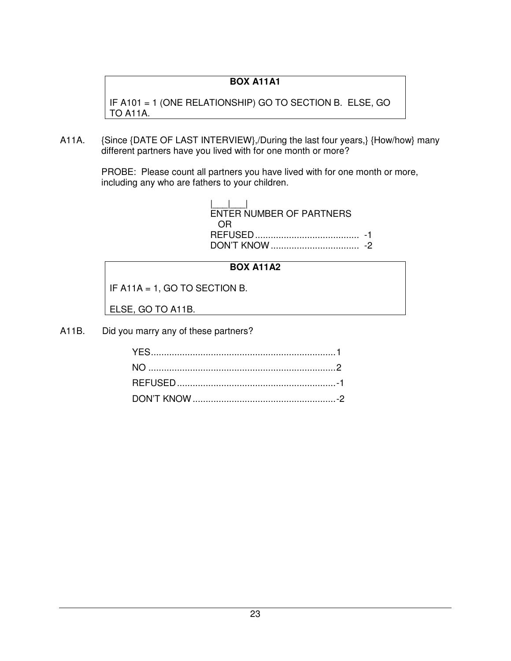## **BOX A11A1**

IF A101 = 1 (ONE RELATIONSHIP) GO TO SECTION B. ELSE, GO TO A11A.

A11A. {Since {DATE OF LAST INTERVIEW},/During the last four years,} {How/how} many different partners have you lived with for one month or more?

> PROBE: Please count all partners you have lived with for one month or more, including any who are fathers to your children.

 |\_\_\_|\_\_\_| ENTER NUMBER OF PARTNERS OR REFUSED ........................................ -1 DON'T KNOW .................................. -2

#### **BOX A11A2**

IF A11A = 1, GO TO SECTION B.

ELSE, GO TO A11B.

A11B. Did you marry any of these partners?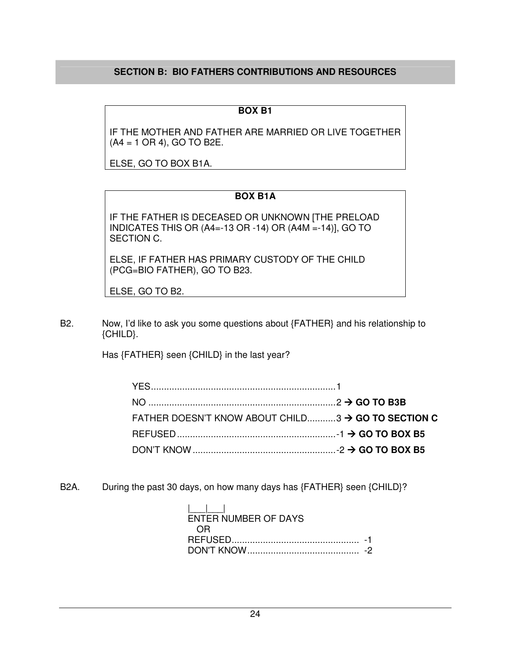## **SECTION B: BIO FATHERS CONTRIBUTIONS AND RESOURCES**

#### **BOX B1**

IF THE MOTHER AND FATHER ARE MARRIED OR LIVE TOGETHER (A4 = 1 OR 4), GO TO B2E.

ELSE, GO TO BOX B1A.

#### **BOX B1A**

IF THE FATHER IS DECEASED OR UNKNOWN [THE PRELOAD INDICATES THIS OR (A4=-13 OR -14) OR (A4M =-14)], GO TO SECTION C.

ELSE, IF FATHER HAS PRIMARY CUSTODY OF THE CHILD (PCG=BIO FATHER), GO TO B23.

ELSE, GO TO B2.

B2. Now, I'd like to ask you some questions about {FATHER} and his relationship to {CHILD}.

Has {FATHER} seen {CHILD} in the last year?

| FATHER DOESN'T KNOW ABOUT CHILD3 $\rightarrow$ GO TO SECTION C |  |
|----------------------------------------------------------------|--|
|                                                                |  |
|                                                                |  |

B2A. During the past 30 days, on how many days has {FATHER} seen {CHILD}?

| ENTER NUMBER OF DAYS |  |
|----------------------|--|
| 0 H                  |  |
|                      |  |
|                      |  |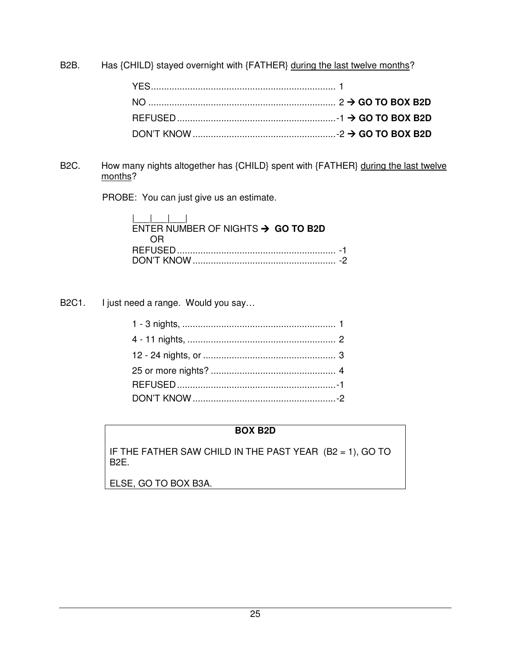B2B. Has {CHILD} stayed overnight with {FATHER} during the last twelve months?

B2C. How many nights altogether has {CHILD} spent with {FATHER} during the last twelve months?

PROBE: You can just give us an estimate.

| .<br>ENTER NUMBER OF NIGHTS $\rightarrow$ GO TO B2D |  |
|-----------------------------------------------------|--|
| OR)                                                 |  |
|                                                     |  |
|                                                     |  |

B2C1. I just need a range. Would you say...

## **BOX B2D**

IF THE FATHER SAW CHILD IN THE PAST YEAR (B2 = 1), GO TO B2E.

ELSE, GO TO BOX B3A.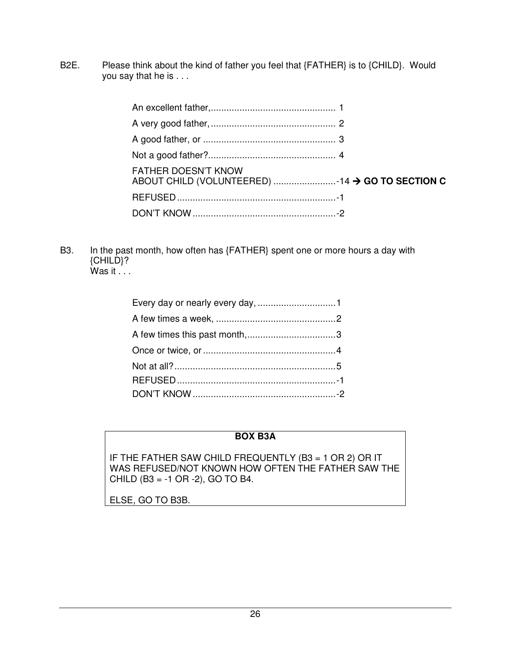B2E. Please think about the kind of father you feel that {FATHER} is to {CHILD}. Would you say that he is . . .

| <b>FATHER DOESN'T KNOW</b><br>ABOUT CHILD (VOLUNTEERED) 14 → GO TO SECTION C |  |
|------------------------------------------------------------------------------|--|
|                                                                              |  |
|                                                                              |  |

B3. In the past month, how often has {FATHER} spent one or more hours a day with {CHILD}?  $W$ as it  $\ldots$ 

#### **BOX B3A**

IF THE FATHER SAW CHILD FREQUENTLY (B3 = 1 OR 2) OR IT WAS REFUSED/NOT KNOWN HOW OFTEN THE FATHER SAW THE CHILD (B3 = -1 OR -2), GO TO B4.

ELSE, GO TO B3B.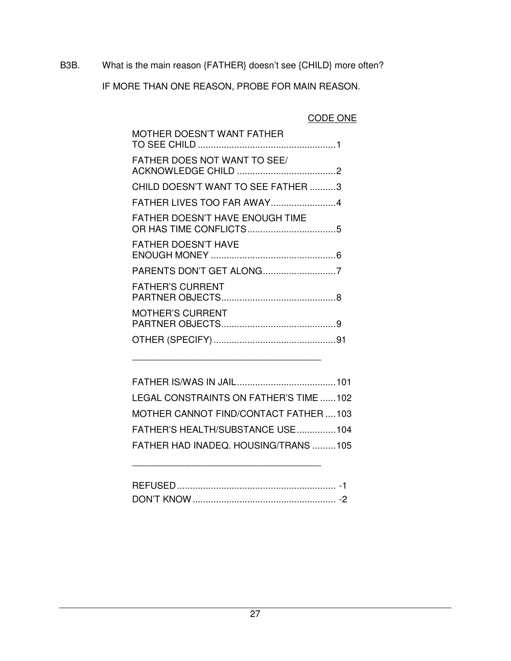B3B. What is the main reason {FATHER} doesn't see {CHILD} more often?

IF MORE THAN ONE REASON, PROBE FOR MAIN REASON.

## CODE ONE

| <b>MOTHER DOESN'T WANT FATHER</b>   |  |
|-------------------------------------|--|
| <b>FATHER DOES NOT WANT TO SEE/</b> |  |
| CHILD DOESN'T WANT TO SEE FATHER 3  |  |
| FATHER LIVES TOO FAR AWAY4          |  |
| FATHER DOESN'T HAVE ENOUGH TIME     |  |
| <b>FATHER DOESN'T HAVE</b>          |  |
|                                     |  |
| <b>FATHER'S CURRENT</b>             |  |
| <b>MOTHER'S CURRENT</b>             |  |
|                                     |  |
|                                     |  |

| LEGAL CONSTRAINTS ON FATHER'S TIME 102 |  |
|----------------------------------------|--|
| MOTHER CANNOT FIND/CONTACT FATHER 103  |  |
| FATHER'S HEALTH/SUBSTANCE USE104       |  |
| FATHER HAD INADEQ. HOUSING/TRANS 105   |  |

| וואד דיואר | $\overline{\phantom{a}}$ |
|------------|--------------------------|

\_\_\_\_\_\_\_\_\_\_\_\_\_\_\_\_\_\_\_\_\_\_\_\_\_\_\_\_\_\_\_\_\_\_\_\_\_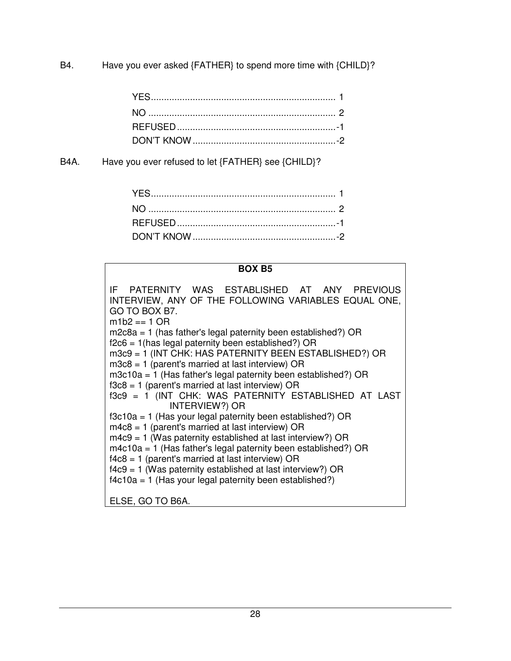B4. Have you ever asked {FATHER} to spend more time with {CHILD}?

B4A. Have you ever refused to let {FATHER} see {CHILD}?

## **BOX B5**

| IF PATERNITY WAS ESTABLISHED AT ANY PREVIOUS<br>INTERVIEW, ANY OF THE FOLLOWING VARIABLES EQUAL ONE,<br>GO TO BOX B7.<br>$m1b2 == 1$ OR |
|-----------------------------------------------------------------------------------------------------------------------------------------|
| $m2c8a = 1$ (has father's legal paternity been established?) OR                                                                         |
| $f2c6 = 1$ (has legal paternity been established?) OR                                                                                   |
| m3c9 = 1 (INT CHK: HAS PATERNITY BEEN ESTABLISHED?) OR                                                                                  |
| $m3c8 = 1$ (parent's married at last interview) OR                                                                                      |
| $m3c10a = 1$ (Has father's legal paternity been established?) OR                                                                        |
| $f3c8 = 1$ (parent's married at last interview) OR                                                                                      |
| f3c9 = 1 (INT CHK: WAS PATERNITY ESTABLISHED AT LAST<br><b>INTERVIEW?) OR</b>                                                           |
| $f3c10a = 1$ (Has your legal paternity been established?) OR                                                                            |
| $m4c8 = 1$ (parent's married at last interview) OR                                                                                      |
| $m4c9 = 1$ (Was paternity established at last interview?) OR                                                                            |
| $m4c10a = 1$ (Has father's legal paternity been established?) OR                                                                        |
| $f4c8 = 1$ (parent's married at last interview) OR                                                                                      |
| $f4c9 = 1$ (Was paternity established at last interview?) OR                                                                            |
| $f4c10a = 1$ (Has your legal paternity been established?)                                                                               |
| ELSE. GO TO B6A.                                                                                                                        |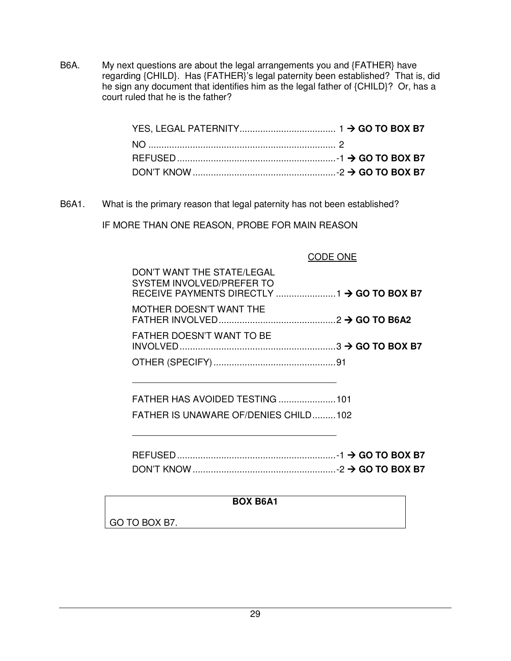B6A. My next questions are about the legal arrangements you and {FATHER} have regarding {CHILD}. Has {FATHER}'s legal paternity been established? That is, did he sign any document that identifies him as the legal father of {CHILD}? Or, has a court ruled that he is the father?

| DON'T KNOW $\ldots$ $\ldots$ $\ldots$ $\ldots$ $\ldots$ $\ldots$ $\ldots$ $\ldots$ $\ldots$ $\ldots$ $\ldots$ $\ldots$ $\ldots$ $\ldots$ GO TO BOX B7 |  |
|-------------------------------------------------------------------------------------------------------------------------------------------------------|--|

B6A1. What is the primary reason that legal paternity has not been established?

IF MORE THAN ONE REASON, PROBE FOR MAIN REASON

| DON'T WANT THE STATE/LEGAL<br>SYSTEM INVOLVED/PREFER TO |  |
|---------------------------------------------------------|--|
| MOTHER DOESN'T WANT THE                                 |  |
| FATHER DOESN'T WANT TO BE                               |  |
|                                                         |  |

 FATHER HAS AVOIDED TESTING ...................... 101 FATHER IS UNAWARE OF/DENIES CHILD ......... 102

| <b>REFUSED</b> |  |  |
|----------------|--|--|
|                |  |  |

#### **BOX B6A1**

GO TO BOX B7.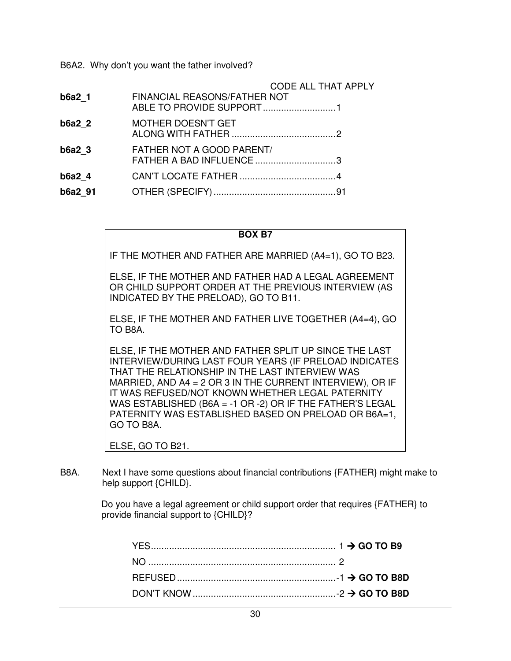B6A2. Why don't you want the father involved?

|                   |                                                       | CODE ALL THAT APPLY |
|-------------------|-------------------------------------------------------|---------------------|
| b6a2 1            | FINANCIAL REASONS/FATHER NOT                          |                     |
| b6a22             | <b>MOTHER DOESN'T GET</b>                             |                     |
| b6a2 <sub>3</sub> | FATHER NOT A GOOD PARENT/<br>FATHER A BAD INFLUENCE 3 |                     |
| $b6a2$ 4          |                                                       |                     |
| b6a2 91           |                                                       |                     |

#### **BOX B7**

IF THE MOTHER AND FATHER ARE MARRIED (A4=1), GO TO B23.

ELSE, IF THE MOTHER AND FATHER HAD A LEGAL AGREEMENT OR CHILD SUPPORT ORDER AT THE PREVIOUS INTERVIEW (AS INDICATED BY THE PRELOAD), GO TO B11.

ELSE, IF THE MOTHER AND FATHER LIVE TOGETHER (A4=4), GO TO B8A.

ELSE, IF THE MOTHER AND FATHER SPLIT UP SINCE THE LAST INTERVIEW/DURING LAST FOUR YEARS (IF PRELOAD INDICATES THAT THE RELATIONSHIP IN THE LAST INTERVIEW WAS MARRIED, AND A4 = 2 OR 3 IN THE CURRENT INTERVIEW), OR IF IT WAS REFUSED/NOT KNOWN WHETHER LEGAL PATERNITY WAS ESTABLISHED (B6A = -1 OR -2) OR IF THE FATHER'S LEGAL PATERNITY WAS ESTABLISHED BASED ON PRELOAD OR B6A=1, GO TO B8A.

ELSE, GO TO B21.

B8A. Next I have some questions about financial contributions {FATHER} might make to help support {CHILD}.

> Do you have a legal agreement or child support order that requires {FATHER} to provide financial support to {CHILD}?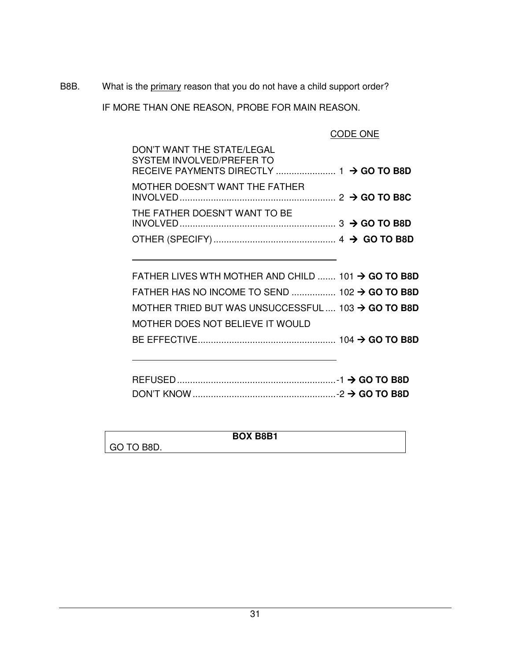B8B. What is the primary reason that you do not have a child support order?

IF MORE THAN ONE REASON, PROBE FOR MAIN REASON.

CODE ONE

| DON'T WANT THE STATE/LEGAL<br>SYSTEM INVOLVED/PREFER TO |  |
|---------------------------------------------------------|--|
| MOTHER DOESN'T WANT THE FATHER                          |  |
| THE FATHER DOESN'T WANT TO BE                           |  |
|                                                         |  |

| FATHER LIVES WTH MOTHER AND CHILD  101 $\rightarrow$ GO TO B8D |  |
|----------------------------------------------------------------|--|
| FATHER HAS NO INCOME TO SEND  102 $\rightarrow$ GO TO B8D      |  |
| MOTHER TRIED BUT WAS UNSUCCESSFUL  103 $\rightarrow$ GO TO B8D |  |
| MOTHER DOES NOT BELIEVE IT WOULD                               |  |
|                                                                |  |
|                                                                |  |

|                 | <b>BOX B8B1</b> |  |
|-----------------|-----------------|--|
| O TO B8D.<br>GO |                 |  |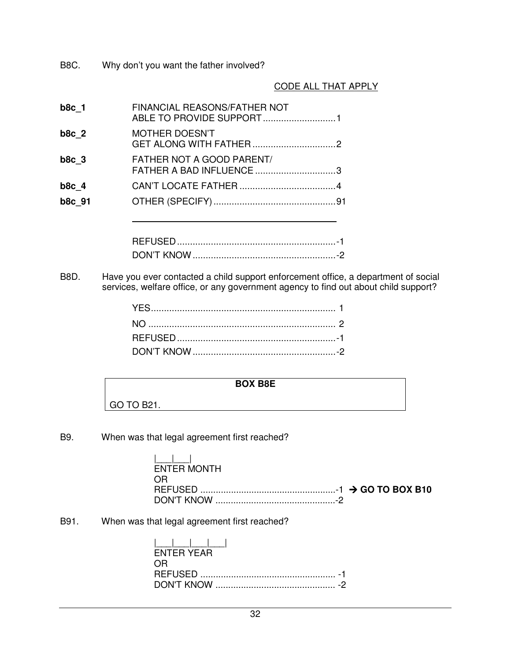B8C. Why don't you want the father involved?

#### CODE ALL THAT APPLY

| b8c 1   | FINANCIAL REASONS/FATHER NOT                                 |  |
|---------|--------------------------------------------------------------|--|
| $b8c$ 2 | <b>MOTHER DOESN'T</b>                                        |  |
| $b8c$ 3 | <b>FATHER NOT A GOOD PARENT/</b><br>FATHER A BAD INFLUENCE 3 |  |
| $b8c$ 4 |                                                              |  |
| b8c 91  |                                                              |  |
|         |                                                              |  |

| - |  |
|---|--|
|   |  |

B8D. Have you ever contacted a child support enforcement office, a department of social services, welfare office, or any government agency to find out about child support?

## **BOX B8E**

| שטח השט    |  |
|------------|--|
| GO TO B21. |  |

B9. When was that legal agreement first reached?

 $\Gamma$ 

| المساحطا    |  |
|-------------|--|
| ENTER MONTH |  |
| OR          |  |
|             |  |
|             |  |

┑

B91. When was that legal agreement first reached?

| ENTER YEAR |  |
|------------|--|
| OR.        |  |
|            |  |
|            |  |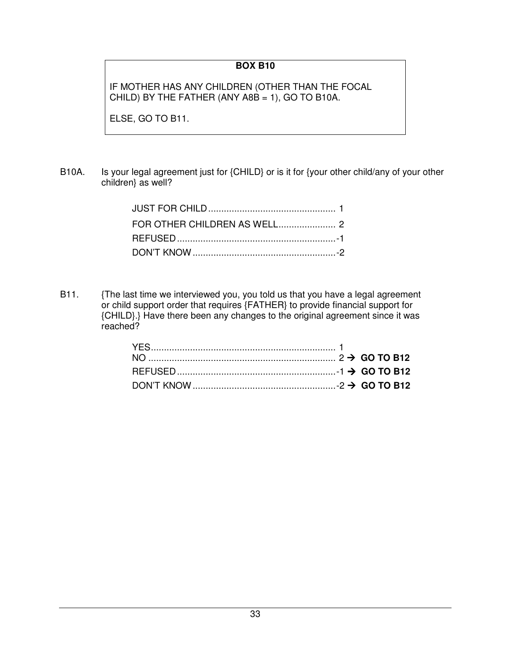## **BOX B10**

IF MOTHER HAS ANY CHILDREN (OTHER THAN THE FOCAL CHILD) BY THE FATHER (ANY A8B = 1), GO TO B10A.

ELSE, GO TO B11.

B10A. Is your legal agreement just for {CHILD} or is it for {your other child/any of your other children} as well?

B11. {The last time we interviewed you, you told us that you have a legal agreement or child support order that requires {FATHER} to provide financial support for {CHILD}.} Have there been any changes to the original agreement since it was reached?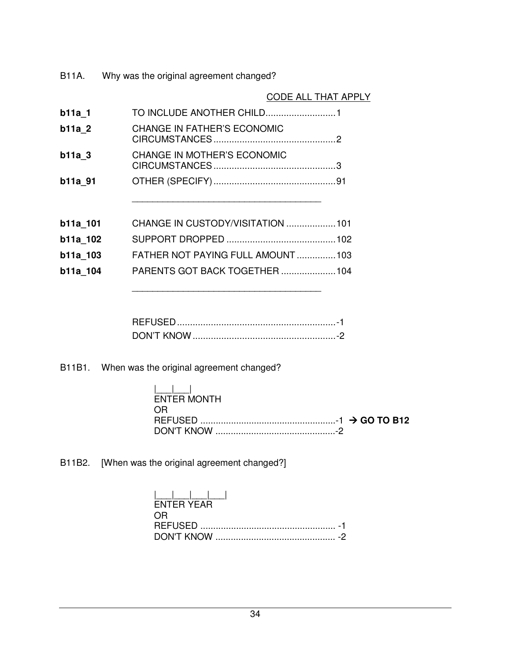B11A. Why was the original agreement changed?

|                                    | CODE ALL THAT APPLY |
|------------------------------------|---------------------|
|                                    |                     |
| <b>CHANGE IN FATHER'S ECONOMIC</b> |                     |
| <b>CHANGE IN MOTHER'S ECONOMIC</b> |                     |
|                                    |                     |
|                                    |                     |
| CHANGE IN CUSTODY/VISITATION  101  |                     |
|                                    |                     |
| FATHER NOT PAYING FULL AMOUNT103   |                     |
| PARENTS GOT BACK TOGETHER  104     |                     |
|                                    |                     |

|  | - |
|--|---|
|  |   |

B11B1. When was the original agreement changed?

\_\_\_\_\_\_\_\_\_\_\_\_\_\_\_\_\_\_\_\_\_\_\_\_\_\_\_\_\_\_\_\_\_\_\_\_\_

| ENTER MONTH |  |
|-------------|--|
| OR.         |  |
|             |  |
|             |  |

B11B2. [When was the original agreement changed?]

| $\frac{1}{2}$ . $\frac{1}{2}$ . $\frac{1}{2}$ . $\frac{1}{2}$ . $\frac{1}{2}$<br>ENTER YEAR |  |
|---------------------------------------------------------------------------------------------|--|
| OR.                                                                                         |  |
|                                                                                             |  |
|                                                                                             |  |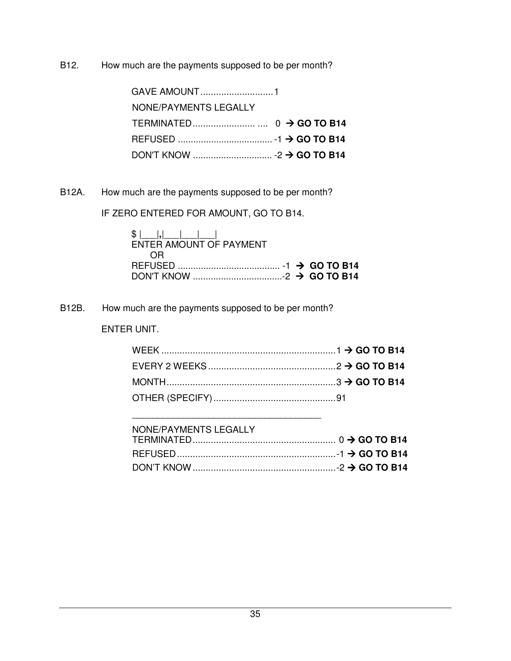B12. How much are the payments supposed to be per month?

| NONE/PAYMENTS LEGALLY |  |  |
|-----------------------|--|--|
|                       |  |  |
|                       |  |  |
|                       |  |  |

B12A. How much are the payments supposed to be per month?

IF ZERO ENTERED FOR AMOUNT, GO TO B14.

| $$ $ $ $ , $ $ $ $ $ $ $ $<br><b>FNTER AMOUNT OF PAYMENT</b> |  |  |
|--------------------------------------------------------------|--|--|
| - OR                                                         |  |  |
|                                                              |  |  |
|                                                              |  |  |

B12B. How much are the payments supposed to be per month?

\_\_\_\_\_\_\_\_\_\_\_\_\_\_\_\_\_\_\_\_\_\_\_\_\_\_\_\_\_\_\_\_\_\_\_\_\_

ENTER UNIT.

| NONE/PAYMENTS LEGALLY |  |
|-----------------------|--|
|                       |  |
|                       |  |
|                       |  |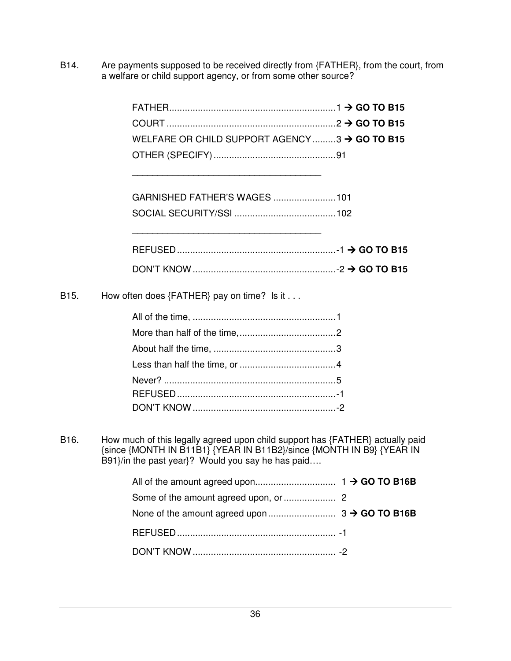B14. Are payments supposed to be received directly from {FATHER}, from the court, from a welfare or child support agency, or from some other source?

| $FATHER$ $\rightarrow$ GO TO B15                         |  |
|----------------------------------------------------------|--|
|                                                          |  |
| WELFARE OR CHILD SUPPORT AGENCY3 $\rightarrow$ GO TO B15 |  |
|                                                          |  |

B15. How often does {FATHER} pay on time? Is it . . .

\_\_\_\_\_\_\_\_\_\_\_\_\_\_\_\_\_\_\_\_\_\_\_\_\_\_\_\_\_\_\_\_\_\_\_\_\_

\_\_\_\_\_\_\_\_\_\_\_\_\_\_\_\_\_\_\_\_\_\_\_\_\_\_\_\_\_\_\_\_\_\_\_\_\_

B16. How much of this legally agreed upon child support has {FATHER} actually paid {since {MONTH IN B11B1} {YEAR IN B11B2}/since {MONTH IN B9} {YEAR IN B91}/in the past year}? Would you say he has paid….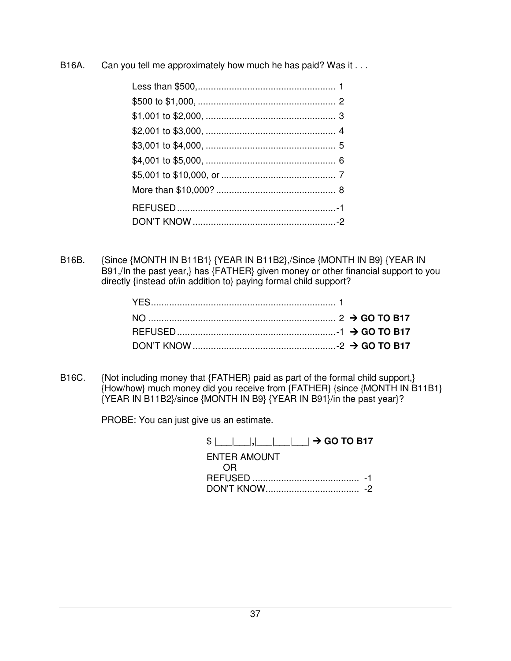B16A. Can you tell me approximately how much he has paid? Was it . . .

B16B. {Since {MONTH IN B11B1} {YEAR IN B11B2},/Since {MONTH IN B9} {YEAR IN B91,/In the past year,} has {FATHER} given money or other financial support to you directly {instead of/in addition to} paying formal child support?

B16C. {Not including money that {FATHER} paid as part of the formal child support,} {How/how} much money did you receive from {FATHER} {since {MONTH IN B11B1} {YEAR IN B11B2}/since {MONTH IN B9} {YEAR IN B91}/in the past year}?

PROBE: You can just give us an estimate.

| $\vert$ $\vert$ , $\vert$ $\vert$ $\vert$ $\vert$ $\vert$ $\rightarrow$ GO TO B17<br>351 |  |
|------------------------------------------------------------------------------------------|--|
| <b>ENTER AMOUNT</b>                                                                      |  |
| 0 H                                                                                      |  |
|                                                                                          |  |
|                                                                                          |  |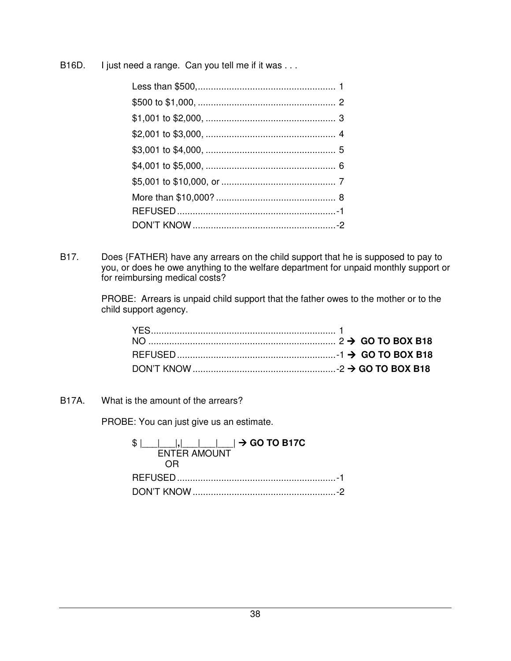B16D. I just need a range. Can you tell me if it was . . .

B17. Does {FATHER} have any arrears on the child support that he is supposed to pay to you, or does he owe anything to the welfare department for unpaid monthly support or for reimbursing medical costs?

> PROBE: Arrears is unpaid child support that the father owes to the mother or to the child support agency.

B17A. What is the amount of the arrears?

PROBE: You can just give us an estimate.

| $ $ $ $ , $ $ , $ $ $ $ $ $ $ $ $ $ $\rightarrow$ GO TO B17C<br><b>ENTER AMOUNT</b> |  |
|-------------------------------------------------------------------------------------|--|
|                                                                                     |  |
|                                                                                     |  |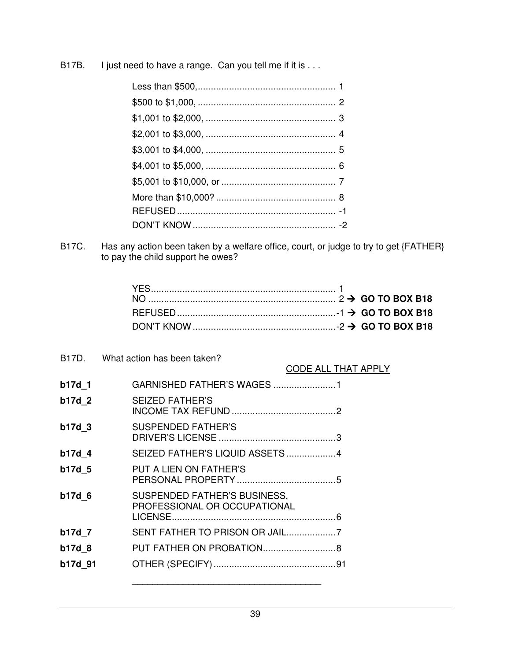B17B. I just need to have a range. Can you tell me if it is . . .

B17C. Has any action been taken by a welfare office, court, or judge to try to get {FATHER} to pay the child support he owes?

| B17D.   | What action has been taken?                                  |                     |
|---------|--------------------------------------------------------------|---------------------|
|         |                                                              | CODE ALL THAT APPLY |
| b17d 1  |                                                              |                     |
| b17d 2  | <b>SEIZED FATHER'S</b>                                       |                     |
| b17d 3  | <b>SUSPENDED FATHER'S</b>                                    |                     |
| b17d 4  | SEIZED FATHER'S LIQUID ASSETS 4                              |                     |
| b17d 5  | PUT A LIEN ON FATHER'S                                       |                     |
| b17d 6  | SUSPENDED FATHER'S BUSINESS,<br>PROFESSIONAL OR OCCUPATIONAL |                     |
|         |                                                              |                     |
| b17d 7  | SENT FATHER TO PRISON OR JAIL7                               |                     |
| b17d 8  |                                                              |                     |
| b17d 91 |                                                              |                     |
|         |                                                              |                     |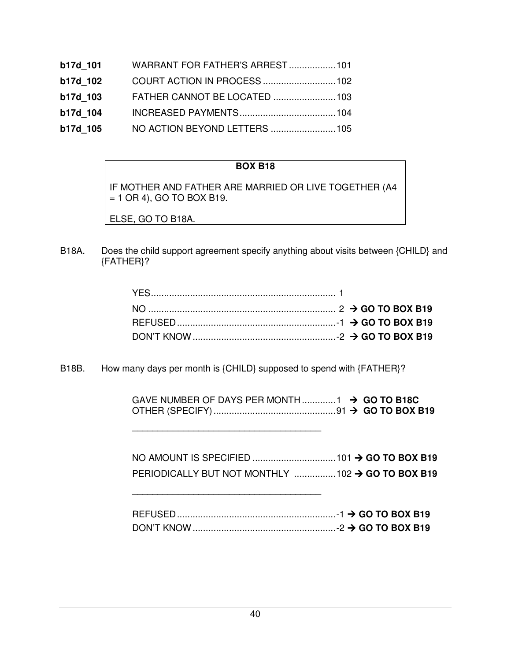| b17d 101 | WARRANT FOR FATHER'S ARREST 101 |  |
|----------|---------------------------------|--|
| b17d 102 |                                 |  |
| b17d 103 |                                 |  |
| b17d 104 |                                 |  |
| b17d 105 |                                 |  |

# **BOX B18**

IF MOTHER AND FATHER ARE MARRIED OR LIVE TOGETHER (A4  $= 1$  OR 4), GO TO BOX B19.

ELSE, GO TO B18A.

B18A. Does the child support agreement specify anything about visits between {CHILD} and {FATHER}?

B18B. How many days per month is {CHILD} supposed to spend with {FATHER}?

\_\_\_\_\_\_\_\_\_\_\_\_\_\_\_\_\_\_\_\_\_\_\_\_\_\_\_\_\_\_\_\_\_\_\_\_\_

\_\_\_\_\_\_\_\_\_\_\_\_\_\_\_\_\_\_\_\_\_\_\_\_\_\_\_\_\_\_\_\_\_\_\_\_\_

| GAVE NUMBER OF DAYS PER MONTH $1 \rightarrow$ GO TO B18C |  |
|----------------------------------------------------------|--|
|                                                          |  |

| PERIODICALLY BUT NOT MONTHLY $\ldots$ $\ldots$ $\ldots$ $\ldots$ 102 $\rightarrow$ GO TO BOX B19 |  |
|--------------------------------------------------------------------------------------------------|--|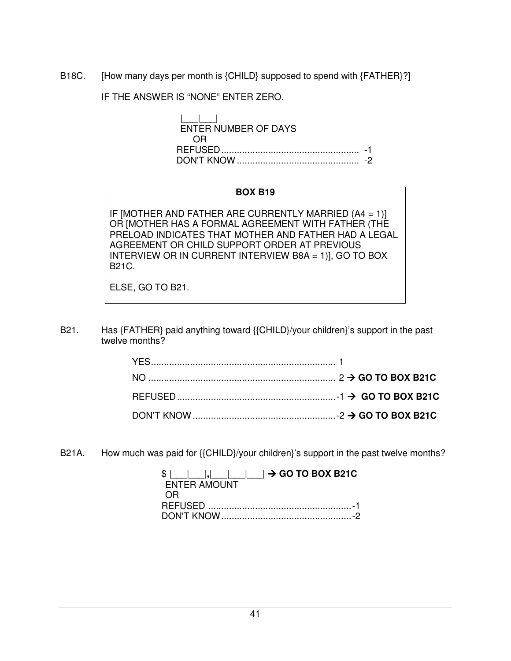B18C. [How many days per month is {CHILD} supposed to spend with {FATHER}?]

IF THE ANSWER IS "NONE" ENTER ZERO.

 $|_{-}|$  ENTER NUMBER OF DAYS OR REFUSED ..................................................... -1 DON'T KNOW ............................................... -2

#### **BOX B19**

IF [MOTHER AND FATHER ARE CURRENTLY MARRIED (A4 = 1)] OR [MOTHER HAS A FORMAL AGREEMENT WITH FATHER (THE PRELOAD INDICATES THAT MOTHER AND FATHER HAD A LEGAL AGREEMENT OR CHILD SUPPORT ORDER AT PREVIOUS INTERVIEW OR IN CURRENT INTERVIEW B8A = 1)], GO TO BOX B21C.

ELSE, GO TO B21.

B21. Has {FATHER} paid anything toward {{CHILD}/your children}'s support in the past twelve months?

B21A. How much was paid for {{CHILD}/your children}'s support in the past twelve months?

|              | $\frac{1}{2}$ $\frac{1}{2}$ $\frac{1}{2}$ $\frac{1}{2}$ $\frac{1}{2}$ $\frac{1}{2}$ GO TO BOX B21C |
|--------------|----------------------------------------------------------------------------------------------------|
| ENTER AMOUNT |                                                                                                    |
| 0R           |                                                                                                    |
|              |                                                                                                    |
|              |                                                                                                    |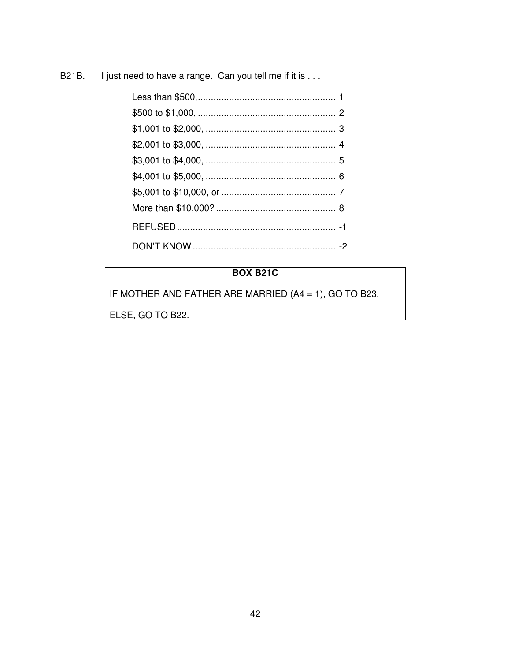**B21B.** I just need to have a range. Can you tell me if it is . . .

# **BOX B21C**

IF MOTHER AND FATHER ARE MARRIED (A4 = 1), GO TO B23.

ELSE, GO TO B22.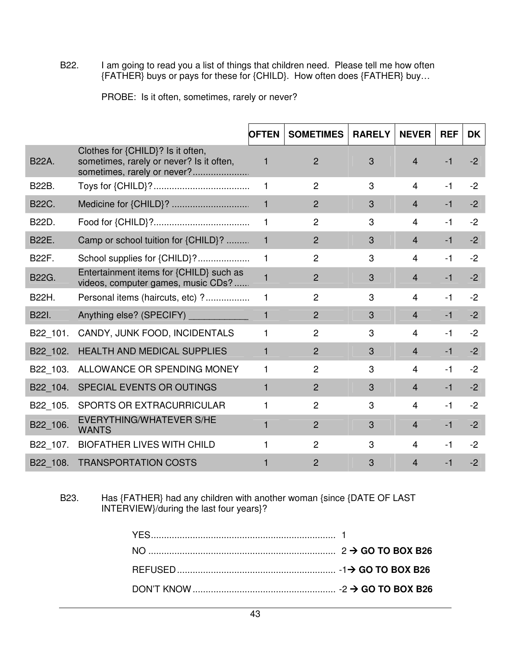B22. I am going to read you a list of things that children need. Please tell me how often {FATHER} buys or pays for these for {CHILD}. How often does {FATHER} buy…

| PROBE: Is it often, sometimes, rarely or never? |  |  |  |  |
|-------------------------------------------------|--|--|--|--|
|-------------------------------------------------|--|--|--|--|

|              |                                                                                                              | <b>OFTEN</b> | <b>SOMETIMES</b> | <b>RARELY</b> | <b>NEVER</b>   | <b>REF</b> | <b>DK</b> |
|--------------|--------------------------------------------------------------------------------------------------------------|--------------|------------------|---------------|----------------|------------|-----------|
| <b>B22A.</b> | Clothes for {CHILD}? Is it often,<br>sometimes, rarely or never? Is it often,<br>sometimes, rarely or never? | 1            | $\overline{2}$   | 3             | $\overline{4}$ | $-1$       | $-2$      |
| <b>B22B.</b> |                                                                                                              | $\mathbf 1$  | $\overline{2}$   | 3             | $\overline{4}$ | $-1$       | $-2$      |
| <b>B22C.</b> |                                                                                                              | $\mathbf{1}$ | $\overline{2}$   | 3             | $\overline{4}$ | $-1$       | $-2$      |
| B22D.        |                                                                                                              | 1.           | $\overline{2}$   | 3             | 4              | $-1$       | $-2$      |
| <b>B22E.</b> | Camp or school tuition for {CHILD}?                                                                          | $\mathbf{1}$ | $\overline{2}$   | 3             | $\overline{4}$ | $-1$       | $-2$      |
| <b>B22F.</b> | School supplies for {CHILD}?                                                                                 | 1.           | $\overline{2}$   | 3             | 4              | -1         | $-2$      |
| <b>B22G.</b> | Entertainment items for {CHILD} such as<br>videos, computer games, music CDs?                                | 1            | $\overline{2}$   | 3             | $\overline{4}$ | $-1$       | $-2$      |
| B22H.        | Personal items (haircuts, etc) ?                                                                             | 1            | $\overline{2}$   | 3             | 4              | $-1$       | $-2$      |
| B22I.        | Anything else? (SPECIFY) ______________                                                                      | $\mathbf{1}$ | $\overline{2}$   | 3             | $\overline{4}$ | $-1$       | $-2$      |
| B22 101.     | CANDY, JUNK FOOD, INCIDENTALS                                                                                | 1            | $\overline{2}$   | 3             | 4              | $-1$       | $-2$      |
| B22 102.     | <b>HEALTH AND MEDICAL SUPPLIES</b>                                                                           | 1            | $\overline{2}$   | 3             | $\overline{4}$ | $-1$       | $-2$      |
| B22 103.     | ALLOWANCE OR SPENDING MONEY                                                                                  | 1            | $\overline{2}$   | 3             | 4              | $-1$       | $-2$      |
| B22 104.     | SPECIAL EVENTS OR OUTINGS                                                                                    | 1            | $\overline{2}$   | 3             | $\overline{4}$ | $-1$       | $-2$      |
| B22 105.     | SPORTS OR EXTRACURRICULAR                                                                                    | 1            | $\overline{2}$   | 3             | $\overline{4}$ | $-1$       | $-2$      |
| B22 106.     | <b>EVERYTHING/WHATEVER S/HE</b><br><b>WANTS</b>                                                              | 1            | $\overline{2}$   | 3             | $\overline{4}$ | $-1$       | $-2$      |
| B22 107.     | <b>BIOFATHER LIVES WITH CHILD</b>                                                                            | 1            | $\overline{2}$   | 3             | $\overline{4}$ | $-1$       | $-2$      |
| B22 108.     | <b>TRANSPORTATION COSTS</b>                                                                                  |              | 2                | 3             | 4              | $-1$       | $-2$      |

B23. Has {FATHER} had any children with another woman {since {DATE OF LAST INTERVIEW}/during the last four years}?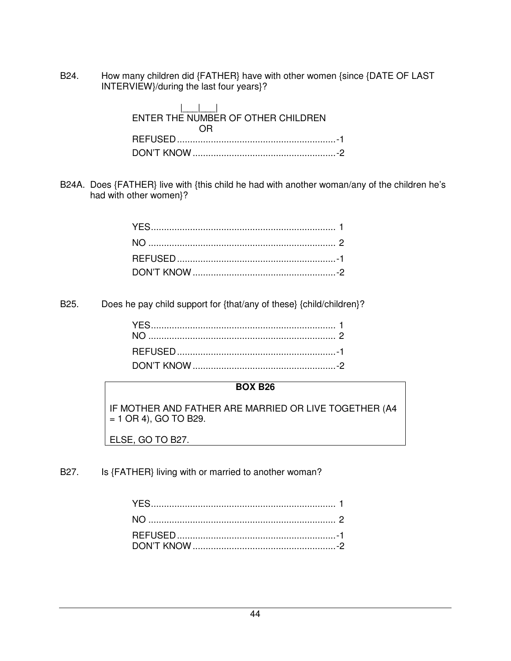B24. How many children did {FATHER} have with other women {since {DATE OF LAST INTERVIEW}/during the last four years}?

| ENTER THE NUMBER OF OTHER CHILDREN |
|------------------------------------|
|                                    |
|                                    |
|                                    |

B24A. Does {FATHER} live with {this child he had with another woman/any of the children he's had with other women}?

B25. Does he pay child support for {that/any of these} {child/children}?

## **BOX B26**

IF MOTHER AND FATHER ARE MARRIED OR LIVE TOGETHER (A4  $= 1$  OR 4), GO TO B29.

ELSE, GO TO B27.

B27. Is {FATHER} living with or married to another woman?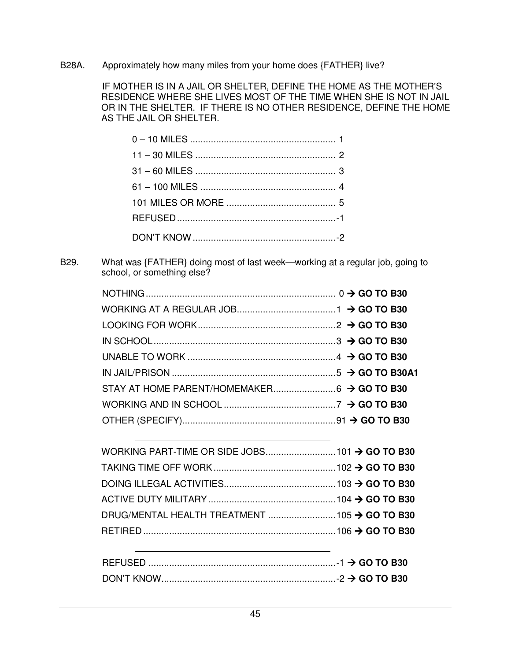B28A. Approximately how many miles from your home does {FATHER} live?

 IF MOTHER IS IN A JAIL OR SHELTER, DEFINE THE HOME AS THE MOTHER'S RESIDENCE WHERE SHE LIVES MOST OF THE TIME WHEN SHE IS NOT IN JAIL OR IN THE SHELTER. IF THERE IS NO OTHER RESIDENCE, DEFINE THE HOME AS THE JAIL OR SHELTER.

B29. What was {FATHER} doing most of last week—working at a regular job, going to school, or something else?

| REFUSED. |  |
|----------|--|
|          |  |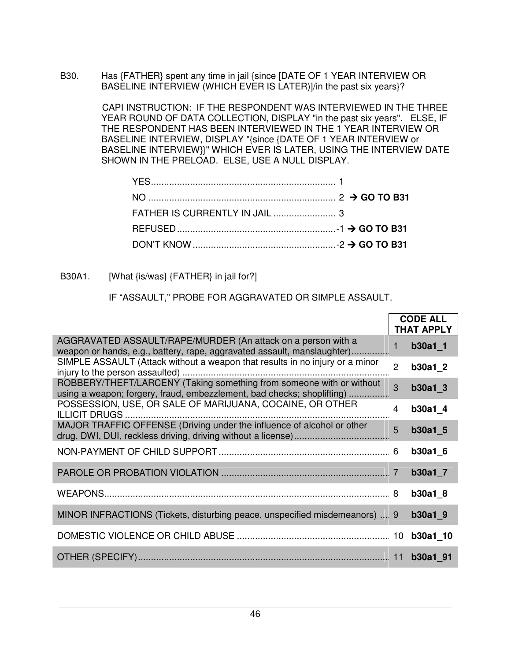B30. Has {FATHER} spent any time in jail {since [DATE OF 1 YEAR INTERVIEW OR BASELINE INTERVIEW (WHICH EVER IS LATER)]/in the past six years}?

> CAPI INSTRUCTION: IF THE RESPONDENT WAS INTERVIEWED IN THE THREE YEAR ROUND OF DATA COLLECTION, DISPLAY "in the past six years". ELSE, IF THE RESPONDENT HAS BEEN INTERVIEWED IN THE 1 YEAR INTERVIEW OR BASELINE INTERVIEW, DISPLAY "{since {DATE OF 1 YEAR INTERVIEW or BASELINE INTERVIEW }}" WHICH EVER IS LATER, USING THE INTERVIEW DATE SHOWN IN THE PRELOAD. ELSE, USE A NULL DISPLAY.

B30A1. [What {is/was} {FATHER} in jail for?]

IF "ASSAULT," PROBE FOR AGGRAVATED OR SIMPLE ASSAULT.

|                                                                                                                                                |                | <b>CODE ALL</b><br><b>THAT APPLY</b> |
|------------------------------------------------------------------------------------------------------------------------------------------------|----------------|--------------------------------------|
| AGGRAVATED ASSAULT/RAPE/MURDER (An attack on a person with a<br>weapon or hands, e.g., battery, rape, aggravated assault, manslaughter)        | 1              | $b30a1_1$                            |
| SIMPLE ASSAULT (Attack without a weapon that results in no injury or a minor                                                                   | $\overline{2}$ | b30a1 2                              |
| ROBBERY/THEFT/LARCENY (Taking something from someone with or without<br>using a weapon; forgery, fraud, embezzlement, bad checks; shoplifting) | 3              | b30a1 3                              |
| POSSESSION, USE, OR SALE OF MARIJUANA, COCAINE, OR OTHER                                                                                       | 4              | b30a1 4                              |
| MAJOR TRAFFIC OFFENSE (Driving under the influence of alcohol or other                                                                         | 5              | b30a1 5                              |
|                                                                                                                                                |                | <b>b30a1 6</b>                       |
|                                                                                                                                                |                | $b30a1$ 7                            |
|                                                                                                                                                |                | <b>b30a1 8</b>                       |
| MINOR INFRACTIONS (Tickets, disturbing peace, unspecified misdemeanors)  9                                                                     |                | b30a1 9                              |
|                                                                                                                                                |                |                                      |
|                                                                                                                                                |                |                                      |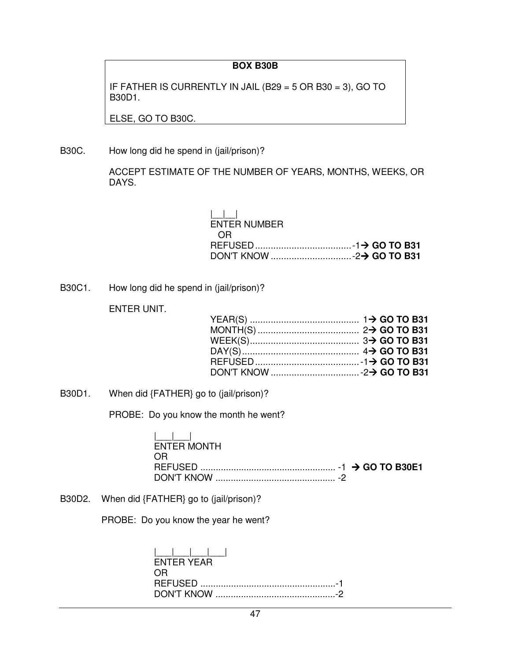#### **BOX B30B**

IF FATHER IS CURRENTLY IN JAIL (B29 = 5 OR B30 = 3), GO TO B30D1.

ELSE, GO TO B30C.

B30C. How long did he spend in (jail/prison)?

 ACCEPT ESTIMATE OF THE NUMBER OF YEARS, MONTHS, WEEKS, OR DAYS.

| $\Box$              |  |
|---------------------|--|
| <b>ENTER NUMBER</b> |  |
| - OR                |  |
|                     |  |
|                     |  |

B30C1. How long did he spend in (jail/prison)?

ENTER UNIT.

B30D1. When did {FATHER} go to (jail/prison)?

PROBE: Do you know the month he went?

|\_\_\_|\_\_\_| ENTER MONTH OR REFUSED ..................................................... -1 **GO TO B30E1** DON'T KNOW ............................................... -2

B30D2. When did {FATHER} go to (jail/prison)?

PROBE: Do you know the year he went?

| <b>FNTFR YFAR</b> |  |
|-------------------|--|
| OR.               |  |
|                   |  |
|                   |  |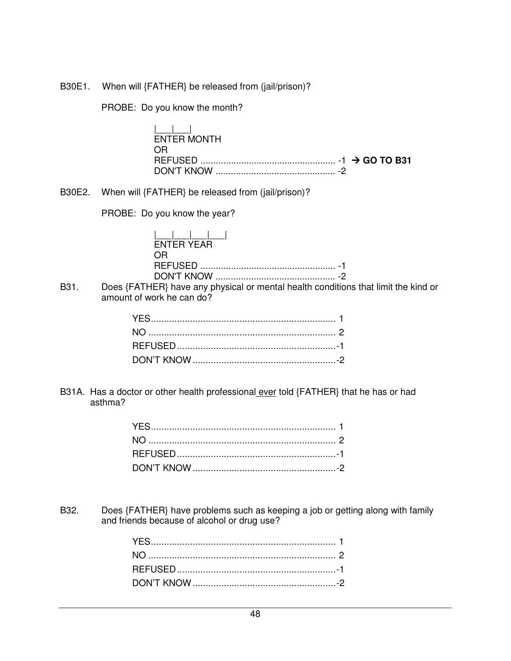B30E1. When will {FATHER} be released from (jail/prison)?

PROBE: Do you know the month?

| المساحطة<br>ENTER MONTH |  |
|-------------------------|--|
| OR.                     |  |
|                         |  |
|                         |  |

B30E2. When will {FATHER} be released from (jail/prison)?

PROBE: Do you know the year?

| ENTER YEAR |
|------------|
| OR.        |
|            |
|            |

B31. Does {FATHER} have any physical or mental health conditions that limit the kind or amount of work he can do?

B31A. Has a doctor or other health professional ever told {FATHER} that he has or had asthma?

B32. Does {FATHER} have problems such as keeping a job or getting along with family and friends because of alcohol or drug use?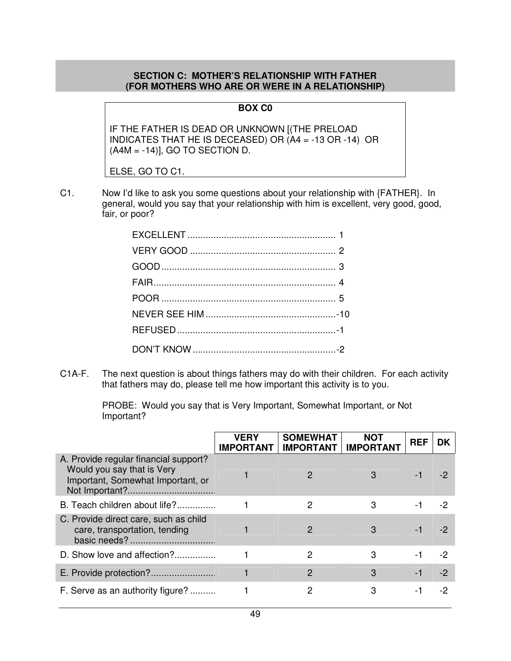#### **SECTION C: MOTHER'S RELATIONSHIP WITH FATHER (FOR MOTHERS WHO ARE OR WERE IN A RELATIONSHIP)**

#### **BOX C0**

IF THE FATHER IS DEAD OR UNKNOWN [(THE PRELOAD INDICATES THAT HE IS DECEASED) OR (A4 = -13 OR -14) OR  $(A4M = -14)$ ], GO TO SECTION D.

ELSE, GO TO C1.

C1. Now I'd like to ask you some questions about your relationship with {FATHER}. In general, would you say that your relationship with him is excellent, very good, good, fair, or poor?

C1A-F. The next question is about things fathers may do with their children. For each activity that fathers may do, please tell me how important this activity is to you.

> PROBE: Would you say that is Very Important, Somewhat Important, or Not Important?

|                                                                                                          | <b>VERY</b><br><b>IMPORTANT</b> | <b>SOMEWHAT</b><br><b>IMPORTANT</b> | <b>NOT</b><br><b>IMPORTANT</b> | <b>REF</b> | DK.  |
|----------------------------------------------------------------------------------------------------------|---------------------------------|-------------------------------------|--------------------------------|------------|------|
| A. Provide regular financial support?<br>Would you say that is Very<br>Important, Somewhat Important, or |                                 |                                     |                                |            |      |
| B. Teach children about life?                                                                            |                                 | 2                                   | 3                              | -1         | -2   |
| C. Provide direct care, such as child<br>care, transportation, tending                                   |                                 | 2                                   | 3                              | -1         |      |
| D. Show love and affection?                                                                              |                                 | 2                                   | 3                              | -1         | -2   |
|                                                                                                          |                                 | $\overline{2}$                      | 3                              | $-1$       | $-2$ |
| F. Serve as an authority figure?                                                                         |                                 | 2                                   | 3                              | -1         | -2   |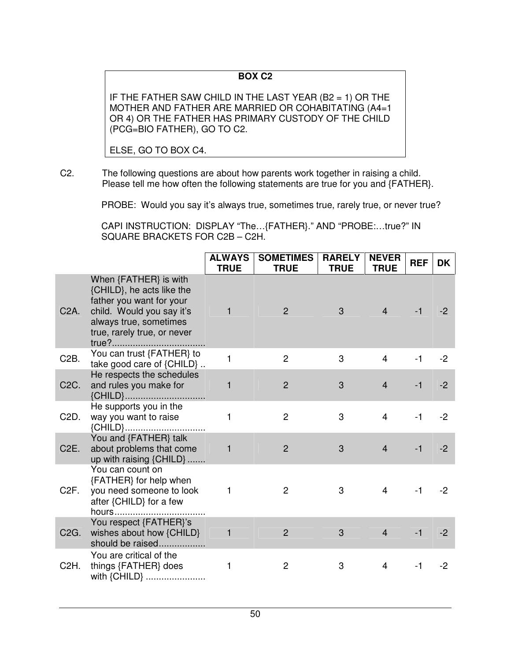# **BOX C2**

IF THE FATHER SAW CHILD IN THE LAST YEAR (B2 = 1) OR THE MOTHER AND FATHER ARE MARRIED OR COHABITATING (A4=1 OR 4) OR THE FATHER HAS PRIMARY CUSTODY OF THE CHILD (PCG=BIO FATHER), GO TO C2.

ELSE, GO TO BOX C4.

C2. The following questions are about how parents work together in raising a child. Please tell me how often the following statements are true for you and {FATHER}.

PROBE: Would you say it's always true, sometimes true, rarely true, or never true?

 CAPI INSTRUCTION: DISPLAY "The…{FATHER}." AND "PROBE:…true?" IN SQUARE BRACKETS FOR C2B – C2H.

|                   |                                                                                                                                                                      | <b>ALWAYS</b><br><b>TRUE</b> | <b>SOMETIMES</b><br><b>TRUE</b> | <b>RARELY</b><br><b>TRUE</b> | <b>NEVER</b><br><b>TRUE</b> | <b>REF</b> | <b>DK</b> |
|-------------------|----------------------------------------------------------------------------------------------------------------------------------------------------------------------|------------------------------|---------------------------------|------------------------------|-----------------------------|------------|-----------|
| C <sub>2</sub> A. | When {FATHER} is with<br>{CHILD}, he acts like the<br>father you want for your<br>child. Would you say it's<br>always true, sometimes<br>true, rarely true, or never | ٦                            | $\overline{2}$                  | 3                            | $\overline{4}$              | $-1$       | $-2$      |
| C <sub>2</sub> B. | You can trust {FATHER} to<br>take good care of {CHILD}                                                                                                               | $\mathbf{1}$                 | $\overline{c}$                  | 3                            | $\overline{4}$              | $-1$       | $-2$      |
| C <sub>2</sub> C. | He respects the schedules<br>and rules you make for<br>{CHILD}                                                                                                       | $\mathbf{1}$                 | $\overline{2}$                  | 3                            | $\overline{4}$              | $-1$       | $-2$      |
| C <sub>2</sub> D. | He supports you in the<br>way you want to raise<br>{CHILD}                                                                                                           | 1                            | $\overline{2}$                  | 3                            | $\overline{4}$              | $-1$       | $-2$      |
| C <sub>2</sub> E. | You and {FATHER} talk<br>about problems that come<br>up with raising {CHILD}                                                                                         | $\mathbf{1}$                 | $\overline{2}$                  | 3                            | $\overline{4}$              | $-1$       | $-2$      |
| C <sub>2</sub> F. | You can count on<br>{FATHER} for help when<br>you need someone to look<br>after {CHILD} for a few                                                                    | 1                            | 2                               | 3                            | $\overline{4}$              | $-1$       | $-2$      |
| C <sub>2</sub> G. | You respect {FATHER}'s<br>wishes about how {CHILD}<br>should be raised                                                                                               | $\mathbf{1}$                 | $\overline{2}$                  | 3                            | $\overline{4}$              | $-1$       | $-2$      |
| C <sub>2</sub> H. | You are critical of the<br>things {FATHER} does<br>with {CHILD}                                                                                                      | 1                            | $\overline{c}$                  | 3                            | 4                           | $-1$       | $-2$      |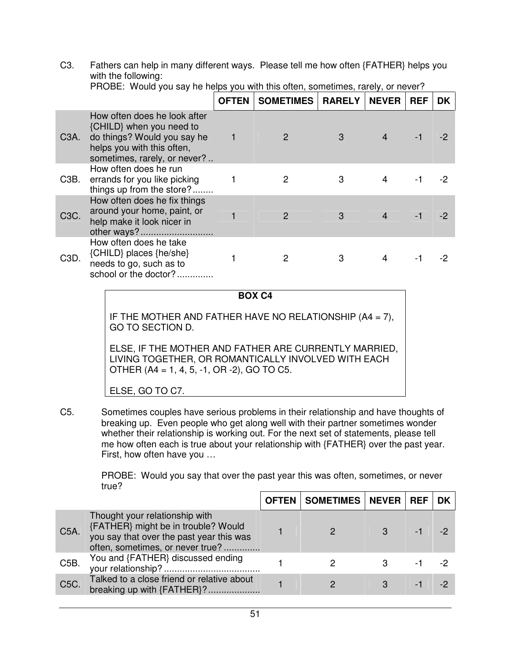C3. Fathers can help in many different ways. Please tell me how often {FATHER} helps you with the following:

|                   | r robe. Trodia you cay no noipo you marano ononi, comoannoo, raroiy, or novor .                                                                       |              |                           |   |              |            |           |  |  |
|-------------------|-------------------------------------------------------------------------------------------------------------------------------------------------------|--------------|---------------------------|---|--------------|------------|-----------|--|--|
|                   |                                                                                                                                                       | <b>OFTEN</b> | <b>SOMETIMES   RARELY</b> |   | <b>NEVER</b> | <b>REF</b> | <b>DK</b> |  |  |
| C <sub>3</sub> A. | How often does he look after<br>{CHILD} when you need to<br>do things? Would you say he<br>helps you with this often,<br>sometimes, rarely, or never? |              | $\mathcal{P}$             | 3 |              |            |           |  |  |
| C <sub>3</sub> B. | How often does he run<br>errands for you like picking<br>things up from the store?                                                                    |              | 2                         | 3 | 4            | -1         | -2        |  |  |
| C3C.              | How often does he fix things<br>around your home, paint, or<br>help make it look nicer in                                                             |              |                           | 3 |              |            |           |  |  |
| C <sub>3</sub> D. | How often does he take<br>{CHILD} places {he/she}<br>needs to go, such as to<br>school or the doctor?                                                 |              |                           | 3 | 4            |            |           |  |  |

PROBE: Would you say he helps you with this often, sometimes, rarely, or never?

| r<br>ш<br>. .<br>v | 9 |
|--------------------|---|

IF THE MOTHER AND FATHER HAVE NO RELATIONSHIP (A4 = 7), GO TO SECTION D.

ELSE, IF THE MOTHER AND FATHER ARE CURRENTLY MARRIED, LIVING TOGETHER, OR ROMANTICALLY INVOLVED WITH EACH OTHER (A4 = 1, 4, 5, -1, OR -2), GO TO C5.

ELSE, GO TO C7.

C5. Sometimes couples have serious problems in their relationship and have thoughts of breaking up. Even people who get along well with their partner sometimes wonder whether their relationship is working out. For the next set of statements, please tell me how often each is true about your relationship with {FATHER} over the past year. First, how often have you …

> PROBE: Would you say that over the past year this was often, sometimes, or never true?

|                   |                                                                                                                                                       | OFTEN   SOMETIMES   NEVER   REF |     | <b>DK</b> |
|-------------------|-------------------------------------------------------------------------------------------------------------------------------------------------------|---------------------------------|-----|-----------|
| C5A               | Thought your relationship with<br>{FATHER} might be in trouble? Would<br>you say that over the past year this was<br>often, sometimes, or never true? |                                 | - 1 |           |
| C <sub>5</sub> B. | You and {FATHER} discussed ending                                                                                                                     |                                 | - 1 |           |
| C5C.              | Talked to a close friend or relative about<br>breaking up with {FATHER}?                                                                              |                                 | - 1 |           |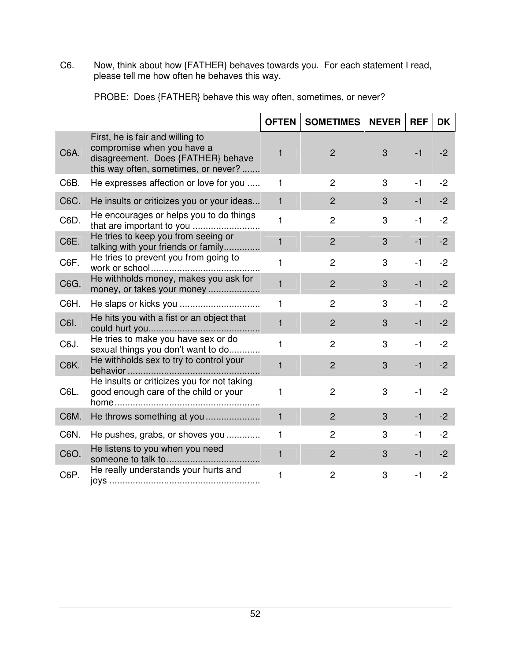C6. Now, think about how {FATHER} behaves towards you. For each statement I read, please tell me how often he behaves this way.

|      |                                                                                                                                              | <b>OFTEN</b> | <b>SOMETIMES</b> | <b>NEVER</b> | <b>REF</b> | DK   |
|------|----------------------------------------------------------------------------------------------------------------------------------------------|--------------|------------------|--------------|------------|------|
| C6A. | First, he is fair and willing to<br>compromise when you have a<br>disagreement. Does {FATHER} behave<br>this way often, sometimes, or never? | 1            | $\overline{2}$   | 3            | $-1$       | $-2$ |
| C6B. | He expresses affection or love for you                                                                                                       | 1            | $\overline{c}$   | 3            | $-1$       | $-2$ |
| C6C. | He insults or criticizes you or your ideas                                                                                                   | $\mathbf{1}$ | $\overline{2}$   | 3            | $-1$       | $-2$ |
| C6D. | He encourages or helps you to do things                                                                                                      | $\mathbf{1}$ | $\overline{2}$   | 3            | $-1$       | $-2$ |
| C6E. | He tries to keep you from seeing or<br>talking with your friends or family                                                                   | 1            | $\overline{2}$   | 3            | $-1$       | $-2$ |
| C6F. | He tries to prevent you from going to                                                                                                        | 1            | $\overline{c}$   | 3            | $-1$       | $-2$ |
| C6G. | He withholds money, makes you ask for<br>money, or takes your money                                                                          | 1            | $\overline{2}$   | 3            | $-1$       | $-2$ |
| C6H. |                                                                                                                                              | 1            | $\overline{c}$   | 3            | $-1$       | $-2$ |
| C6I. | He hits you with a fist or an object that                                                                                                    | 1            | $\overline{2}$   | 3            | $-1$       | $-2$ |
| C6J. | He tries to make you have sex or do<br>sexual things you don't want to do                                                                    | 1            | $\overline{2}$   | 3            | $-1$       | $-2$ |
| C6K. | He withholds sex to try to control your                                                                                                      | 1            | $\overline{2}$   | 3            | $-1$       | $-2$ |
| C6L. | He insults or criticizes you for not taking<br>good enough care of the child or your                                                         | 1            | $\overline{c}$   | 3            | $-1$       | $-2$ |
| C6M. | He throws something at you                                                                                                                   | $\mathbf{1}$ | $\overline{2}$   | 3            | $-1$       | $-2$ |
| C6N. | He pushes, grabs, or shoves you                                                                                                              | 1            | $\overline{2}$   | 3            | $-1$       | $-2$ |
| C6O. | He listens to you when you need                                                                                                              | 1            | $\overline{2}$   | 3            | $-1$       | $-2$ |
| C6P. | He really understands your hurts and                                                                                                         | 1            | $\overline{c}$   | 3            | $-1$       | $-2$ |

PROBE: Does {FATHER} behave this way often, sometimes, or never?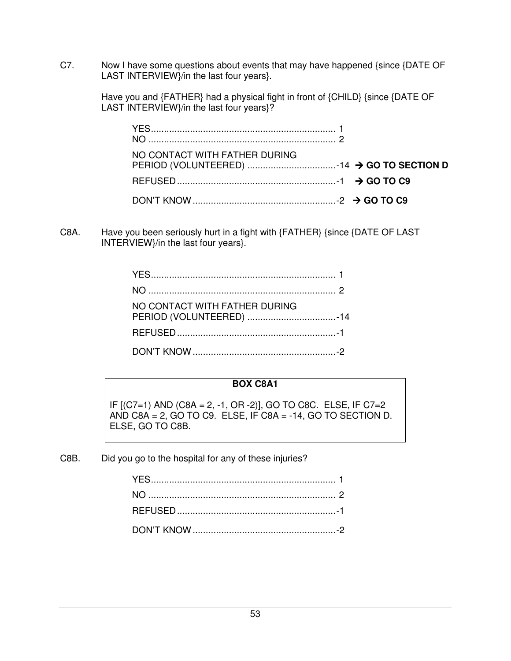C7. Now I have some questions about events that may have happened {since {DATE OF LAST INTERVIEW}/in the last four years}.

> Have you and {FATHER} had a physical fight in front of {CHILD} {since {DATE OF LAST INTERVIEW}/in the last four years}?

| NO CONTACT WITH FATHER DURING |  |  |
|-------------------------------|--|--|
|                               |  |  |
|                               |  |  |

C8A. Have you been seriously hurt in a fight with {FATHER} {since {DATE OF LAST INTERVIEW}/in the last four years}.

| NO CONTACT WITH FATHER DURING |  |
|-------------------------------|--|
|                               |  |
|                               |  |

# **BOX C8A1**

IF [(C7=1) AND (C8A = 2, -1, OR -2)], GO TO C8C. ELSE, IF C7=2 AND  $C8A = 2$ , GO TO C9. ELSE, IF  $C8A = -14$ , GO TO SECTION D. ELSE, GO TO C8B.

C8B. Did you go to the hospital for any of these injuries?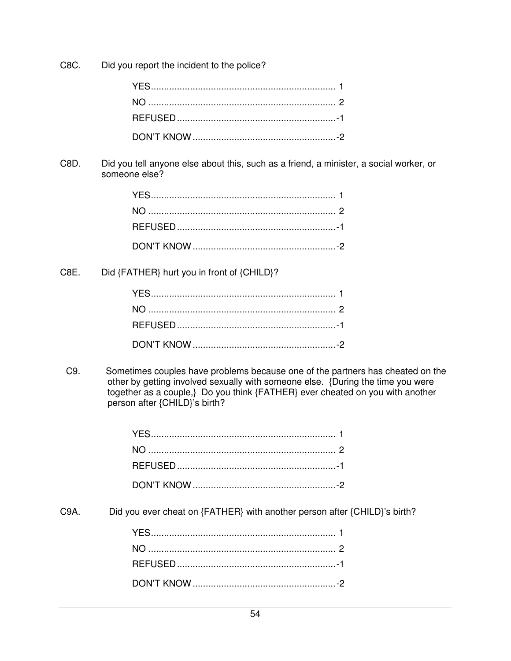C8C. Did you report the incident to the police?

C8D. Did you tell anyone else about this, such as a friend, a minister, a social worker, or someone else?

C8E. Did {FATHER} hurt you in front of {CHILD}?

C9. Sometimes couples have problems because one of the partners has cheated on the other by getting involved sexually with someone else. {During the time you were together as a couple,} Do you think {FATHER} ever cheated on you with another person after {CHILD}'s birth?

C<sub>9</sub>A. Did you ever cheat on {FATHER} with another person after {CHILD}'s birth?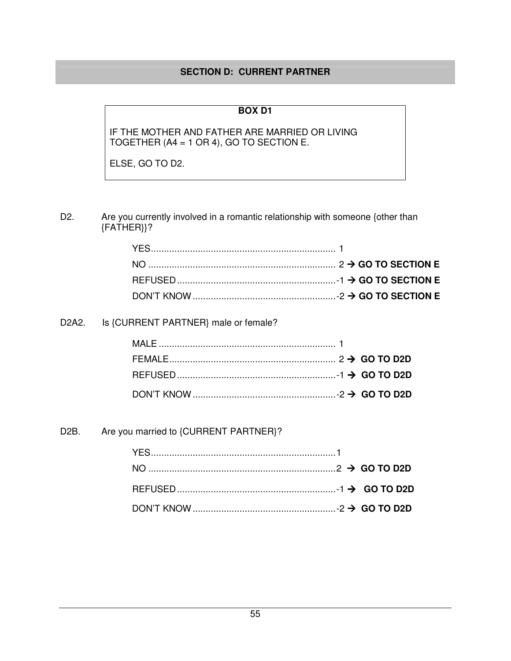## **SECTION D: CURRENT PARTNER**

# **BOX D1**

IF THE MOTHER AND FATHER ARE MARRIED OR LIVING TOGETHER (A4 = 1 OR 4), GO TO SECTION E.

ELSE, GO TO D2.

D2. Are you currently involved in a romantic relationship with someone {other than {FATHER}}?

### D2A2. Is {CURRENT PARTNER} male or female?

# D2B. Are you married to {CURRENT PARTNER}?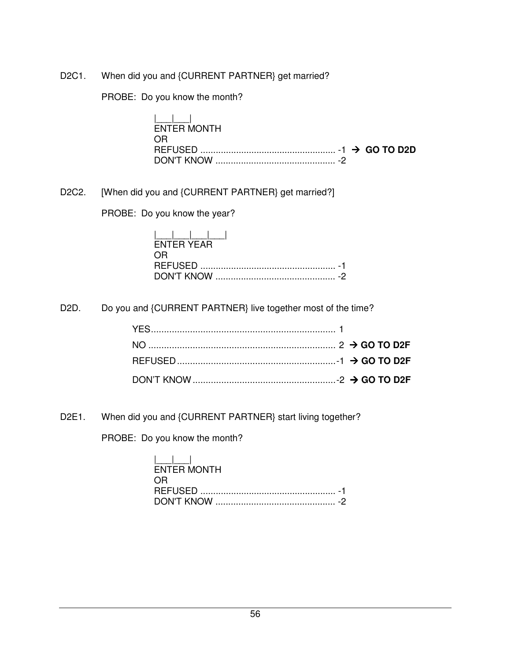D2C1. When did you and {CURRENT PARTNER} get married?

PROBE: Do you know the month?

|\_\_\_|\_\_\_| ENTER MONTH OR REFUSED ..................................................... -1 **GO TO D2D** DON'T KNOW ............................................... -2

D2C2. [When did you and {CURRENT PARTNER} get married?]

PROBE: Do you know the year?

| <b>FNTER YEAR</b> |
|-------------------|
| OR.               |
|                   |
|                   |

D2D. Do you and {CURRENT PARTNER} live together most of the time?

D2E1. When did you and {CURRENT PARTNER} start living together?

PROBE: Do you know the month?

| المساحط المسا      |
|--------------------|
| <b>ENTER MONTH</b> |
| OR.                |
|                    |
|                    |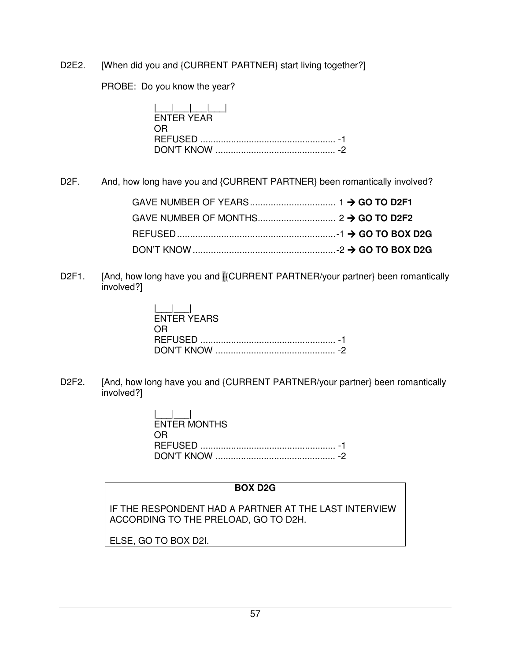## D2E2. [When did you and {CURRENT PARTNER} start living together?]

PROBE: Do you know the year?

| <b>FNTFR YFAR</b> |  |
|-------------------|--|
| OR.               |  |
|                   |  |
|                   |  |

D2F. And, how long have you and {CURRENT PARTNER} been romantically involved?

D2F1. [And, how long have you and **[{CURRENT PARTNER/your partner}** been romantically involved?]

| <b>FNTER YEARS</b> |  |
|--------------------|--|
| 0 H                |  |
|                    |  |

D2F2. [And, how long have you and {CURRENT PARTNER/your partner} been romantically involved?]

> $|1|$  ENTER MONTHS OR REFUSED ..................................................... -1 DON'T KNOW ............................................... -2

## **BOX D2G**

IF THE RESPONDENT HAD A PARTNER AT THE LAST INTERVIEW ACCORDING TO THE PRELOAD, GO TO D2H.

ELSE, GO TO BOX D2I.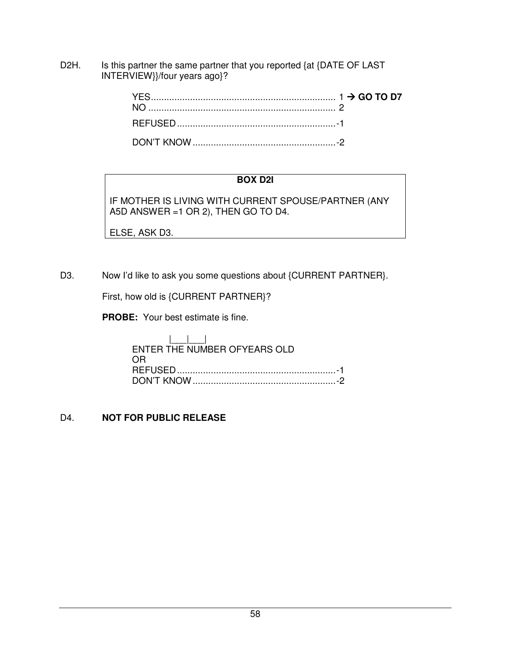D2H. Is this partner the same partner that you reported {at {DATE OF LAST INTERVIEW}}/four years ago}?

# **BOX D2I**

IF MOTHER IS LIVING WITH CURRENT SPOUSE/PARTNER (ANY A5D ANSWER =1 OR 2), THEN GO TO D4.

ELSE, ASK D3.

D3. Now I'd like to ask you some questions about {CURRENT PARTNER}.

First, how old is {CURRENT PARTNER}?

**PROBE:** Your best estimate is fine.

| ENTER THE NUMBER OFYEARS OLD |  |
|------------------------------|--|
| 0 R                          |  |
|                              |  |
|                              |  |

## D4. **NOT FOR PUBLIC RELEASE**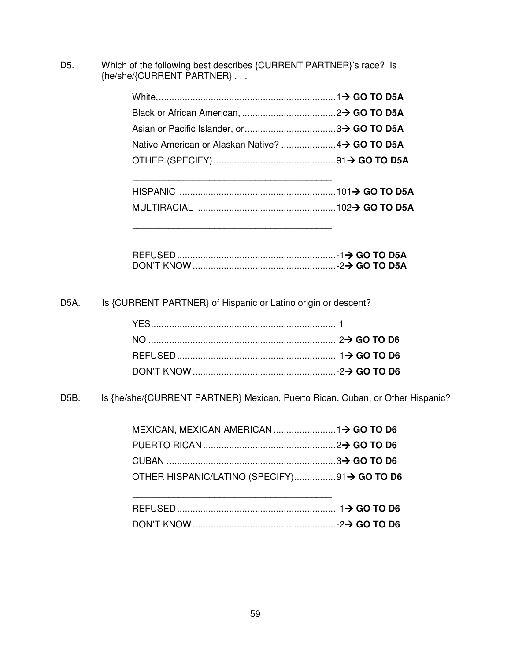D5. Which of the following best describes {CURRENT PARTNER}'s race? Is {he/she/{CURRENT PARTNER} . . .

D5A. Is {CURRENT PARTNER} of Hispanic or Latino origin or descent?

\_\_\_\_\_\_\_\_\_\_\_\_\_\_\_\_\_\_\_\_\_\_\_\_\_\_\_\_\_\_\_\_\_\_\_\_\_\_\_

\_\_\_\_\_\_\_\_\_\_\_\_\_\_\_\_\_\_\_\_\_\_\_\_\_\_\_\_\_\_\_\_\_\_\_\_\_\_\_

D<sub>5</sub>B. Is {he/she/{CURRENT PARTNER} Mexican, Puerto Rican, Cuban, or Other Hispanic?

| OTHER HISPANIC/LATINO (SPECIFY)91→ GO TO D6 |  |
|---------------------------------------------|--|
|                                             |  |

| REFUSED. |  |
|----------|--|
|          |  |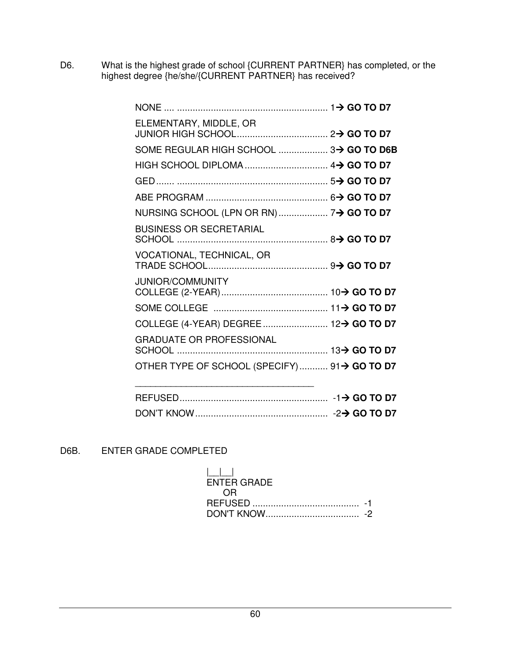D6. What is the highest grade of school {CURRENT PARTNER} has completed, or the highest degree {he/she/{CURRENT PARTNER} has received?

| ELEMENTARY, MIDDLE, OR                      |  |
|---------------------------------------------|--|
| SOME REGULAR HIGH SCHOOL  3→ GO TO D6B      |  |
|                                             |  |
|                                             |  |
|                                             |  |
|                                             |  |
| <b>BUSINESS OR SECRETARIAL</b>              |  |
| VOCATIONAL, TECHNICAL, OR                   |  |
| <b>JUNIOR/COMMUNITY</b>                     |  |
|                                             |  |
|                                             |  |
| <b>GRADUATE OR PROFESSIONAL</b>             |  |
| OTHER TYPE OF SCHOOL (SPECIFY) 91→ GO TO D7 |  |
|                                             |  |

# D6B. ENTER GRADE COMPLETED

| $\mathbf{1}$ and $\mathbf{1}$ |  |
|-------------------------------|--|
| ENTER GRADE                   |  |
| OR.                           |  |
|                               |  |
|                               |  |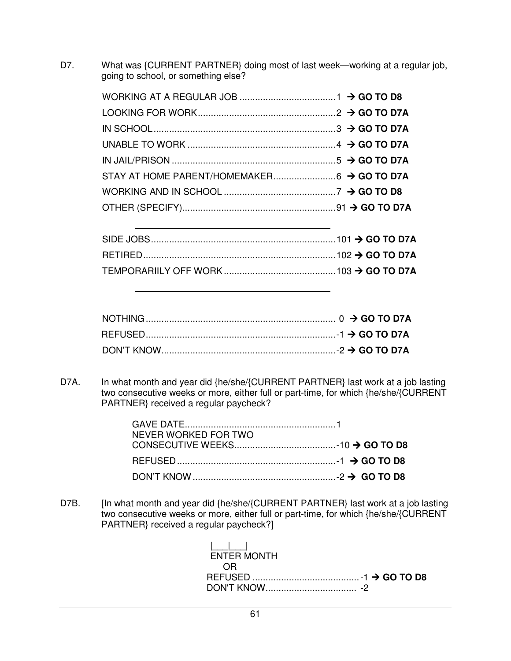D7. What was {CURRENT PARTNER} doing most of last week—working at a regular job, going to school, or something else?

D7A. In what month and year did {he/she/{CURRENT PARTNER} last work at a job lasting two consecutive weeks or more, either full or part-time, for which {he/she/{CURRENT PARTNER} received a regular paycheck?

| NEVER WORKED FOR TWO |  |
|----------------------|--|
|                      |  |
|                      |  |
|                      |  |

D7B. [In what month and year did {he/she/{CURRENT PARTNER} last work at a job lasting two consecutive weeks or more, either full or part-time, for which {he/she/{CURRENT PARTNER} received a regular paycheck?]

> |\_\_\_|\_\_\_| ENTER MONTH OR REFUSED ......................................... -1 **GO TO D8** DON'T KNOW ................................... -2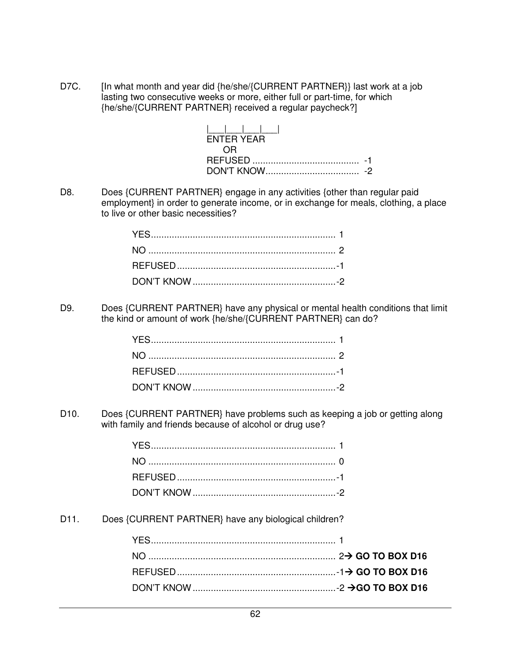D7C. [In what month and year did {he/she/{CURRENT PARTNER}} last work at a job lasting two consecutive weeks or more, either full or part-time, for which {he/she/{CURRENT PARTNER} received a regular paycheck?]

| $\mathbf{1}$ $\mathbf{1}$ $\mathbf{1}$ $\mathbf{1}$ |  |
|-----------------------------------------------------|--|
| <b>FNTER YEAR</b>                                   |  |
|                                                     |  |
|                                                     |  |
|                                                     |  |

D8. Does {CURRENT PARTNER} engage in any activities {other than regular paid employment} in order to generate income, or in exchange for meals, clothing, a place to live or other basic necessities?

D9. Does {CURRENT PARTNER} have any physical or mental health conditions that limit the kind or amount of work {he/she/{CURRENT PARTNER} can do?

D10. Does {CURRENT PARTNER} have problems such as keeping a job or getting along with family and friends because of alcohol or drug use?

D11. Does {CURRENT PARTNER} have any biological children?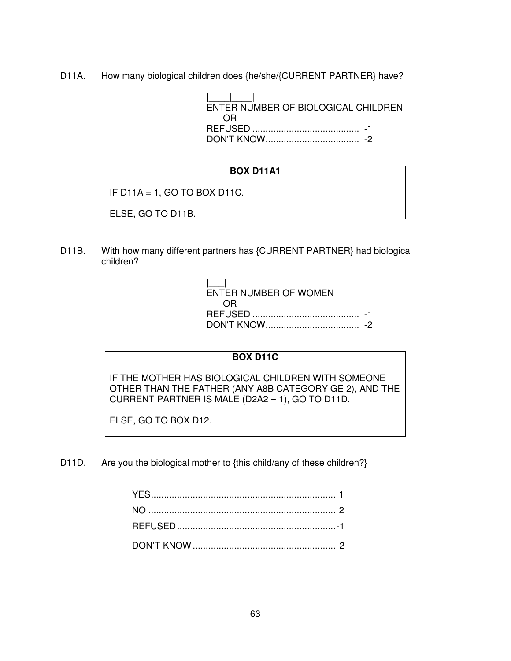D11A. How many biological children does {he/she/{CURRENT PARTNER} have?

 |\_\_\_\_|\_\_\_\_| ENTER NUMBER OF BIOLOGICAL CHILDREN OR REFUSED ......................................... -1 DON'T KNOW .................................... -2

# **BOX D11A1**

IF  $D11A = 1$ , GO TO BOX D11C.

ELSE, GO TO D11B.

D11B. With how many different partners has {CURRENT PARTNER} had biological children?

 |\_\_\_| ENTER NUMBER OF WOMEN OR REFUSED ......................................... -1 DON'T KNOW .................................... -2

## **BOX D11C**

IF THE MOTHER HAS BIOLOGICAL CHILDREN WITH SOMEONE OTHER THAN THE FATHER (ANY A8B CATEGORY GE 2), AND THE CURRENT PARTNER IS MALE (D2A2 = 1), GO TO D11D.

ELSE, GO TO BOX D12.

D11D. Are you the biological mother to {this child/any of these children?}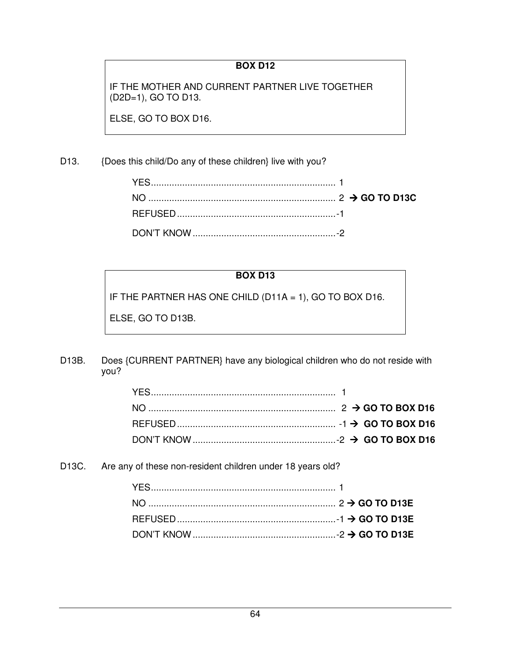# **BOX D12**

IF THE MOTHER AND CURRENT PARTNER LIVE TOGETHER (D2D=1), GO TO D13.

ELSE, GO TO BOX D16.

## D13. {Does this child/Do any of these children} live with you?

#### **BOX D13**

IF THE PARTNER HAS ONE CHILD (D11A = 1), GO TO BOX D16.

ELSE, GO TO D13B.

D13B. Does {CURRENT PARTNER} have any biological children who do not reside with you?

D13C. Are any of these non-resident children under 18 years old?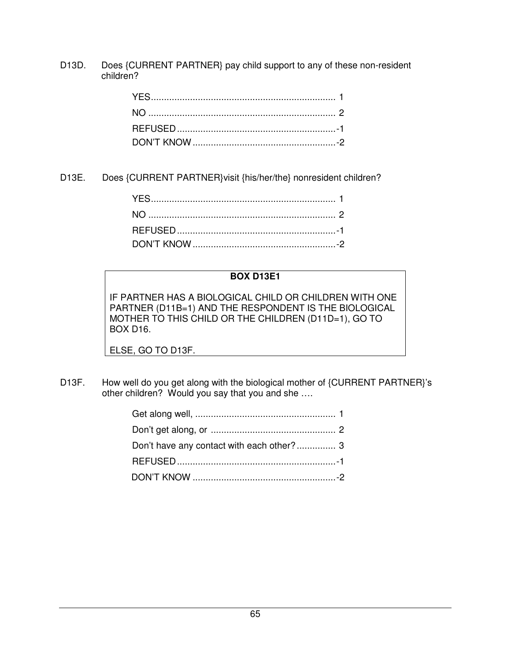D13D. Does {CURRENT PARTNER} pay child support to any of these non-resident children?

D13E. Does {CURRENT PARTNER}visit {his/her/the} nonresident children?

#### **BOX D13E1**

IF PARTNER HAS A BIOLOGICAL CHILD OR CHILDREN WITH ONE PARTNER (D11B=1) AND THE RESPONDENT IS THE BIOLOGICAL MOTHER TO THIS CHILD OR THE CHILDREN (D11D=1), GO TO BOX D16.

ELSE, GO TO D13F.

D13F. How well do you get along with the biological mother of {CURRENT PARTNER}'s other children? Would you say that you and she ….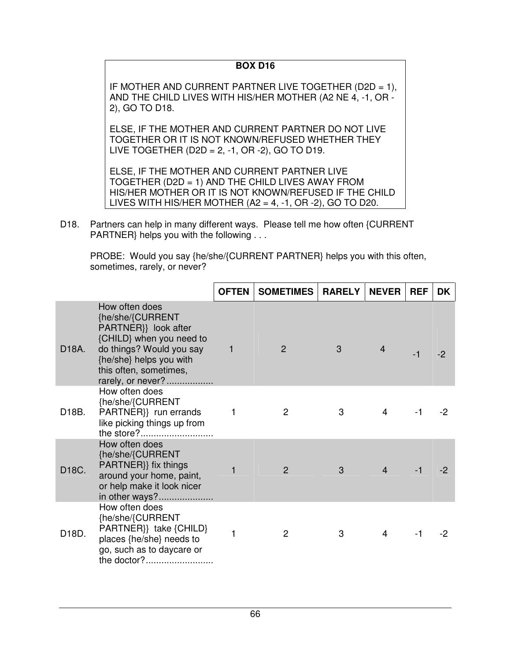## **BOX D16**

IF MOTHER AND CURRENT PARTNER LIVE TOGETHER (D2D = 1), AND THE CHILD LIVES WITH HIS/HER MOTHER (A2 NE 4, -1, OR - 2), GO TO D18.

ELSE, IF THE MOTHER AND CURRENT PARTNER DO NOT LIVE TOGETHER OR IT IS NOT KNOWN/REFUSED WHETHER THEY LIVE TOGETHER (D2D = 2, -1, OR -2), GO TO D19.

ELSE, IF THE MOTHER AND CURRENT PARTNER LIVE TOGETHER (D2D = 1) AND THE CHILD LIVES AWAY FROM HIS/HER MOTHER OR IT IS NOT KNOWN/REFUSED IF THE CHILD LIVES WITH HIS/HER MOTHER  $(A2 = 4, -1, OR -2)$ , GO TO D20.

D18. Partners can help in many different ways. Please tell me how often {CURRENT PARTNER} helps you with the following . . .

 PROBE: Would you say {he/she/{CURRENT PARTNER} helps you with this often, sometimes, rarely, or never?

|       |                                                                                                                                                                                              | <b>OFTEN</b> | <b>SOMETIMES</b> | <b>RARELY</b> | <b>NEVER</b>   | <b>REF</b> | <b>DK</b> |
|-------|----------------------------------------------------------------------------------------------------------------------------------------------------------------------------------------------|--------------|------------------|---------------|----------------|------------|-----------|
| D18A. | How often does<br>{he/she/{CURRENT<br>PARTNER}} look after<br>{CHILD} when you need to<br>do things? Would you say<br>{he/she} helps you with<br>this often, sometimes,<br>rarely, or never? | $\mathbf 1$  | 2                | 3             | 4              | $-1$       |           |
| D18B. | How often does<br>{he/she/{CURRENT<br>PARTNER}} run errands<br>like picking things up from<br>the store?                                                                                     | 1            | 2                | 3             | $\overline{4}$ | $-1$       | -2        |
| D18C. | How often does<br>{he/she/{CURRENT<br>PARTNER}} fix things<br>around your home, paint,<br>or help make it look nicer<br>in other ways?                                                       | 1            | 2                | 3             | $\overline{4}$ | $-1$       |           |
| D18D. | How often does<br>{he/she/{CURRENT<br>PARTNER}} take {CHILD}<br>places {he/she} needs to<br>go, such as to daycare or<br>the doctor?                                                         | 1            | 2                | 3             | $\overline{4}$ | -1         | -2        |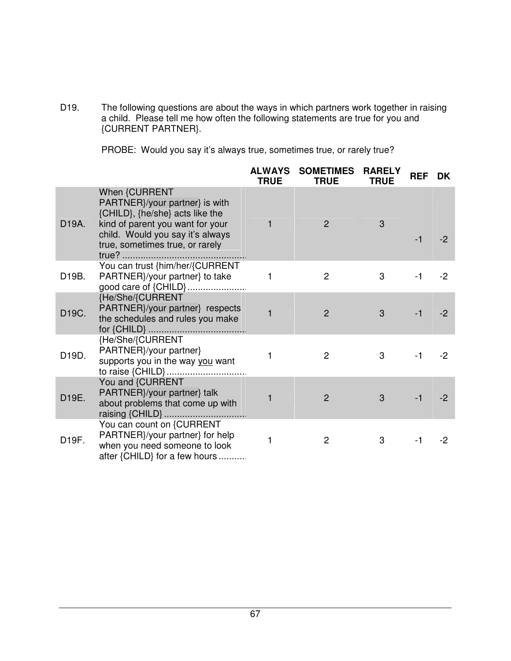D19. The following questions are about the ways in which partners work together in raising a child. Please tell me how often the following statements are true for you and {CURRENT PARTNER}.

PROBE: Would you say it's always true, sometimes true, or rarely true?

|       |                                                                                                                                                                                               | <b>ALWAYS</b><br><b>TRUE</b> | <b>SOMETIMES</b><br><b>TRUE</b> | <b>RARELY</b><br><b>TRUE</b> | <b>REF</b> | DK.  |
|-------|-----------------------------------------------------------------------------------------------------------------------------------------------------------------------------------------------|------------------------------|---------------------------------|------------------------------|------------|------|
| D19A. | When {CURRENT<br>PARTNER}/your partner} is with<br>{CHILD}, {he/she} acts like the<br>kind of parent you want for your<br>child. Would you say it's always<br>true, sometimes true, or rarely | 1                            | 2                               | 3                            | $-1$       | $-2$ |
| D19B. | You can trust {him/her/{CURRENT<br>PARTNER}/your partner} to take<br>good care of {CHILD}                                                                                                     | 1                            | $\overline{2}$                  | 3                            | $-1$       | $-2$ |
| D19C. | {He/She/{CURRENT<br>PARTNER}/your partner} respects<br>the schedules and rules you make                                                                                                       | $\mathbf{1}$                 | $\overline{2}$                  | 3                            | $-1$       | $-2$ |
| D19D. | {He/She/{CURRENT<br>PARTNER}/your partner}<br>supports you in the way you want                                                                                                                | 1                            | 2                               | 3                            | $-1$       | $-2$ |
| D19E. | You and {CURRENT<br>PARTNER}/your partner} talk<br>about problems that come up with                                                                                                           | 1                            | $\overline{2}$                  | 3                            | $-1$       | $-2$ |
| D19F. | You can count on {CURRENT<br>PARTNER}/your partner} for help<br>when you need someone to look<br>after {CHILD} for a few hours                                                                | 1                            | $\overline{c}$                  | 3                            | $-1$       | $-2$ |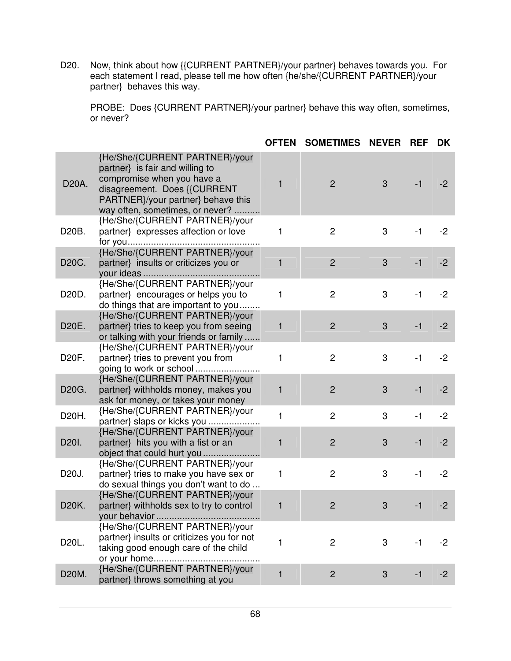D20. Now, think about how {{CURRENT PARTNER}/your partner} behaves towards you. For each statement I read, please tell me how often {he/she/{CURRENT PARTNER}/your partner} behaves this way.

 PROBE: Does {CURRENT PARTNER}/your partner} behave this way often, sometimes, or never?

|       |                                                                                                                                                                                                          | <b>OFTEN</b> | <b>SOMETIMES</b> | <b>NEVER</b> | <b>REF</b> | DK   |
|-------|----------------------------------------------------------------------------------------------------------------------------------------------------------------------------------------------------------|--------------|------------------|--------------|------------|------|
| D20A. | {He/She/{CURRENT PARTNER}/your<br>partner} is fair and willing to<br>compromise when you have a<br>disagreement. Does {{CURRENT<br>PARTNER}/your partner} behave this<br>way often, sometimes, or never? | 1            | $\overline{2}$   | 3            | $-1$       | $-2$ |
| D20B. | {He/She/{CURRENT PARTNER}/your<br>partner} expresses affection or love                                                                                                                                   | 1            | $\overline{c}$   | 3            | $-1$       | $-2$ |
| D20C. | {He/She/{CURRENT PARTNER}/your<br>partner} insults or criticizes you or                                                                                                                                  | 1            | $\overline{2}$   | 3            | $-1$       | $-2$ |
| D20D. | {He/She/{CURRENT PARTNER}/your<br>partner} encourages or helps you to<br>do things that are important to you                                                                                             | 1            | $\overline{2}$   | 3            | $-1$       | $-2$ |
| D20E. | {He/She/{CURRENT PARTNER}/your<br>partner} tries to keep you from seeing<br>or talking with your friends or family                                                                                       | 1            | $\overline{2}$   | 3            | $-1$       | $-2$ |
| D20F. | {He/She/{CURRENT PARTNER}/your<br>partner} tries to prevent you from                                                                                                                                     | 1            | $\overline{c}$   | 3            | $-1$       | $-2$ |
| D20G. | {He/She/{CURRENT PARTNER}/your<br>partner} withholds money, makes you<br>ask for money, or takes your money                                                                                              | 1            | $\overline{2}$   | 3            | $-1$       | $-2$ |
| D20H. | {He/She/{CURRENT PARTNER}/your<br>partner} slaps or kicks you                                                                                                                                            | 1            | $\overline{2}$   | 3            | $-1$       | $-2$ |
| D20I. | {He/She/{CURRENT PARTNER}/your<br>partner} hits you with a fist or an<br>object that could hurt you                                                                                                      | 1            | $\overline{2}$   | 3            | $-1$       | $-2$ |
| D20J. | {He/She/{CURRENT PARTNER}/your<br>partner} tries to make you have sex or<br>do sexual things you don't want to do                                                                                        | 1            | $\overline{c}$   | 3            | $-1$       | $-2$ |
| D20K. | {He/She/{CURRENT PARTNER}/your<br>partner} withholds sex to try to control                                                                                                                               | 1            | $\overline{2}$   | 3            | $-1$       | $-2$ |
| D20L. | {He/She/{CURRENT PARTNER}/your<br>partner} insults or criticizes you for not<br>taking good enough care of the child                                                                                     | 1            | $\overline{c}$   | 3            | $-1$       | -2   |
| D20M. | {He/She/{CURRENT PARTNER}/your<br>partner} throws something at you                                                                                                                                       | 1            | $\overline{2}$   | 3            | $-1$       | $-2$ |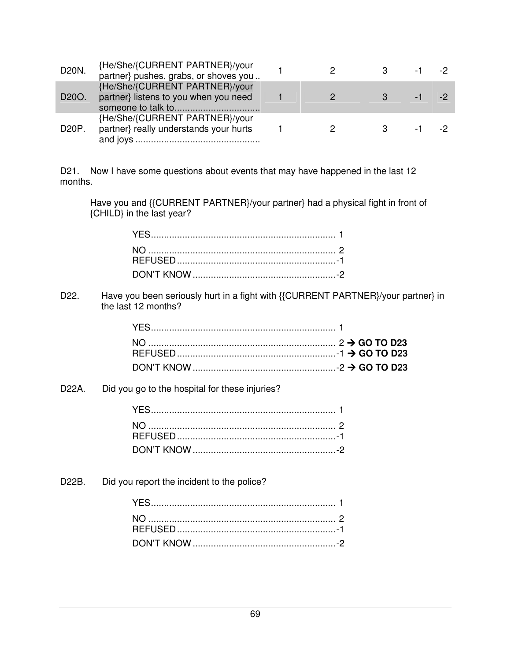| D20N. | {He/She/{CURRENT PARTNER}/your<br>partner} pushes, grabs, or shoves you  |               | $-1$ $-2$ |  |
|-------|--------------------------------------------------------------------------|---------------|-----------|--|
| D20O. | {He/She/{CURRENT PARTNER}/your<br>partner} listens to you when you need  | $\mathcal{P}$ | $-1$ $-2$ |  |
| D20P. | {He/She/{CURRENT PARTNER}/your<br>partner} really understands your hurts | 2             | $-1$ $-2$ |  |

D21. Now I have some questions about events that may have happened in the last 12 months.

Have you and {{CURRENT PARTNER}/your partner} had a physical fight in front of {CHILD} in the last year?

D22. Have you been seriously hurt in a fight with {{CURRENT PARTNER}/your partner} in the last 12 months?

D22A. Did you go to the hospital for these injuries?

D22B. Did you report the incident to the police?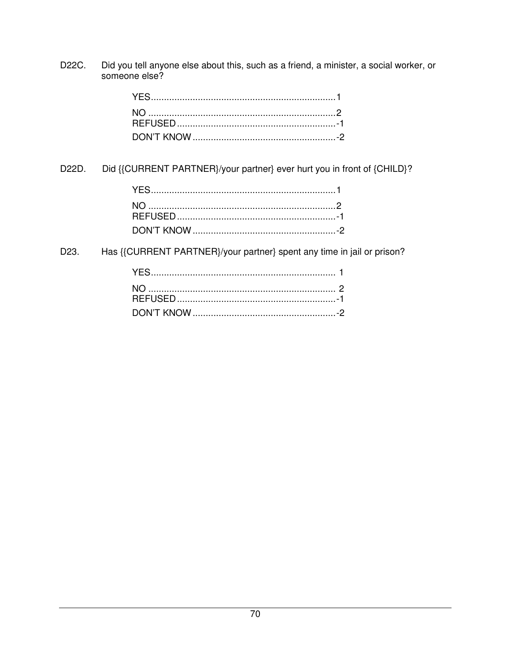Did you tell anyone else about this, such as a friend, a minister, a social worker, or someone else? D22C.

D22D. Did {{CURRENT PARTNER}/your partner} ever hurt you in front of {CHILD}?

D23. Has {{CURRENT PARTNER}/your partner} spent any time in jail or prison?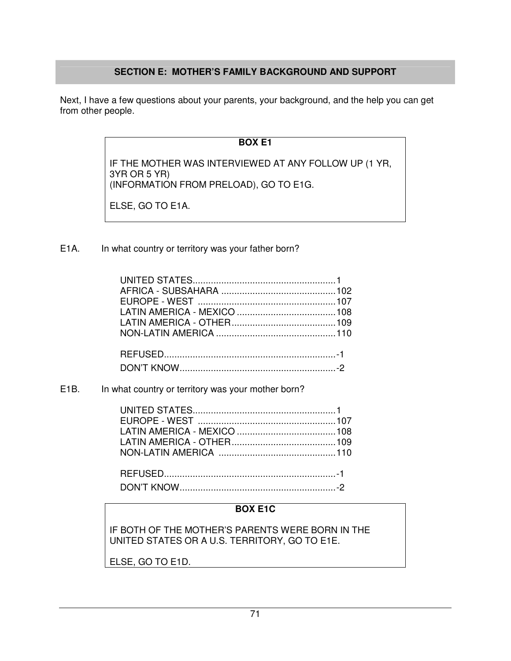# **SECTION E: MOTHER'S FAMILY BACKGROUND AND SUPPORT**

Next, I have a few questions about your parents, your background, and the help you can get from other people.

## **BOX E1**

IF THE MOTHER WAS INTERVIEWED AT ANY FOLLOW UP (1 YR, 3YR OR 5 YR) (INFORMATION FROM PRELOAD), GO TO E1G.

ELSE, GO TO E1A.

E1A. In what country or territory was your father born?

#### E1B. In what country or territory was your mother born?

#### **BOX E1C**

IF BOTH OF THE MOTHER'S PARENTS WERE BORN IN THE UNITED STATES OR A U.S. TERRITORY, GO TO E1E.

ELSE, GO TO E1D.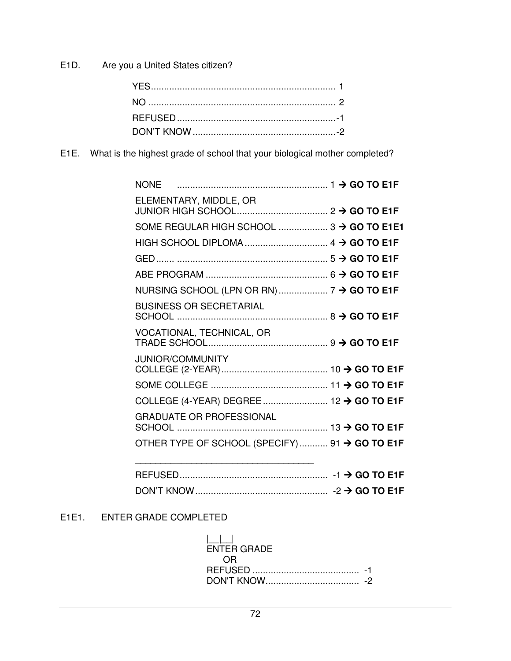E1D. Are you a United States citizen?

E1E. What is the highest grade of school that your biological mother completed?

| <b>NONE</b>                                    |  |
|------------------------------------------------|--|
| ELEMENTARY, MIDDLE, OR                         |  |
| SOME REGULAR HIGH SCHOOL  3 → GO TO E1E1       |  |
|                                                |  |
|                                                |  |
|                                                |  |
|                                                |  |
| <b>BUSINESS OR SECRETARIAL</b>                 |  |
| VOCATIONAL, TECHNICAL, OR                      |  |
| <b>JUNIOR/COMMUNITY</b>                        |  |
|                                                |  |
|                                                |  |
| <b>GRADUATE OR PROFESSIONAL</b>                |  |
| OTHER TYPE OF SCHOOL (SPECIFY)  91 → GO TO E1F |  |
|                                                |  |

| <b>BEFUSED</b> |  |
|----------------|--|
|                |  |

# E1E1. ENTER GRADE COMPLETED

| ENTER GRADE                                   |  |
|-----------------------------------------------|--|
| $\left( \cdot \right)$ $\left( \cdot \right)$ |  |
|                                               |  |
|                                               |  |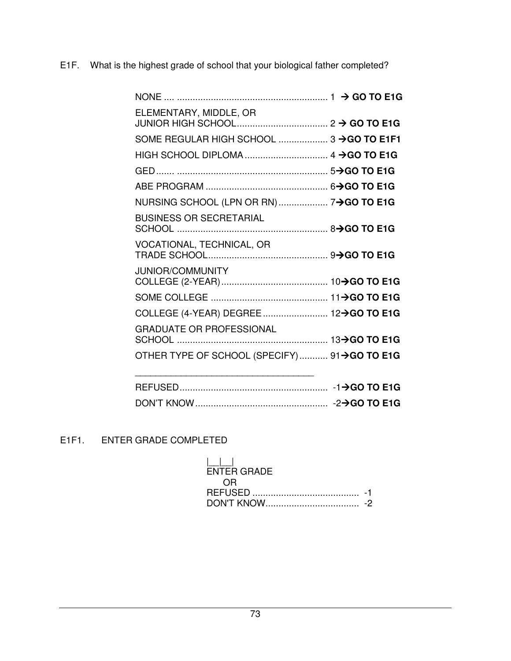E1F. What is the highest grade of school that your biological father completed?

| ELEMENTARY, MIDDLE, OR                      |  |
|---------------------------------------------|--|
| SOME REGULAR HIGH SCHOOL  3 -> GO TO E1F1   |  |
|                                             |  |
|                                             |  |
|                                             |  |
|                                             |  |
| <b>BUSINESS OR SECRETARIAL</b>              |  |
| VOCATIONAL, TECHNICAL, OR                   |  |
| <b>JUNIOR/COMMUNITY</b>                     |  |
|                                             |  |
|                                             |  |
| <b>GRADUATE OR PROFESSIONAL</b>             |  |
| OTHER TYPE OF SCHOOL (SPECIFY) 91→GO TO E1G |  |
|                                             |  |

# E1F1. ENTER GRADE COMPLETED

| $\mathbf{1}$<br><b>ENTER GRADE</b> |  |
|------------------------------------|--|
| OR.                                |  |
|                                    |  |
|                                    |  |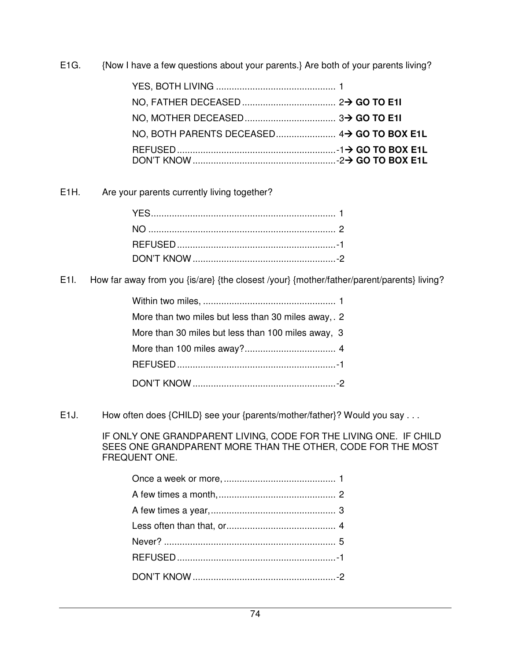E1G. {Now I have a few questions about your parents.} Are both of your parents living?

| NO. BOTH PARENTS DECEASED 4> GO TO BOX E1L |  |
|--------------------------------------------|--|
|                                            |  |
|                                            |  |

E1H. Are your parents currently living together?

E1I. How far away from you {is/are} {the closest /your} {mother/father/parent/parents} living?

| More than two miles but less than 30 miles away, 2 |  |
|----------------------------------------------------|--|
| More than 30 miles but less than 100 miles away, 3 |  |
|                                                    |  |
|                                                    |  |
|                                                    |  |

E1J. How often does {CHILD} see your {parents/mother/father}? Would you say . . .

 IF ONLY ONE GRANDPARENT LIVING, CODE FOR THE LIVING ONE. IF CHILD SEES ONE GRANDPARENT MORE THAN THE OTHER, CODE FOR THE MOST FREQUENT ONE.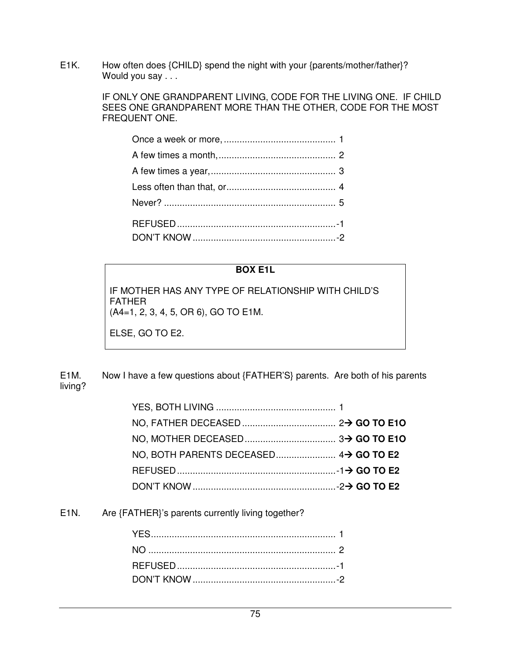E1K. How often does {CHILD} spend the night with your {parents/mother/father}? Would you say . . .

> IF ONLY ONE GRANDPARENT LIVING, CODE FOR THE LIVING ONE. IF CHILD SEES ONE GRANDPARENT MORE THAN THE OTHER, CODE FOR THE MOST FREQUENT ONE.

#### **BOX E1L**

IF MOTHER HAS ANY TYPE OF RELATIONSHIP WITH CHILD'S FATHER (A4=1, 2, 3, 4, 5, OR 6), GO TO E1M.

ELSE, GO TO E2.

E1M. Now I have a few questions about {FATHER'S} parents. Are both of his parents living?

E1N. Are {FATHER}'s parents currently living together?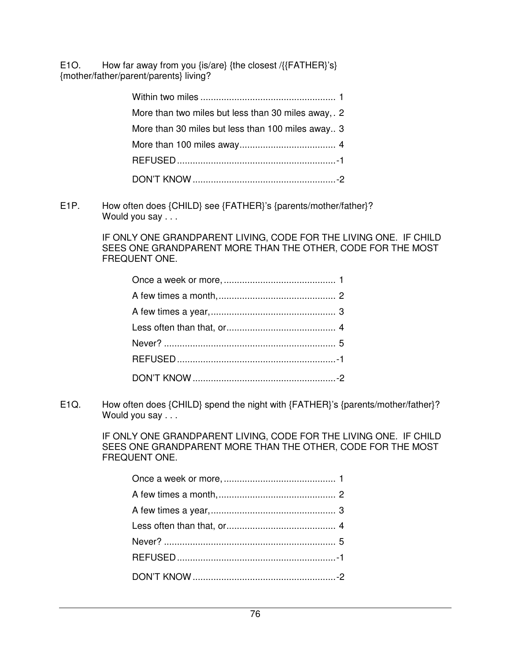E1O. How far away from you {is/are} {the closest /{{FATHER}'s} {mother/father/parent/parents} living?

| More than two miles but less than 30 miles away, 2 |  |
|----------------------------------------------------|--|
| More than 30 miles but less than 100 miles away 3  |  |
|                                                    |  |
|                                                    |  |
|                                                    |  |

E1P. How often does {CHILD} see {FATHER}'s {parents/mother/father}? Would you say . . .

> IF ONLY ONE GRANDPARENT LIVING, CODE FOR THE LIVING ONE. IF CHILD SEES ONE GRANDPARENT MORE THAN THE OTHER, CODE FOR THE MOST FREQUENT ONE.

E1Q. How often does {CHILD} spend the night with {FATHER}'s {parents/mother/father}? Would you say . . .

> IF ONLY ONE GRANDPARENT LIVING, CODE FOR THE LIVING ONE. IF CHILD SEES ONE GRANDPARENT MORE THAN THE OTHER, CODE FOR THE MOST FREQUENT ONE.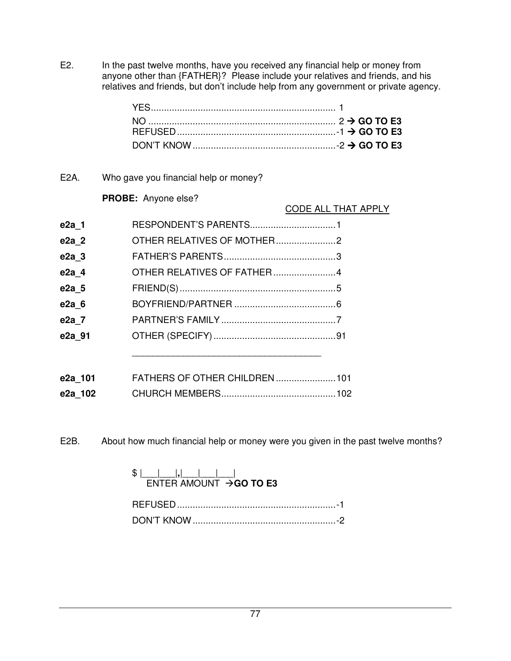E2. In the past twelve months, have you received any financial help or money from anyone other than {FATHER}? Please include your relatives and friends, and his relatives and friends, but don't include help from any government or private agency.

E2A. Who gave you financial help or money?

## **PROBE:** Anyone else?

CODE ALL THAT APPLY

| e2a 1   | RESPONDENT'S PARENTS1         |  |
|---------|-------------------------------|--|
| e2a 2   |                               |  |
| e2a 3   |                               |  |
| e2a 4   |                               |  |
| e2a 5   |                               |  |
| e2a 6   |                               |  |
| e2a 7   |                               |  |
| e2a 91  |                               |  |
|         |                               |  |
|         |                               |  |
| e2a 101 | FATHERS OF OTHER CHILDREN 101 |  |
| e2a 102 |                               |  |

E2B. About how much financial help or money were you given in the past twelve months?

## $\frac{1}{2}$   $\frac{1}{2}$   $\frac{1}{2}$   $\frac{1}{2}$   $\frac{1}{2}$   $\frac{1}{2}$   $\frac{1}{2}$   $\frac{1}{2}$   $\frac{1}{2}$   $\frac{1}{2}$   $\frac{1}{2}$   $\frac{1}{2}$   $\frac{1}{2}$   $\frac{1}{2}$   $\frac{1}{2}$   $\frac{1}{2}$   $\frac{1}{2}$   $\frac{1}{2}$   $\frac{1}{2}$   $\frac{1}{2}$   $\frac{1}{2}$   $\frac{1}{2}$  ENTER AMOUNT **GO TO E3**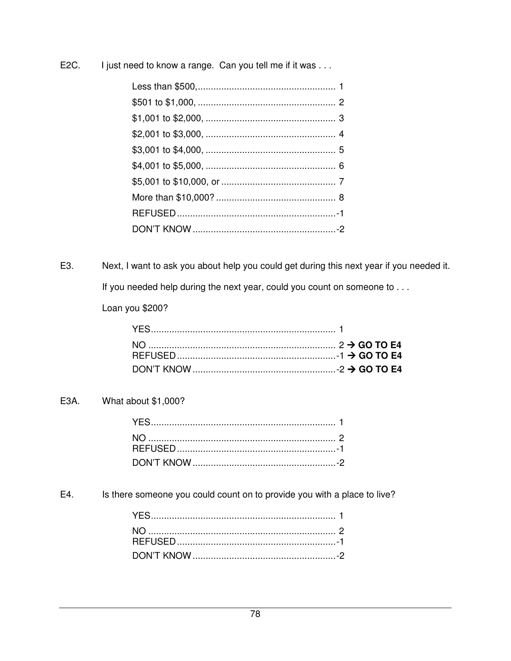I just need to know a range. Can you tell me if it was . . . E<sub>2</sub>C.

Next, I want to ask you about help you could get during this next year if you needed it. E3.

If you needed help during the next year, could you count on someone to . . .

Loan you \$200?

#### What about \$1,000? E3A.

E4. Is there someone you could count on to provide you with a place to live?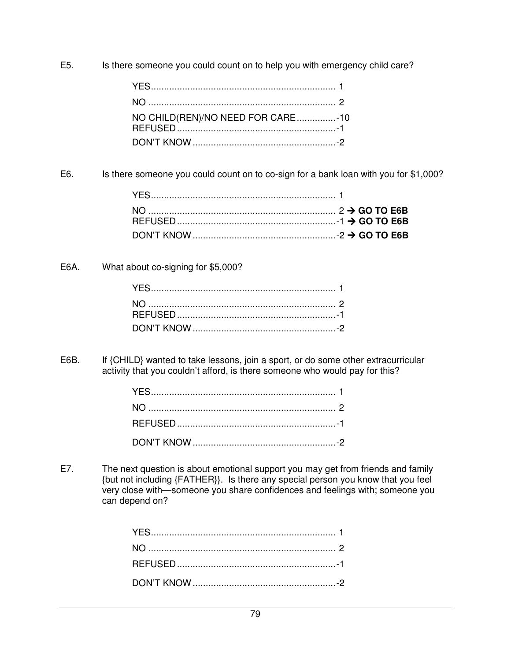E5. Is there someone you could count on to help you with emergency child care?

| NO CHILD(REN)/NO NEED FOR CARE-10 |  |
|-----------------------------------|--|
|                                   |  |

E6. Is there someone you could count on to co-sign for a bank loan with you for \$1,000?

E6A. What about co-signing for \$5,000?

E6B. If {CHILD} wanted to take lessons, join a sport, or do some other extracurricular activity that you couldn't afford, is there someone who would pay for this?

E7. The next question is about emotional support you may get from friends and family {but not including {FATHER}}. Is there any special person you know that you feel very close with—someone you share confidences and feelings with; someone you can depend on?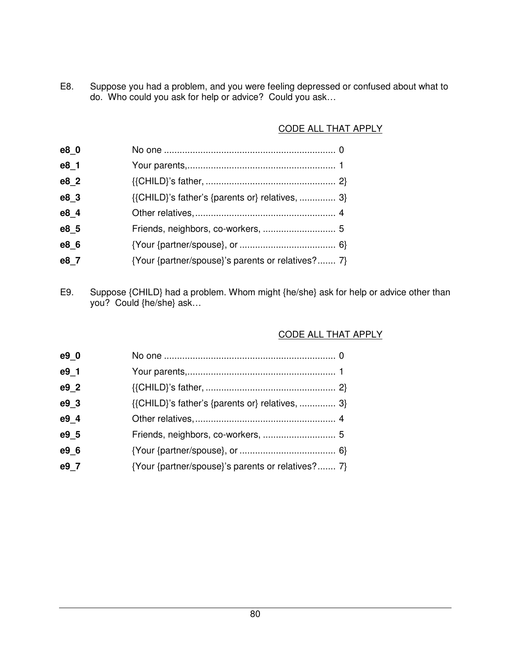E8. Suppose you had a problem, and you were feeling depressed or confused about what to do. Who could you ask for help or advice? Could you ask…

## CODE ALL THAT APPLY

| e8 0 |                                                   |  |
|------|---------------------------------------------------|--|
| e8 1 |                                                   |  |
| e8 2 |                                                   |  |
| e8_3 | {{CHILD}'s father's {parents or} relatives,  3}   |  |
| e8 4 |                                                   |  |
| e8 5 |                                                   |  |
| e8_6 |                                                   |  |
| e8 7 | {Your {partner/spouse}'s parents or relatives? 7} |  |
|      |                                                   |  |

E9. Suppose {CHILD} had a problem. Whom might {he/she} ask for help or advice other than you? Could {he/she} ask…

## CODE ALL THAT APPLY

| {{CHILD}'s father's {parents or} relatives,  3}   |
|---------------------------------------------------|
|                                                   |
|                                                   |
|                                                   |
| {Your {partner/spouse}'s parents or relatives? 7} |
|                                                   |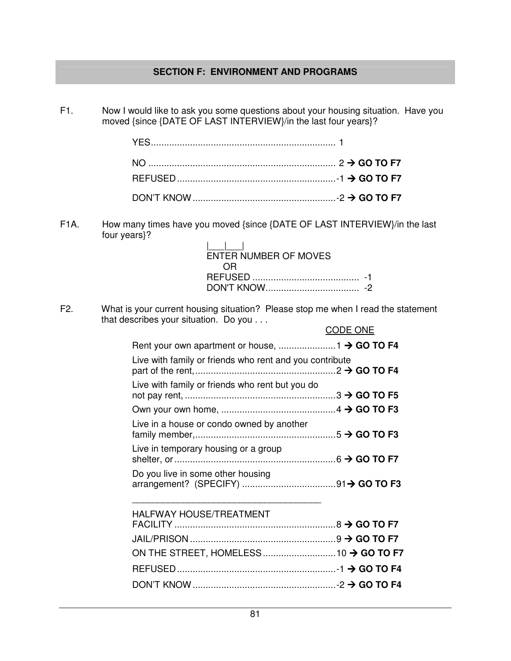## **SECTION F: ENVIRONMENT AND PROGRAMS**

F1. Now I would like to ask you some questions about your housing situation. Have you moved {since {DATE OF LAST INTERVIEW}/in the last four years}?

F1A. How many times have you moved {since {DATE OF LAST INTERVIEW}/in the last four years}?

| ENTER NUMBER OF MOVES |  |
|-----------------------|--|
| 0 R                   |  |
|                       |  |
|                       |  |

F2. What is your current housing situation? Please stop me when I read the statement that describes your situation. Do you . . .

|                                                         | <b>CODE ONE</b> |
|---------------------------------------------------------|-----------------|
|                                                         |                 |
| Live with family or friends who rent and you contribute |                 |
| Live with family or friends who rent but you do         |                 |
|                                                         |                 |
| Live in a house or condo owned by another               |                 |
| Live in temporary housing or a group                    |                 |
| Do you live in some other housing                       |                 |
| <b>HALFWAY HOUSE/TREATMENT</b>                          |                 |
|                                                         |                 |
|                                                         |                 |
|                                                         |                 |
|                                                         |                 |
|                                                         |                 |

DON'T KNOW ....................................................... -2 **GO TO F4**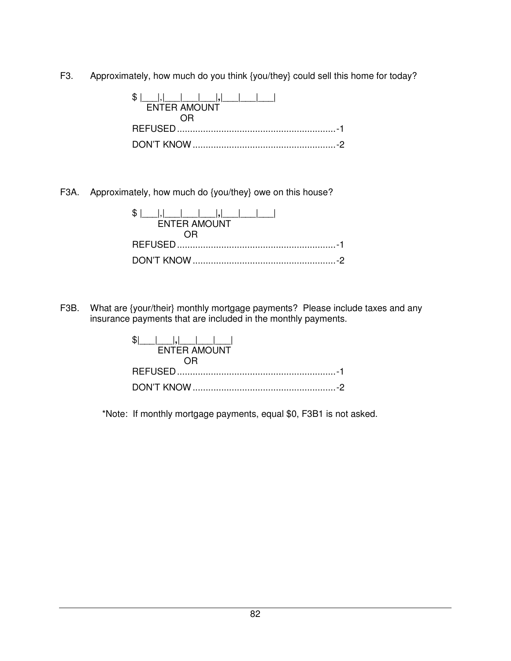F3. Approximately, how much do you think {you/they} could sell this home for today?

| S I<br>$ . $ $ $ $ $ $ $ $ $ $ $ $ $ $ $ $ $<br><b>ENTER AMOUNT</b> |
|---------------------------------------------------------------------|
|                                                                     |
|                                                                     |
|                                                                     |

F3A. Approximately, how much do {you/they} owe on this house?

| <b>ENTER AMOUNT</b> |
|---------------------|
|                     |
|                     |
|                     |

F3B. What are {your/their} monthly mortgage payments? Please include taxes and any insurance payments that are included in the monthly payments.

| <b>ENTER AMOUNT</b> |
|---------------------|
|                     |
|                     |
|                     |

\*Note: If monthly mortgage payments, equal \$0, F3B1 is not asked.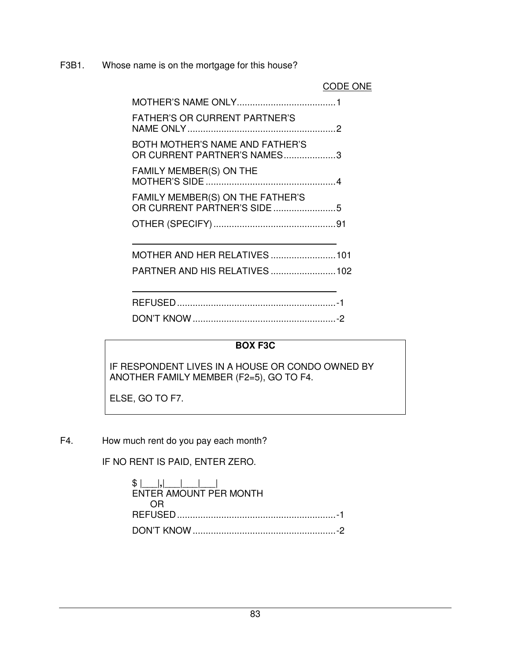F3B1. Whose name is on the mortgage for this house?

CODE ONE

| <b>FATHER'S OR CURRENT PARTNER'S</b>                            |  |
|-----------------------------------------------------------------|--|
| BOTH MOTHER'S NAME AND FATHER'S<br>OR CURRENT PARTNER'S NAMES3  |  |
| FAMILY MEMBER(S) ON THE                                         |  |
| FAMILY MEMBER(S) ON THE FATHER'S<br>OR CURRENT PARTNER'S SIDE 5 |  |
|                                                                 |  |
| MOTHER AND HER RELATIVES  101                                   |  |
|                                                                 |  |

## **BOX F3C**

IF RESPONDENT LIVES IN A HOUSE OR CONDO OWNED BY ANOTHER FAMILY MEMBER (F2=5), GO TO F4.

ELSE, GO TO F7.

F4. How much rent do you pay each month?

IF NO RENT IS PAID, ENTER ZERO.

| $\frac{1}{2}$ $\frac{1}{2}$ $\frac{1}{2}$ $\frac{1}{2}$ $\frac{1}{2}$ $\frac{1}{2}$<br>ENTER AMOUNT PER MONTH |  |
|---------------------------------------------------------------------------------------------------------------|--|
| 0 H                                                                                                           |  |
|                                                                                                               |  |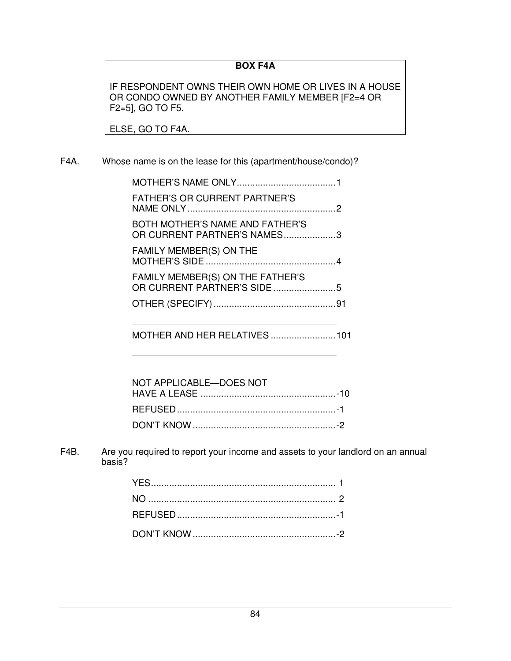## **BOX F4A**

IF RESPONDENT OWNS THEIR OWN HOME OR LIVES IN A HOUSE OR CONDO OWNED BY ANOTHER FAMILY MEMBER [F2=4 OR F2=5], GO TO F5.

ELSE, GO TO F4A.

## F4A. Whose name is on the lease for this (apartment/house/condo)?

| <b>FATHER'S OR CURRENT PARTNER'S</b>                           |  |
|----------------------------------------------------------------|--|
| BOTH MOTHER'S NAME AND FATHER'S<br>OR CURRENT PARTNER'S NAMES3 |  |
| <b>FAMILY MEMBER(S) ON THE</b>                                 |  |
| FAMILY MEMBER(S) ON THE FATHER'S                               |  |
|                                                                |  |
|                                                                |  |

MOTHER AND HER RELATIVES ......................... 101

| NOT APPLICABLE-DOES NOT |  |
|-------------------------|--|
|                         |  |
|                         |  |
|                         |  |

F4B. Are you required to report your income and assets to your landlord on an annual basis?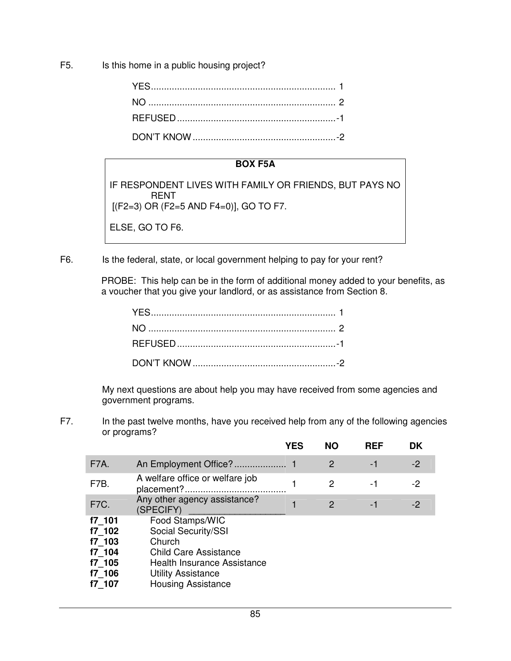F5. Is this home in a public housing project?

#### **BOX F5A**

IF RESPONDENT LIVES WITH FAMILY OR FRIENDS, BUT PAYS NO RENT [(F2=3) OR (F2=5 AND F4=0)], GO TO F7.

ELSE, GO TO F6.

F6. Is the federal, state, or local government helping to pay for your rent?

 PROBE: This help can be in the form of additional money added to your benefits, as a voucher that you give your landlord, or as assistance from Section 8.

 My next questions are about help you may have received from some agencies and government programs.

F7. In the past twelve months, have you received help from any of the following agencies or programs?

|                                                                    |                                                                                                                                                                                  | <b>YES</b> | <b>NO</b> | <b>REF</b> | DK   |
|--------------------------------------------------------------------|----------------------------------------------------------------------------------------------------------------------------------------------------------------------------------|------------|-----------|------------|------|
| <b>F7A.</b>                                                        |                                                                                                                                                                                  |            | 2         | -1         | $-2$ |
| F7B.                                                               | A welfare office or welfare job                                                                                                                                                  |            | 2         | -1         | -2   |
| F7C.                                                               | Any other agency assistance?<br>(SPECIFY)                                                                                                                                        |            | 2         | -1         | $-2$ |
| f7 101<br>f7 102<br>f7 103<br>f7 104<br>f7 105<br>f7 106<br>f7 107 | Food Stamps/WIC<br>Social Security/SSI<br>Church<br><b>Child Care Assistance</b><br><b>Health Insurance Assistance</b><br><b>Utility Assistance</b><br><b>Housing Assistance</b> |            |           |            |      |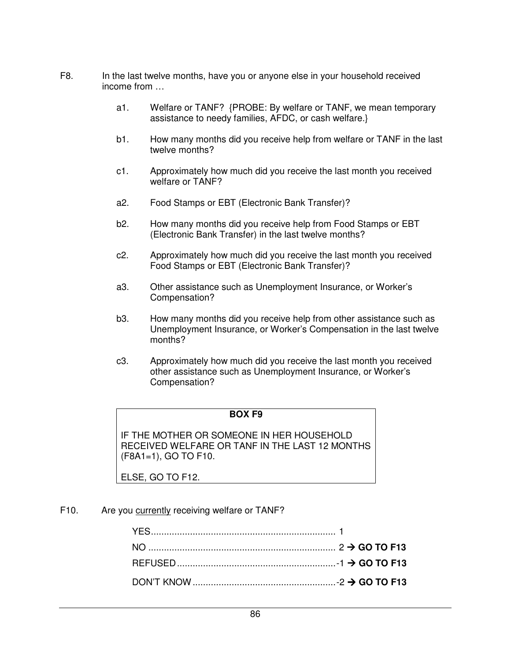- F8. In the last twelve months, have you or anyone else in your household received income from …
	- a1. Welfare or TANF? {PROBE: By welfare or TANF, we mean temporary assistance to needy families, AFDC, or cash welfare.}
	- b1. How many months did you receive help from welfare or TANF in the last twelve months?
	- c1. Approximately how much did you receive the last month you received welfare or TANF?
	- a2. Food Stamps or EBT (Electronic Bank Transfer)?
	- b2. How many months did you receive help from Food Stamps or EBT (Electronic Bank Transfer) in the last twelve months?
	- c2. Approximately how much did you receive the last month you received Food Stamps or EBT (Electronic Bank Transfer)?
	- a3. Other assistance such as Unemployment Insurance, or Worker's Compensation?
	- b3. How many months did you receive help from other assistance such as Unemployment Insurance, or Worker's Compensation in the last twelve months?
	- c3. Approximately how much did you receive the last month you received other assistance such as Unemployment Insurance, or Worker's Compensation?

#### **BOX F9**

IF THE MOTHER OR SOMEONE IN HER HOUSEHOLD RECEIVED WELFARE OR TANF IN THE LAST 12 MONTHS (F8A1=1), GO TO F10.

ELSE, GO TO F12.

F10. Are you currently receiving welfare or TANF?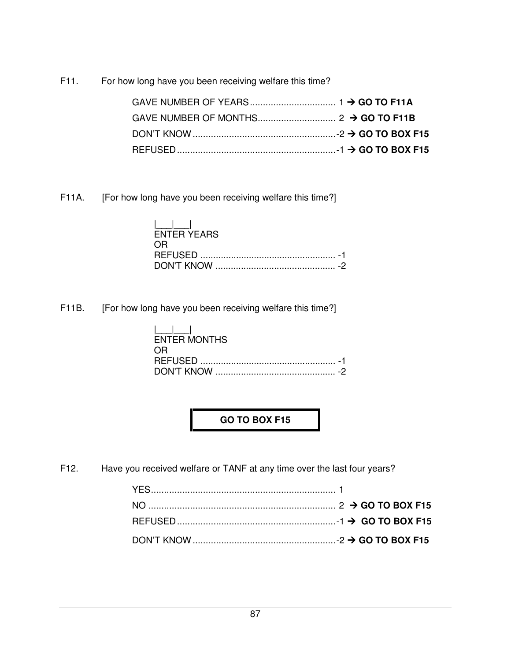F11. For how long have you been receiving welfare this time?

F11A. [For how long have you been receiving welfare this time?]

|      | $\mathbf{1}$ and $\mathbf{1}$ and $\mathbf{1}$<br><b>FNTER YEARS</b> |  |
|------|----------------------------------------------------------------------|--|
| ( )H |                                                                      |  |
|      |                                                                      |  |

F11B. [For how long have you been receiving welfare this time?]

| $\mathbf{1}$ and $\mathbf{1}$ and $\mathbf{1}$<br>ENTER MONTHS |
|----------------------------------------------------------------|
|                                                                |
| ⇔⊢                                                             |
|                                                                |
|                                                                |

**GO TO BOX F15** 

F12. Have you received welfare or TANF at any time over the last four years?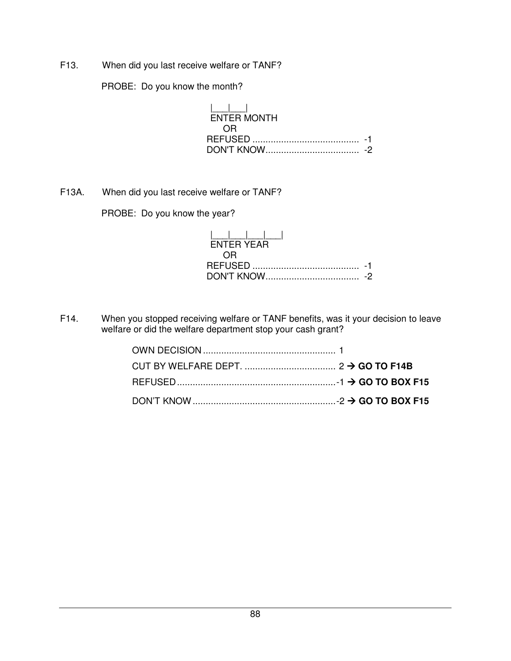F13. When did you last receive welfare or TANF?

PROBE: Do you know the month?

|\_\_\_|\_\_\_| ENTER MONTH OR REFUSED ......................................... -1 DON'T KNOW .................................... -2

F13A. When did you last receive welfare or TANF?

PROBE: Do you know the year?

| $\frac{1}{2}$ . $\frac{1}{2}$ . $\frac{1}{2}$ . $\frac{1}{2}$ . $\frac{1}{2}$<br><b>FNTFR YFAR</b> |  |
|----------------------------------------------------------------------------------------------------|--|
| - OR                                                                                               |  |
|                                                                                                    |  |
|                                                                                                    |  |

F14. When you stopped receiving welfare or TANF benefits, was it your decision to leave welfare or did the welfare department stop your cash grant?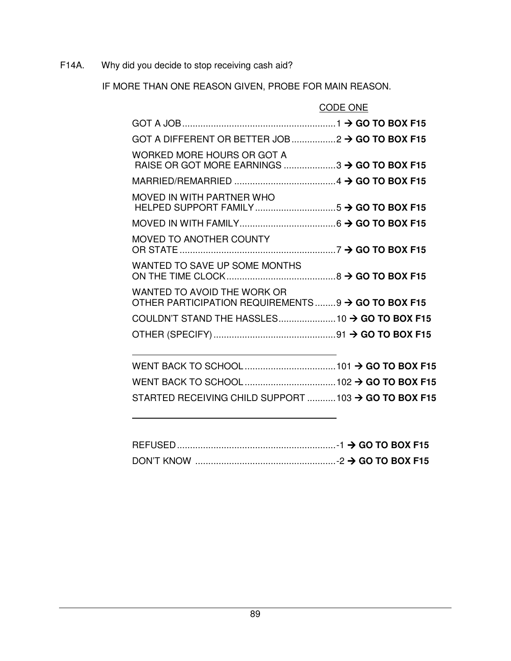F14A. Why did you decide to stop receiving cash aid?

IF MORE THAN ONE REASON GIVEN, PROBE FOR MAIN REASON.

|                                                                                  | CODE ONE |
|----------------------------------------------------------------------------------|----------|
|                                                                                  |          |
| GOT A DIFFERENT OR BETTER JOB $2 \rightarrow$ GO TO BOX F15                      |          |
| WORKED MORE HOURS OR GOT A<br>RAISE OR GOT MORE EARNINGS  3 → GO TO BOX F15      |          |
|                                                                                  |          |
| MOVED IN WITH PARTNER WHO                                                        |          |
|                                                                                  |          |
| MOVED TO ANOTHER COUNTY                                                          |          |
| WANTED TO SAVE UP SOME MONTHS                                                    |          |
| WANTED TO AVOID THE WORK OR<br>OTHER PARTICIPATION REQUIREMENTS9 → GO TO BOX F15 |          |
|                                                                                  |          |
|                                                                                  |          |
|                                                                                  |          |
|                                                                                  |          |
| STARTED RECEIVING CHILD SUPPORT 103 → GO TO BOX F15                              |          |
|                                                                                  |          |

| DON'T KNOW |  |
|------------|--|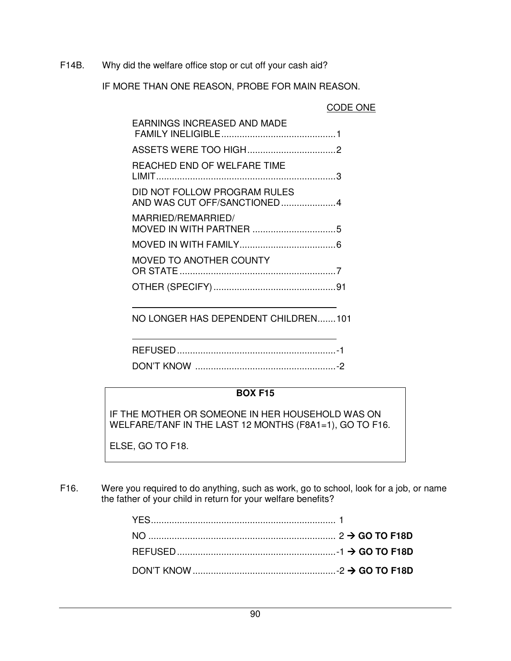F14B. Why did the welfare office stop or cut off your cash aid?

IF MORE THAN ONE REASON, PROBE FOR MAIN REASON.

|  | CODE ONE |
|--|----------|
|--|----------|

| <b>EARNINGS INCREASED AND MADE</b>                          |  |
|-------------------------------------------------------------|--|
|                                                             |  |
| REACHED END OF WELFARE TIME                                 |  |
| DID NOT FOLLOW PROGRAM RULES<br>AND WAS CUT OFF/SANCTIONED4 |  |
| MARRIED/REMARRIED/                                          |  |
|                                                             |  |
| <b>MOVED TO ANOTHER COUNTY</b>                              |  |
|                                                             |  |

NO LONGER HAS DEPENDENT CHILDREN.......101

#### **BOX F15**

IF THE MOTHER OR SOMEONE IN HER HOUSEHOLD WAS ON WELFARE/TANF IN THE LAST 12 MONTHS (F8A1=1), GO TO F16.

ELSE, GO TO F18.

F16. Were you required to do anything, such as work, go to school, look for a job, or name the father of your child in return for your welfare benefits?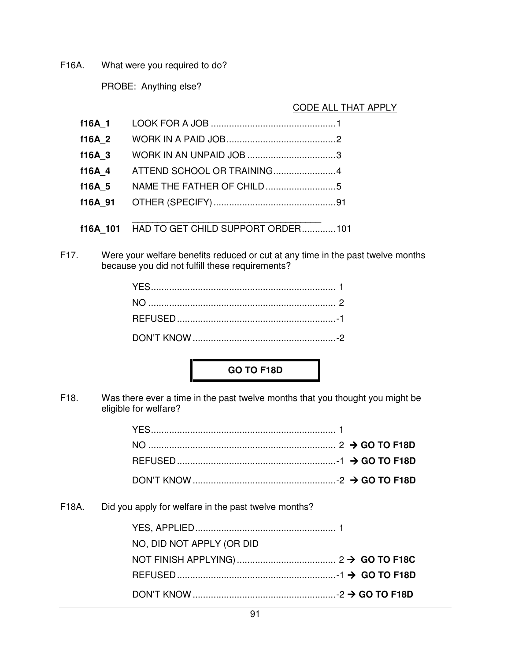F16A. What were you required to do?

PROBE: Anything else?

## CODE ALL THAT APPLY

| f16A 1   |                                   |  |
|----------|-----------------------------------|--|
| f16A 2   |                                   |  |
| f16A 3   |                                   |  |
| f16A 4   |                                   |  |
| f16A 5   |                                   |  |
| f16A 91  |                                   |  |
|          |                                   |  |
| f16A 101 | HAD TO GET CHILD SUPPORT ORDER101 |  |

F17. Were your welfare benefits reduced or cut at any time in the past twelve months because you did not fulfill these requirements?

## **GO TO F18D**

F18. Was there ever a time in the past twelve months that you thought you might be eligible for welfare?

F18A. Did you apply for welfare in the past twelve months?

| NO, DID NOT APPLY (OR DID |  |
|---------------------------|--|
|                           |  |
|                           |  |
|                           |  |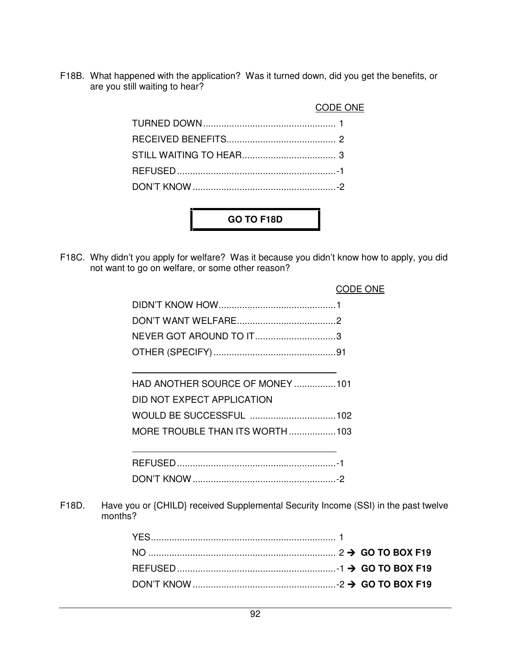F18B. What happened with the application? Was it turned down, did you get the benefits, or are you still waiting to hear?

|  | CODE ONE |
|--|----------|
|  |          |
|  |          |
|  |          |
|  |          |
|  |          |
|  |          |

F18C. Why didn't you apply for welfare? Was it because you didn't know how to apply, you did not want to go on welfare, or some other reason?

**GO TO F18D** 

|                            | ODE ONE                         |
|----------------------------|---------------------------------|
|                            |                                 |
|                            |                                 |
| NEVER GOT AROUND TO IT3    |                                 |
|                            |                                 |
|                            | HAD ANOTHER SOURCE OF MONEY 101 |
| DID NOT EXPECT APPLICATION |                                 |
|                            |                                 |
|                            | MORE TROUBLE THAN ITS WORTH 103 |
|                            |                                 |
|                            |                                 |

F18D. Have you or {CHILD} received Supplemental Security Income (SSI) in the past twelve months?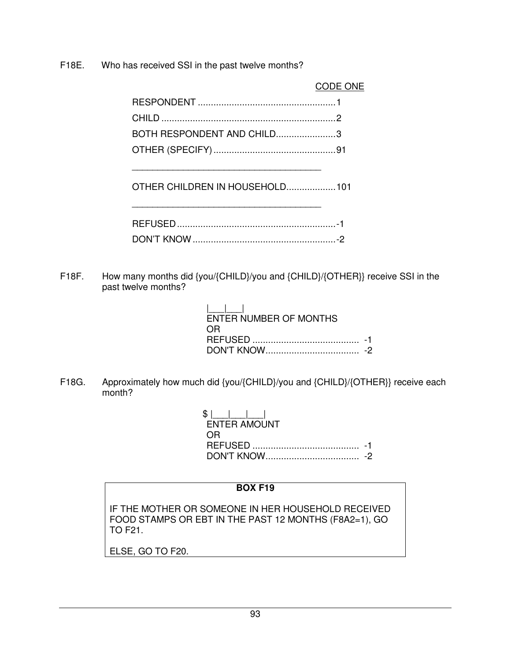F18E. Who has received SSI in the past twelve months?

 CODE ONE RESPONDENT ..................................................... 1 CHILD ................................................................... 2 BOTH RESPONDENT AND CHILD....................... 3 OTHER (SPECIFY) ............................................... 91 \_\_\_\_\_\_\_\_\_\_\_\_\_\_\_\_\_\_\_\_\_\_\_\_\_\_\_\_\_\_\_\_\_\_\_\_\_ OTHER CHILDREN IN HOUSEHOLD...................101 \_\_\_\_\_\_\_\_\_\_\_\_\_\_\_\_\_\_\_\_\_\_\_\_\_\_\_\_\_\_\_\_\_\_\_\_\_ REFUSED ............................................................. -1 DON'T KNOW ....................................................... -2

F18F. How many months did {you/{CHILD}/you and {CHILD}/{OTHER}} receive SSI in the past twelve months?

| ENTER NUMBER OF MONTHS<br>$\bigcap$ |  |
|-------------------------------------|--|
|                                     |  |
|                                     |  |

F18G. Approximately how much did {you/{CHILD}/you and {CHILD}/{OTHER}} receive each month?

 $$|$  | | | | | | ENTER AMOUNT **OR CONSTRUCTION** REFUSED ......................................... -1 DON'T KNOW .................................... -2

## **BOX F19**

IF THE MOTHER OR SOMEONE IN HER HOUSEHOLD RECEIVED FOOD STAMPS OR EBT IN THE PAST 12 MONTHS (F8A2=1), GO TO F21.

ELSE, GO TO F20.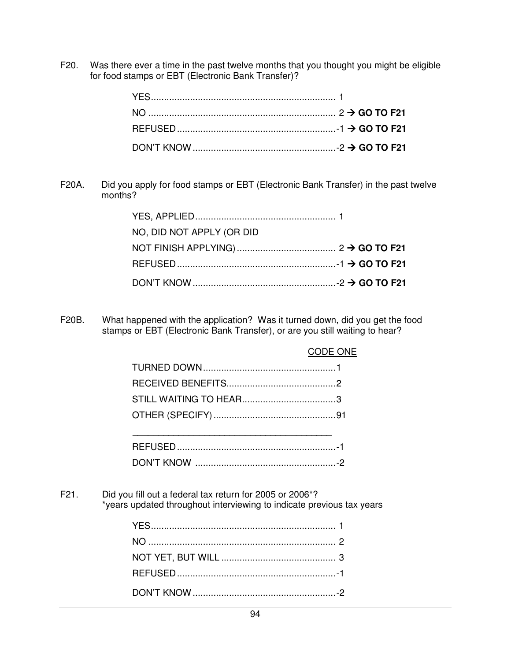F20. Was there ever a time in the past twelve months that you thought you might be eligible for food stamps or EBT (Electronic Bank Transfer)?

F20A. Did you apply for food stamps or EBT (Electronic Bank Transfer) in the past twelve months?

| NO, DID NOT APPLY (OR DID |  |
|---------------------------|--|
|                           |  |
|                           |  |
|                           |  |

F20B. What happened with the application? Was it turned down, did you get the food stamps or EBT (Electronic Bank Transfer), or are you still waiting to hear?

| CODE ONE |
|----------|
|          |
|          |
|          |
|          |
|          |
|          |
|          |

F21. Did you fill out a federal tax return for 2005 or 2006\*? \*years updated throughout interviewing to indicate previous tax years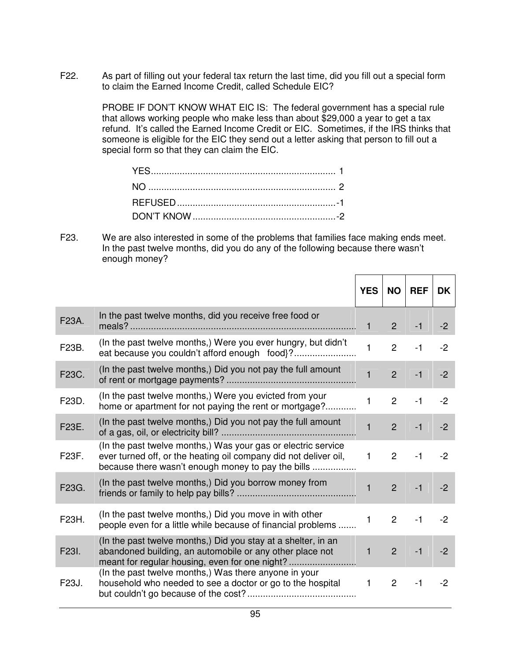F22. As part of filling out your federal tax return the last time, did you fill out a special form to claim the Earned Income Credit, called Schedule EIC?

> PROBE IF DON'T KNOW WHAT EIC IS: The federal government has a special rule that allows working people who make less than about \$29,000 a year to get a tax refund. It's called the Earned Income Credit or EIC. Sometimes, if the IRS thinks that someone is eligible for the EIC they send out a letter asking that person to fill out a special form so that they can claim the EIC.

F23. We are also interested in some of the problems that families face making ends meet. In the past twelve months, did you do any of the following because there wasn't enough money?

|       |                                                                                                                                                                                         | <b>YES</b>   | <b>NO</b>      | <b>REF</b> | <b>DK</b> |
|-------|-----------------------------------------------------------------------------------------------------------------------------------------------------------------------------------------|--------------|----------------|------------|-----------|
| F23A. | In the past twelve months, did you receive free food or                                                                                                                                 | $\mathbf{1}$ | 2              | $-1$       | $-2$      |
| F23B. | (In the past twelve months,) Were you ever hungry, but didn't                                                                                                                           | $\mathbf{1}$ | $\overline{2}$ | $-1$       | $-2$      |
| F23C. | (In the past twelve months,) Did you not pay the full amount                                                                                                                            | $\mathbf{1}$ | $\overline{2}$ | $-1$       | $-2$      |
| F23D. | (In the past twelve months,) Were you evicted from your<br>home or apartment for not paying the rent or mortgage?                                                                       | $\mathbf{1}$ | $\overline{2}$ | $-1$       | $-2$      |
| F23E. | (In the past twelve months,) Did you not pay the full amount                                                                                                                            | $\mathbf{1}$ | $\overline{2}$ | $-1$       | $-2$      |
| F23F. | (In the past twelve months.) Was your gas or electric service<br>ever turned off, or the heating oil company did not deliver oil,<br>because there wasn't enough money to pay the bills | $\mathbf{1}$ | $\overline{2}$ | $-1$       | $-2$      |
| F23G. | (In the past twelve months,) Did you borrow money from                                                                                                                                  | $\mathbf{1}$ | $\overline{2}$ | $-1$       | $-2$      |
| F23H. | (In the past twelve months,) Did you move in with other<br>people even for a little while because of financial problems                                                                 | $\mathbf{1}$ | $\overline{2}$ | $-1$       | $-2$      |
| F23I. | (In the past twelve months.) Did you stay at a shelter, in an<br>abandoned building, an automobile or any other place not<br>meant for regular housing, even for one night?             | $\mathbf{1}$ | $2^{\circ}$    | $-1$       | $-2$      |
| F23J. | (In the past twelve months,) Was there anyone in your<br>household who needed to see a doctor or go to the hospital                                                                     | $\mathbf{1}$ | $\overline{2}$ | $-1$       | $-2$      |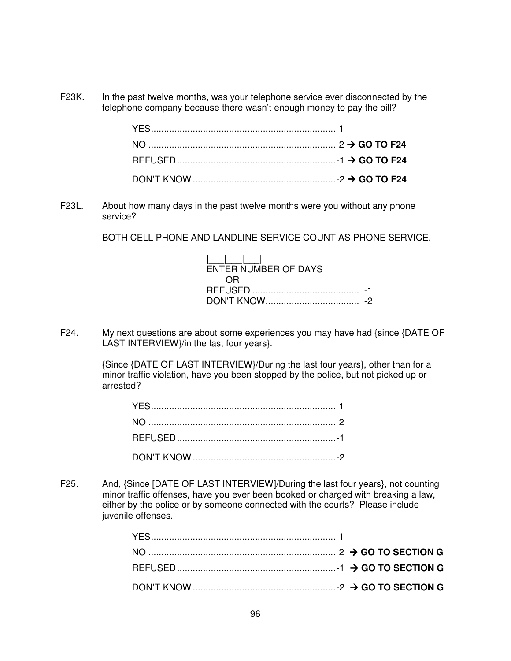F23K. In the past twelve months, was your telephone service ever disconnected by the telephone company because there wasn't enough money to pay the bill?

F23L. About how many days in the past twelve months were you without any phone service?

BOTH CELL PHONE AND LANDLINE SERVICE COUNT AS PHONE SERVICE.

| $1 \quad 1 \quad 1 \quad 1$ |  |
|-----------------------------|--|
| ENTER NUMBER OF DAYS        |  |
|                             |  |
|                             |  |
|                             |  |

F24. My next questions are about some experiences you may have had {since {DATE OF LAST INTERVIEW}/in the last four years}.

> {Since {DATE OF LAST INTERVIEW}/During the last four years}, other than for a minor traffic violation, have you been stopped by the police, but not picked up or arrested?

F25. And, {Since [DATE OF LAST INTERVIEW]/During the last four years}, not counting minor traffic offenses, have you ever been booked or charged with breaking a law, either by the police or by someone connected with the courts? Please include juvenile offenses.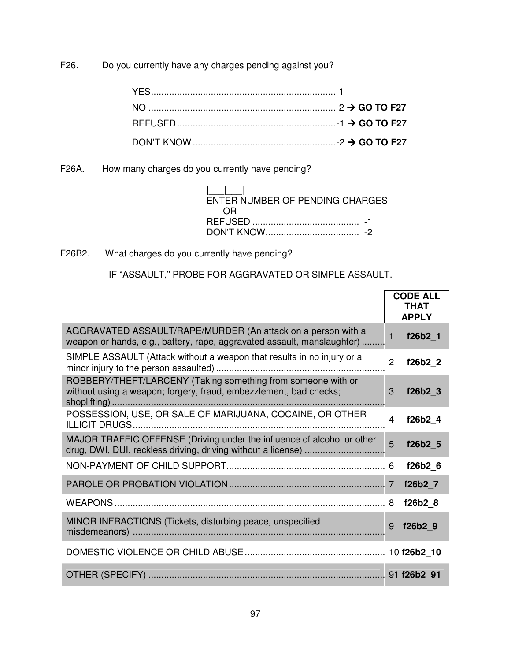F26. Do you currently have any charges pending against you?

F26A. How many charges do you currently have pending?

| ENTER NUMBER OF PENDING CHARGES |  |
|---------------------------------|--|
| ( )R                            |  |
|                                 |  |
|                                 |  |

F26B2. What charges do you currently have pending?

IF "ASSAULT," PROBE FOR AGGRAVATED OR SIMPLE ASSAULT.

|                                                                                                                                         |                | <b>CODE ALL</b><br><b>THAT</b><br><b>APPLY</b> |
|-----------------------------------------------------------------------------------------------------------------------------------------|----------------|------------------------------------------------|
| AGGRAVATED ASSAULT/RAPE/MURDER (An attack on a person with a<br>weapon or hands, e.g., battery, rape, aggravated assault, manslaughter) | $\mathbf{1}$   | f26b2 1                                        |
| SIMPLE ASSAULT (Attack without a weapon that results in no injury or a                                                                  | $\overline{2}$ | f26b2_2                                        |
| ROBBERY/THEFT/LARCENY (Taking something from someone with or<br>without using a weapon; forgery, fraud, embezzlement, bad checks;       | 3              | f26b2 <sub>3</sub>                             |
| POSSESSION, USE, OR SALE OF MARIJUANA, COCAINE, OR OTHER                                                                                | $\overline{4}$ | f26b2_4                                        |
| MAJOR TRAFFIC OFFENSE (Driving under the influence of alcohol or other                                                                  | 5              | f26b2 5                                        |
|                                                                                                                                         |                | f26b2 6                                        |
|                                                                                                                                         |                | f26b2 7                                        |
|                                                                                                                                         |                | f26b2 8                                        |
| MINOR INFRACTIONS (Tickets, disturbing peace, unspecified                                                                               | 9              | f26b29                                         |
|                                                                                                                                         |                |                                                |
|                                                                                                                                         |                |                                                |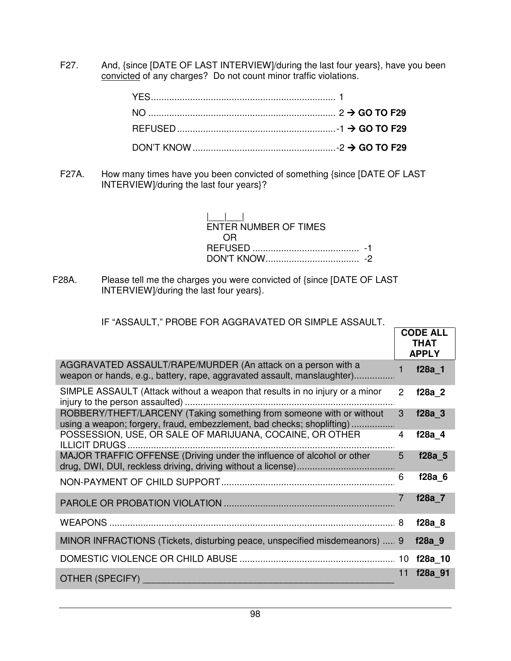F27. And, {since [DATE OF LAST INTERVIEW]/during the last four years}, have you been convicted of any charges? Do not count minor traffic violations.

F27A. How many times have you been convicted of something {since [DATE OF LAST INTERVIEW]/during the last four years}?

| $\mathbf{1}$ $\mathbf{1}$ $\mathbf{1}$<br>ENTER NUMBER OF TIMES |  |
|-----------------------------------------------------------------|--|
| ( )R                                                            |  |
|                                                                 |  |
|                                                                 |  |

F28A. Please tell me the charges you were convicted of {since [DATE OF LAST INTERVIEW]/during the last four years}.

## IF "ASSAULT," PROBE FOR AGGRAVATED OR SIMPLE ASSAULT.

|                                                                                                                                                |    | <b>CODE ALL</b><br><b>THAT</b><br><b>APPLY</b> |
|------------------------------------------------------------------------------------------------------------------------------------------------|----|------------------------------------------------|
| AGGRAVATED ASSAULT/RAPE/MURDER (An attack on a person with a<br>weapon or hands, e.g., battery, rape, aggravated assault, manslaughter)        |    | f28a 1                                         |
| SIMPLE ASSAULT (Attack without a weapon that results in no injury or a minor                                                                   | 2  | f28a 2                                         |
| ROBBERY/THEFT/LARCENY (Taking something from someone with or without<br>using a weapon; forgery, fraud, embezzlement, bad checks; shoplifting) | 3  | f28a 3                                         |
| POSSESSION, USE, OR SALE OF MARIJUANA, COCAINE, OR OTHER                                                                                       | 4  | $f28a$ 4                                       |
| MAJOR TRAFFIC OFFENSE (Driving under the influence of alcohol or other                                                                         | 5  | f28a 5                                         |
|                                                                                                                                                | 6  | $f28a$ 6                                       |
|                                                                                                                                                |    | f28a 7                                         |
|                                                                                                                                                |    | $f28a$ 8                                       |
| MINOR INFRACTIONS (Tickets, disturbing peace, unspecified misdemeanors)  9                                                                     |    | f28a 9                                         |
|                                                                                                                                                |    | f28a 10                                        |
| <b>OTHER (SPECIFY)</b>                                                                                                                         | 11 | f28a 91                                        |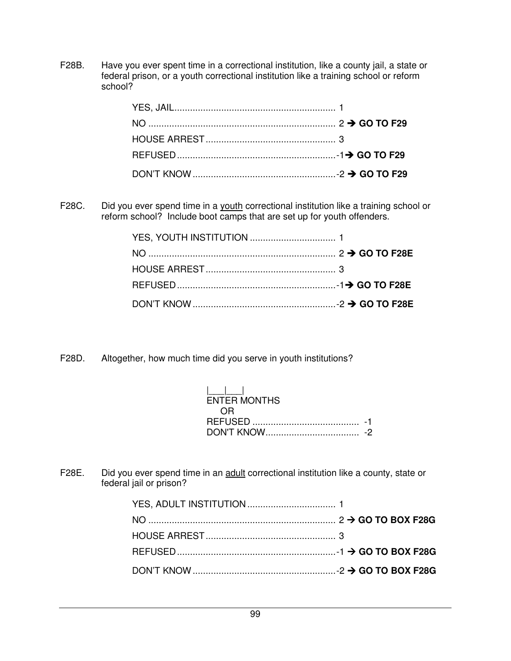F28B. Have you ever spent time in a correctional institution, like a county jail, a state or federal prison, or a youth correctional institution like a training school or reform school?

F28C. Did you ever spend time in a youth correctional institution like a training school or reform school? Include boot camps that are set up for youth offenders.

F28D. Altogether, how much time did you serve in youth institutions?

| <b>ENTER MONTHS</b> |  |
|---------------------|--|
| $($ $\mathbb{R}$    |  |
|                     |  |
|                     |  |

F28E. Did you ever spend time in an adult correctional institution like a county, state or federal jail or prison?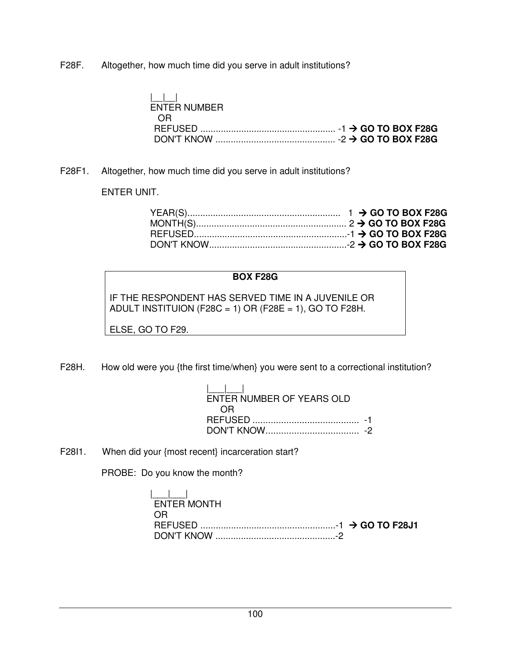F28F. Altogether, how much time did you serve in adult institutions?

| $\mathbf{1}$ $\mathbf{1}$ $\mathbf{1}$ |  |
|----------------------------------------|--|
| ENTER NUMBER                           |  |
| - OR                                   |  |
|                                        |  |
|                                        |  |

F28F1. Altogether, how much time did you serve in adult institutions?

## ENTER UNIT.

## **BOX F28G**

IF THE RESPONDENT HAS SERVED TIME IN A JUVENILE OR ADULT INSTITUION (F28C = 1) OR (F28E = 1), GO TO F28H.

ELSE, GO TO F29.

F28H. How old were you {the first time/when} you were sent to a correctional institution?

| $\mathbf{1}$ $\mathbf{1}$ $\mathbf{1}$<br>ENTER NUMBER OF YEARS OLD |  |
|---------------------------------------------------------------------|--|
| OR.                                                                 |  |
|                                                                     |  |
| DON'T KNOW                                                          |  |

F28I1. When did your {most recent} incarceration start?

PROBE: Do you know the month?

| ENTER MONTH |  |
|-------------|--|
| ΩR          |  |
|             |  |
|             |  |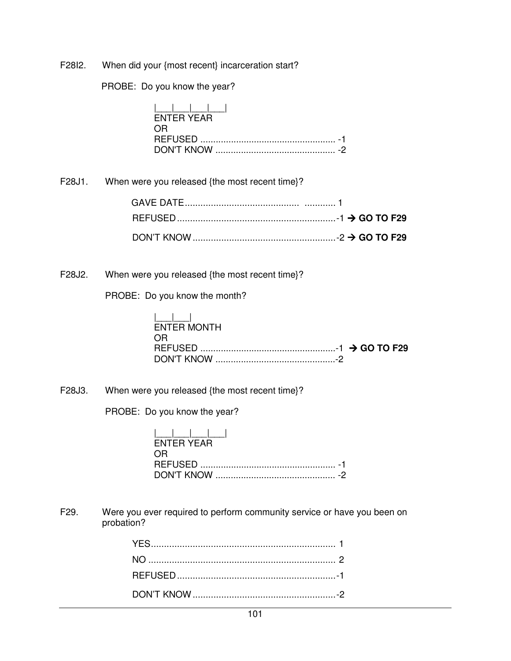F28I2. When did your {most recent} incarceration start?

PROBE: Do you know the year?

F28J1.

F28J2.

|        | <b>ENTER YEAR</b><br>OR.                       |
|--------|------------------------------------------------|
| F28J1. | When were you released {the most recent time}? |
|        |                                                |
|        |                                                |
|        |                                                |
| F28J2. | When were you released {the most recent time}? |
|        | PROBE: Do you know the month?                  |
|        | <b>ENTER MONTH</b><br>OR.                      |

DON'T KNOW ...............................................-2

F28J3. When were you released {the most recent time}?

PROBE: Do you know the year?

| ENTER YEAR |  |
|------------|--|
| OR.        |  |
|            |  |
|            |  |

F29. Were you ever required to perform community service or have you been on probation?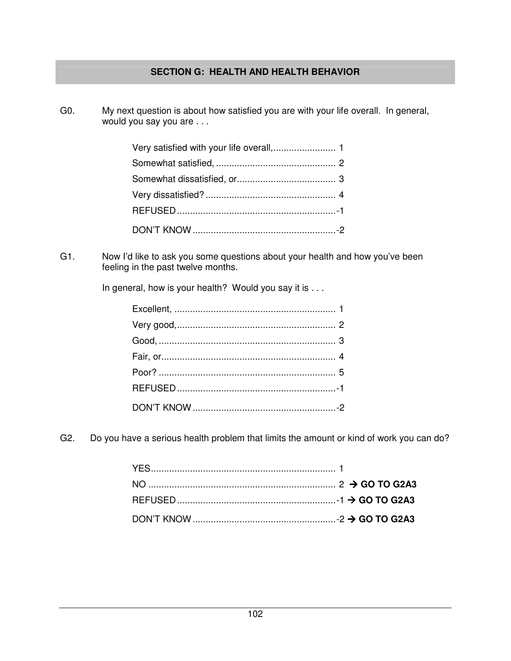## **SECTION G: HEALTH AND HEALTH BEHAVIOR**

G0. My next question is about how satisfied you are with your life overall. In general, would you say you are . . .

G1. Now I'd like to ask you some questions about your health and how you've been feeling in the past twelve months.

In general, how is your health? Would you say it is . . .

G2. Do you have a serious health problem that limits the amount or kind of work you can do?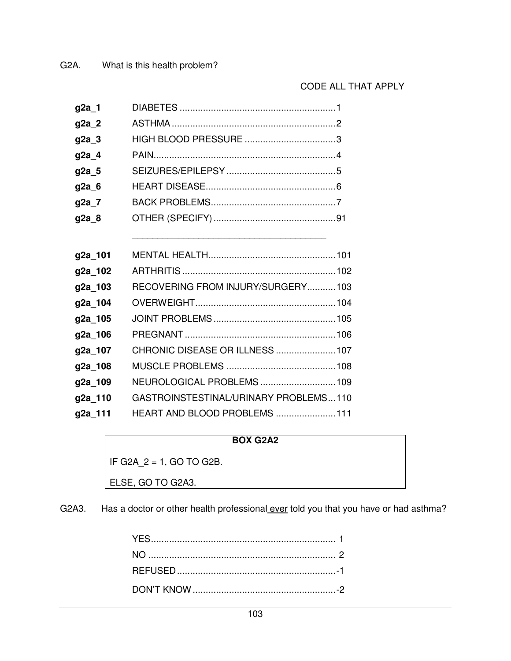## CODE ALL THAT APPLY

| g2a_1   |                                       |
|---------|---------------------------------------|
| g2a_2   |                                       |
| g2a_3   |                                       |
| g2a_4   |                                       |
| g2a_5   |                                       |
| g2a 6   |                                       |
| g2a_7   |                                       |
| g2a_8   |                                       |
|         |                                       |
| g2a_101 |                                       |
| g2a_102 |                                       |
| g2a_103 | RECOVERING FROM INJURY/SURGERY103     |
| g2a_104 |                                       |
| g2a_105 |                                       |
| g2a_106 |                                       |
| g2a_107 | CHRONIC DISEASE OR ILLNESS  107       |
| g2a_108 |                                       |
| g2a_109 | NEUROLOGICAL PROBLEMS109              |
| g2a_110 | GASTROINSTESTINAL/URINARY PROBLEMS110 |
| g2a_111 | HEART AND BLOOD PROBLEMS  111         |

## **BOX G2A2**

IF G2A\_2 = 1, GO TO G2B.

ELSE, GO TO G2A3.

G2A3. Has a doctor or other health professional ever told you that you have or had asthma?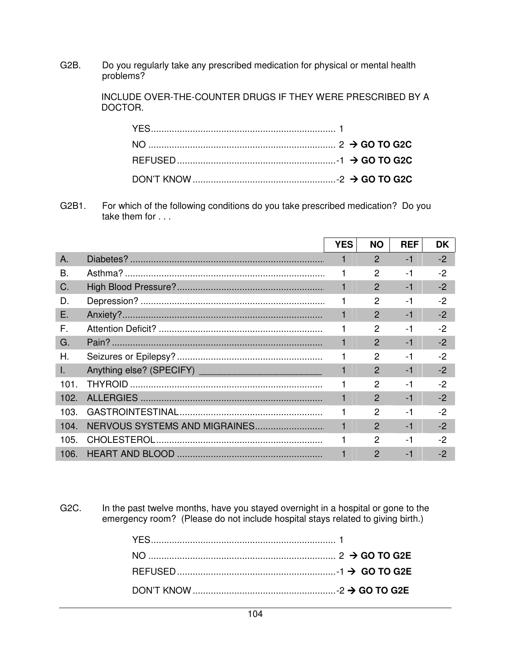G2B. Do you regularly take any prescribed medication for physical or mental health problems?

> INCLUDE OVER-THE-COUNTER DRUGS IF THEY WERE PRESCRIBED BY A DOCTOR.

G2B1. For which of the following conditions do you take prescribed medication? Do you take them for . . .

|      | <b>YES</b> | <b>NO</b>     | <b>REF</b> | <b>DK</b> |
|------|------------|---------------|------------|-----------|
|      |            |               |            |           |
| A.   |            | $\mathcal{P}$ | $-1$       | $-2$      |
| В.   |            | $\mathcal{P}$ | $-1$       | $-2$      |
| C.   |            | $\mathcal{P}$ | $-1$       | $-2$      |
| D.   |            | $\mathcal{P}$ | $-1$       | $-2$      |
| Ε.   |            | $\mathcal{P}$ | $-1$       | $-2$      |
| F.   |            | 2             | $-1$       | $-2$      |
| G.   |            | 2             | $-1$       | $-2$      |
| Η.   |            | 2             | $-1$       | $-2$      |
| I.   |            | $\mathcal{P}$ | $-1$       | $-2$      |
| 101. |            | 2             | $-1$       | $-2$      |
| 102. |            | $\mathcal{P}$ | $-1$       | $-2$      |
| 103. |            | $\mathcal{P}$ | $-1$       | -2        |
| 104. |            | $\mathcal{P}$ | $-1$       | $-2$      |
| 105. |            | $\mathcal{P}$ | $-1$       | -2        |
| 106. |            | $\mathcal{P}$ | $-1$       | $-2$      |

G2C. In the past twelve months, have you stayed overnight in a hospital or gone to the emergency room? (Please do not include hospital stays related to giving birth.)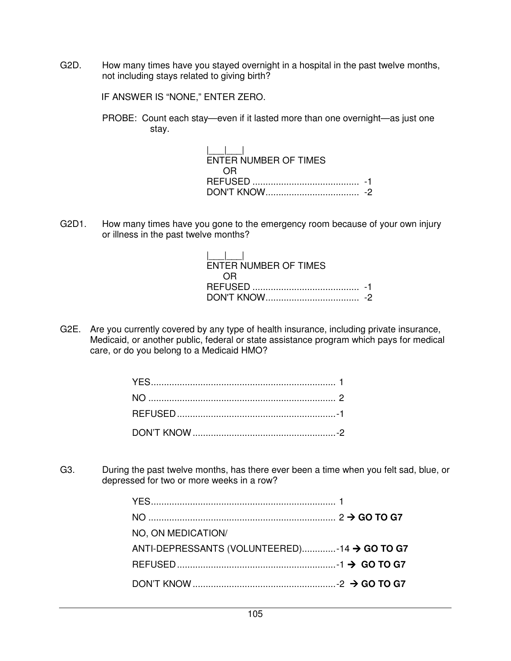G2D. How many times have you stayed overnight in a hospital in the past twelve months, not including stays related to giving birth?

IF ANSWER IS "NONE," ENTER ZERO.

 PROBE: Count each stay—even if it lasted more than one overnight—as just one stay.

> $| \qquad | \qquad |$  ENTER NUMBER OF TIMES OR REFUSED ......................................... -1 DON'T KNOW .................................... -2

G2D1. How many times have you gone to the emergency room because of your own injury or illness in the past twelve months?

| $\mathbf{1}$ and $\mathbf{1}$<br>ENTER NUMBER OF TIMES |  |
|--------------------------------------------------------|--|
| 0.R                                                    |  |
|                                                        |  |
|                                                        |  |

G2E. Are you currently covered by any type of health insurance, including private insurance, Medicaid, or another public, federal or state assistance program which pays for medical care, or do you belong to a Medicaid HMO?

G3. During the past twelve months, has there ever been a time when you felt sad, blue, or depressed for two or more weeks in a row?

| NO, ON MEDICATION/                           |  |
|----------------------------------------------|--|
| ANTI-DEPRESSANTS (VOLUNTEERED)-14 → GO TO G7 |  |
|                                              |  |
|                                              |  |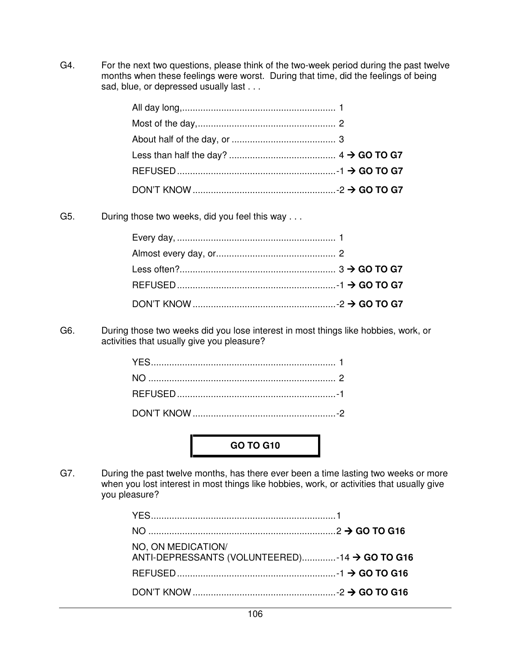G4. For the next two questions, please think of the two-week period during the past twelve months when these feelings were worst. During that time, did the feelings of being sad, blue, or depressed usually last . . .

G5. During those two weeks, did you feel this way . . .

G6. During those two weeks did you lose interest in most things like hobbies, work, or activities that usually give you pleasure?

**GO TO G10** 

G7. During the past twelve months, has there ever been a time lasting two weeks or more when you lost interest in most things like hobbies, work, or activities that usually give you pleasure?

| NO, ON MEDICATION/<br>ANTI-DEPRESSANTS (VOLUNTEERED)-14 → GO TO G16 |  |
|---------------------------------------------------------------------|--|
|                                                                     |  |
|                                                                     |  |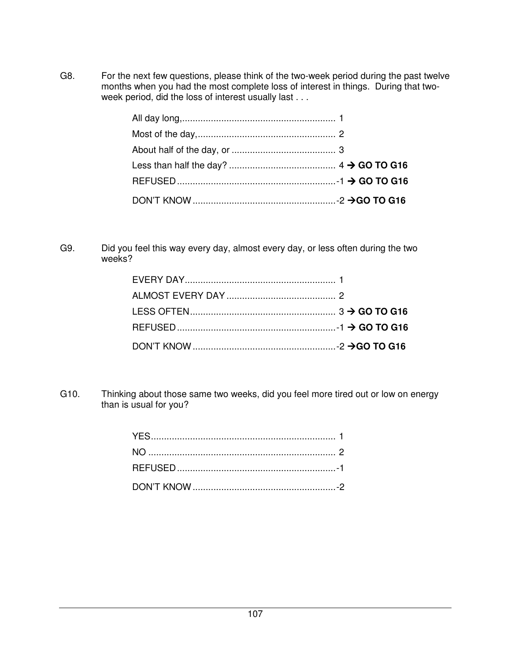G8. For the next few questions, please think of the two-week period during the past twelve months when you had the most complete loss of interest in things. During that twoweek period, did the loss of interest usually last . . .

G9. Did you feel this way every day, almost every day, or less often during the two weeks?

G10. Thinking about those same two weeks, did you feel more tired out or low on energy than is usual for you?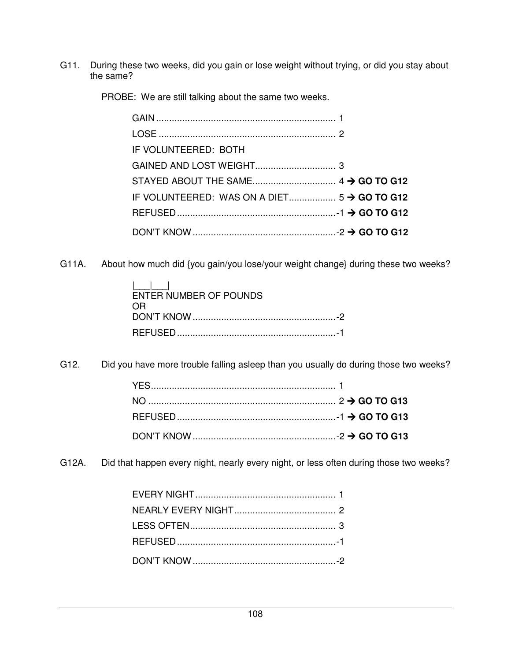G11. During these two weeks, did you gain or lose weight without trying, or did you stay about the same?

PROBE: We are still talking about the same two weeks.

| IF VOLUNTEERED: BOTH |  |
|----------------------|--|
|                      |  |
|                      |  |
|                      |  |
|                      |  |
|                      |  |

G11A. About how much did {you gain/you lose/your weight change} during these two weeks?

| $\mathbf{I}$ and $\mathbf{I}$<br>ENTER NUMBER OF POUNDS |  |
|---------------------------------------------------------|--|
| OR.                                                     |  |
|                                                         |  |

G12. Did you have more trouble falling asleep than you usually do during those two weeks?

G12A. Did that happen every night, nearly every night, or less often during those two weeks?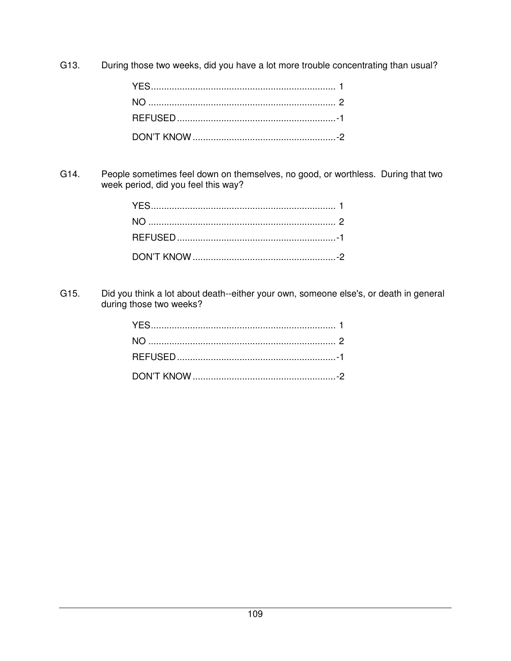G13. During those two weeks, did you have a lot more trouble concentrating than usual?

People sometimes feel down on themselves, no good, or worthless. During that two G14. week period, did you feel this way?

Did you think a lot about death--either your own, someone else's, or death in general G15. during those two weeks?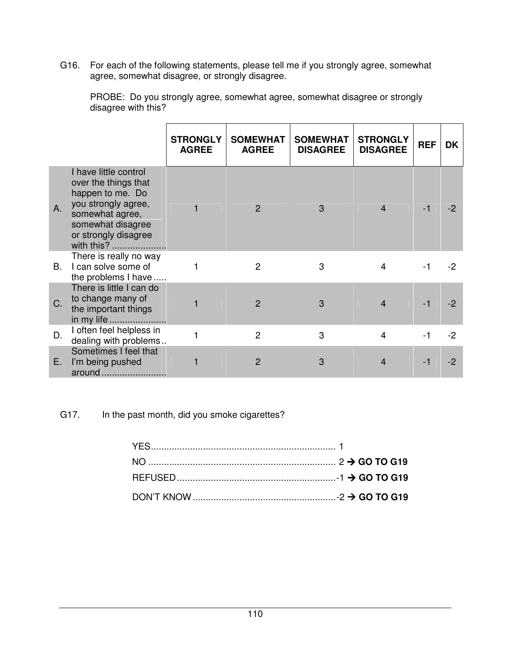G16. For each of the following statements, please tell me if you strongly agree, somewhat agree, somewhat disagree, or strongly disagree.

|           |                                                                                                                                                                        | <b>STRONGLY</b><br><b>AGREE</b> | <b>SOMEWHAT</b><br><b>AGREE</b> | <b>SOMEWHAT</b><br><b>DISAGREE</b> | <b>STRONGLY</b><br><b>DISAGREE</b> | <b>REF</b> | DK   |
|-----------|------------------------------------------------------------------------------------------------------------------------------------------------------------------------|---------------------------------|---------------------------------|------------------------------------|------------------------------------|------------|------|
| A.        | I have little control<br>over the things that<br>happen to me. Do<br>you strongly agree,<br>somewhat agree,<br>somewhat disagree<br>or strongly disagree<br>with this? |                                 | $\mathcal{P}$                   | 3                                  | 4                                  | $-1$       |      |
| <b>B.</b> | There is really no way<br>I can solve some of<br>the problems I have                                                                                                   |                                 | 2                               | 3                                  | 4                                  | $-1$       | -2   |
| $C_{1}$   | There is little I can do<br>to change many of<br>the important things<br>in my life                                                                                    |                                 | $\overline{2}$                  | 3                                  | $\overline{\mathcal{A}}$           | $-1$       |      |
| D.        | I often feel helpless in<br>dealing with problems                                                                                                                      |                                 | $\overline{2}$                  | 3                                  | 4                                  | $-1$       | $-2$ |
| Е.        | Sometimes I feel that<br>I'm being pushed<br>around                                                                                                                    |                                 | $\overline{2}$                  | 3                                  | $\overline{4}$                     | -1         | -2   |

 PROBE: Do you strongly agree, somewhat agree, somewhat disagree or strongly disagree with this?

G17. In the past month, did you smoke cigarettes?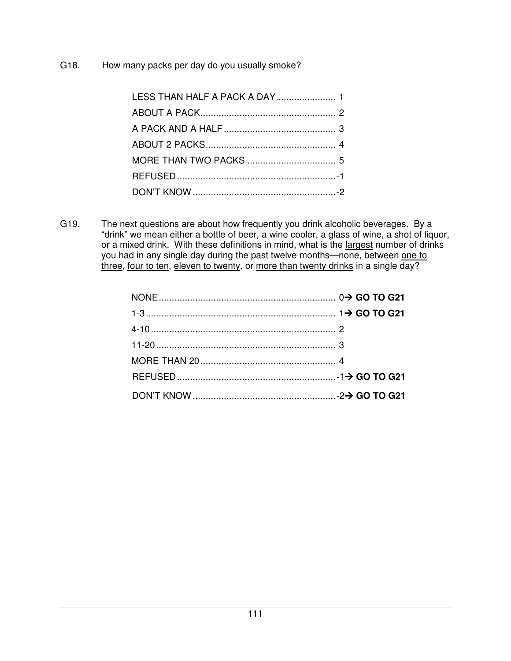G18. How many packs per day do you usually smoke?

| LESS THAN HALF A PACK A DAY 1 |  |
|-------------------------------|--|
|                               |  |
|                               |  |
|                               |  |
|                               |  |
|                               |  |
|                               |  |

G19. The next questions are about how frequently you drink alcoholic beverages. By a "drink" we mean either a bottle of beer, a wine cooler, a glass of wine, a shot of liquor, or a mixed drink. With these definitions in mind, what is the largest number of drinks you had in any single day during the past twelve months—none, between one to three, four to ten, eleven to twenty, or more than twenty drinks in a single day?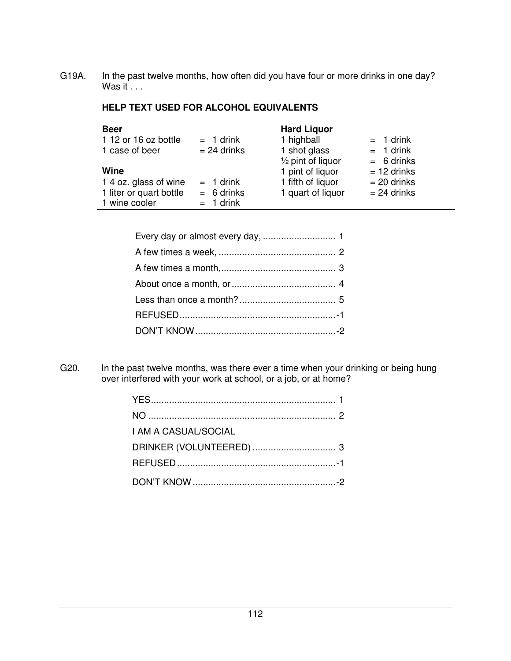G19A. In the past twelve months, how often did you have four or more drinks in one day? Was it . . .

|  |  | <b>HELP TEXT USED FOR ALCOHOL EQUIVALENTS</b> |  |
|--|--|-----------------------------------------------|--|
|--|--|-----------------------------------------------|--|

| <b>Beer</b>             |               | <b>Hard Liguor</b>           |               |
|-------------------------|---------------|------------------------------|---------------|
| 1 12 or 16 oz bottle    | $= 1$ drink   | 1 highball                   | $= 1$ drink   |
| 1 case of beer          | $= 24$ drinks | 1 shot glass                 | $= 1$ drink   |
|                         |               | $\frac{1}{2}$ pint of liquor | $= 6$ drinks  |
| Wine                    |               | 1 pint of liquor             | $= 12$ drinks |
| 1 4 oz. glass of wine   | $= 1$ drink   | 1 fifth of liquor            | $= 20$ drinks |
| 1 liter or quart bottle | $= 6$ drinks  | 1 quart of liquor            | $= 24$ drinks |
| 1 wine cooler           | $= 1$ drink   |                              |               |

G20. In the past twelve months, was there ever a time when your drinking or being hung over interfered with your work at school, or a job, or at home?

| I AM A CASUAL/SOCIAL |  |
|----------------------|--|
|                      |  |
|                      |  |
|                      |  |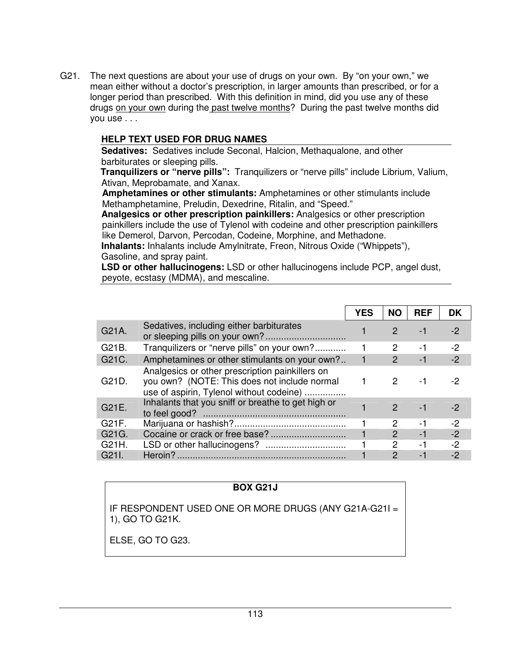G21. The next questions are about your use of drugs on your own. By "on your own," we mean either without a doctor's prescription, in larger amounts than prescribed, or for a longer period than prescribed. With this definition in mind, did you use any of these drugs on your own during the past twelve months? During the past twelve months did you use . . .

# **HELP TEXT USED FOR DRUG NAMES**

**Sedatives:** Sedatives include Seconal, Halcion, Methaqualone, and other barbiturates or sleeping pills.

**Tranquilizers or "nerve pills":** Tranquilizers or "nerve pills" include Librium, Valium, Ativan, Meprobamate, and Xanax.

**Amphetamines or other stimulants:** Amphetamines or other stimulants include Methamphetamine, Preludin, Dexedrine, Ritalin, and "Speed."

**Analgesics or other prescription painkillers:** Analgesics or other prescription painkillers include the use of Tylenol with codeine and other prescription painkillers like Demerol, Darvon, Percodan, Codeine, Morphine, and Methadone.

**Inhalants:** Inhalants include Amylnitrate, Freon, Nitrous Oxide ("Whippets"), Gasoline, and spray paint.

**LSD or other hallucinogens:** LSD or other hallucinogens include PCP, angel dust, peyote, ecstasy (MDMA), and mescaline.

|       |                                                                                                                                             | <b>YES</b> | <b>NO</b>     | <b>REF</b> | DK   |
|-------|---------------------------------------------------------------------------------------------------------------------------------------------|------------|---------------|------------|------|
| G21A. | Sedatives, including either barbiturates                                                                                                    |            | $\mathcal{P}$ | $-1$       | -2   |
| G21B. | Tranquilizers or "nerve pills" on your own?                                                                                                 |            | 2             | -1         | $-2$ |
| G21C. | Amphetamines or other stimulants on your own?                                                                                               |            | $\mathcal{P}$ | $-1$       | $-2$ |
| G21D. | Analgesics or other prescription painkillers on<br>you own? (NOTE: This does not include normal<br>use of aspirin, Tylenol without codeine) |            | $\mathcal{P}$ | -1         | -2   |
| G21E. | Inhalants that you sniff or breathe to get high or                                                                                          |            | $\mathcal{P}$ | $-1$       | -2   |
| G21F. |                                                                                                                                             |            | 2             | -1         | $-2$ |
| G21G. |                                                                                                                                             |            | $\mathcal{P}$ | $-1$       | $-2$ |
| G21H. |                                                                                                                                             |            | 2             | -1         | $-2$ |
| G21L  | Heroin?                                                                                                                                     |            | 2             | -1         | -2   |

## **BOX G21J**

IF RESPONDENT USED ONE OR MORE DRUGS (ANY G21A-G21I = 1), GO TO G21K.

ELSE, GO TO G23.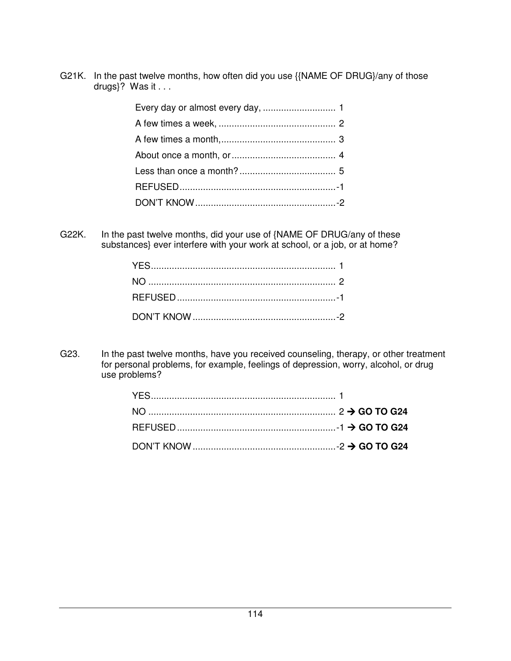G21K. In the past twelve months, how often did you use {{NAME OF DRUG}/any of those drugs}? Was it . . .

G22K. In the past twelve months, did your use of {NAME OF DRUG/any of these substances} ever interfere with your work at school, or a job, or at home?

G23. In the past twelve months, have you received counseling, therapy, or other treatment for personal problems, for example, feelings of depression, worry, alcohol, or drug use problems?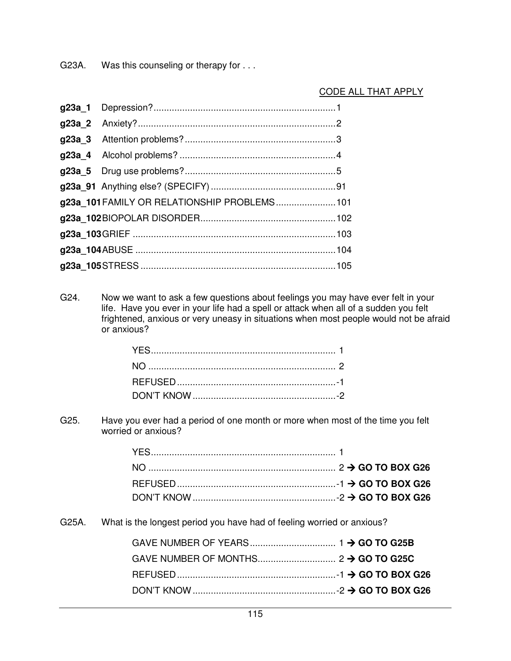G23A. Was this counseling or therapy for . . .

# CODE ALL THAT APPLY

| g23a 101 FAMILY OR RELATIONSHIP PROBLEMS 101 |  |
|----------------------------------------------|--|
|                                              |  |
|                                              |  |
|                                              |  |
|                                              |  |

G24. Now we want to ask a few questions about feelings you may have ever felt in your life. Have you ever in your life had a spell or attack when all of a sudden you felt frightened, anxious or very uneasy in situations when most people would not be afraid or anxious?

G25. Have you ever had a period of one month or more when most of the time you felt worried or anxious?

G25A. What is the longest period you have had of feeling worried or anxious?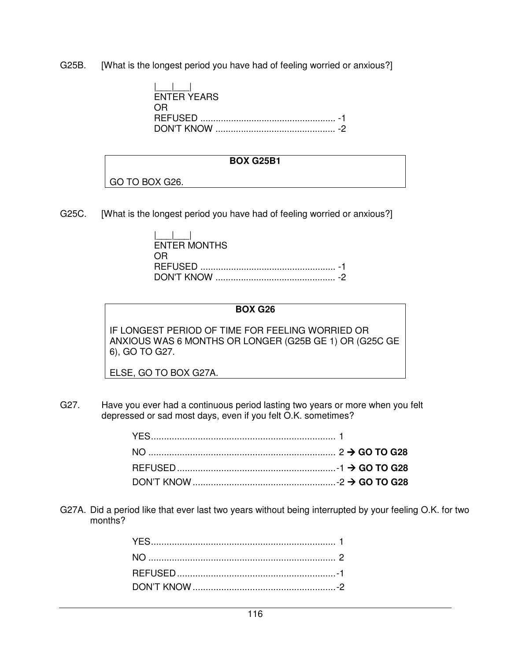G25B. [What is the longest period you have had of feeling worried or anxious?]

| $\mathbf{1}$<br><b>ENTER YEARS</b> |  |
|------------------------------------|--|
| ( )H                               |  |
|                                    |  |

#### **BOX G25B1**

GO TO BOX G26.

G25C. [What is the longest period you have had of feeling worried or anxious?]

| $\mathbf{1}$<br><b>ENTER MONTHS</b> |
|-------------------------------------|
| 0 H                                 |
|                                     |
|                                     |

#### **BOX G26**

IF LONGEST PERIOD OF TIME FOR FEELING WORRIED OR ANXIOUS WAS 6 MONTHS OR LONGER (G25B GE 1) OR (G25C GE 6), GO TO G27.

ELSE, GO TO BOX G27A.

G27. Have you ever had a continuous period lasting two years or more when you felt depressed or sad most days, even if you felt O.K. sometimes?

G27A. Did a period like that ever last two years without being interrupted by your feeling O.K. for two months?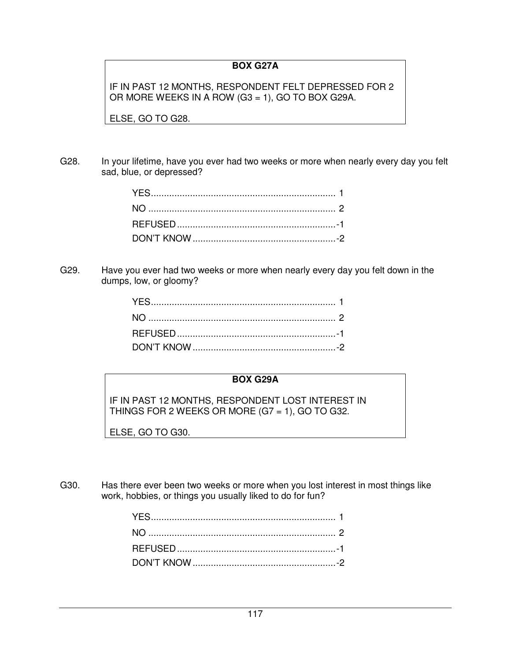# **BOX G27A**

IF IN PAST 12 MONTHS, RESPONDENT FELT DEPRESSED FOR 2 OR MORE WEEKS IN A ROW (G3 = 1), GO TO BOX G29A.

ELSE, GO TO G28.

G28. In your lifetime, have you ever had two weeks or more when nearly every day you felt sad, blue, or depressed?

G29. Have you ever had two weeks or more when nearly every day you felt down in the dumps, low, or gloomy?

#### **BOX G29A**

IF IN PAST 12 MONTHS, RESPONDENT LOST INTEREST IN THINGS FOR 2 WEEKS OR MORE (G7 = 1), GO TO G32.

ELSE, GO TO G30.

G30. Has there ever been two weeks or more when you lost interest in most things like work, hobbies, or things you usually liked to do for fun?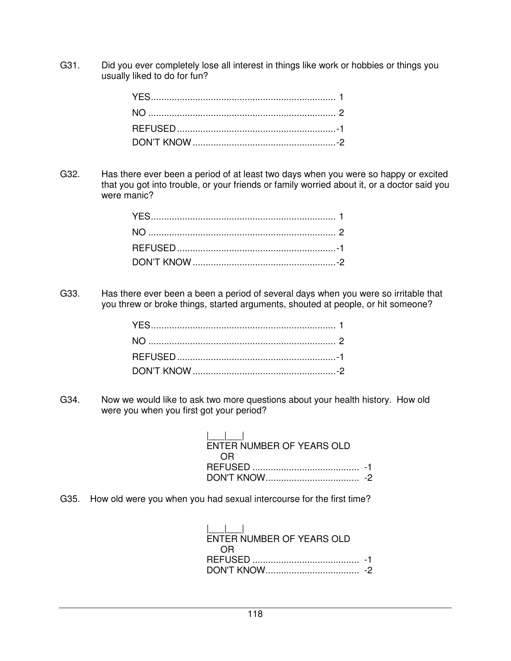G31. Did you ever completely lose all interest in things like work or hobbies or things you usually liked to do for fun?

G32. Has there ever been a period of at least two days when you were so happy or excited that you got into trouble, or your friends or family worried about it, or a doctor said you were manic?

G33. Has there ever been a been a period of several days when you were so irritable that you threw or broke things, started arguments, shouted at people, or hit someone?

G34. Now we would like to ask two more questions about your health history. How old were you when you first got your period?

| $\mathbf{1}$ $\mathbf{1}$ $\mathbf{1}$ |  |
|----------------------------------------|--|
| ENTER NUMBER OF YEARS OLD              |  |
| OR                                     |  |
|                                        |  |
|                                        |  |

G35. How old were you when you had sexual intercourse for the first time?

 |\_\_\_|\_\_\_| ENTER NUMBER OF YEARS OLD OR REFUSED ......................................... -1 DON'T KNOW .................................... -2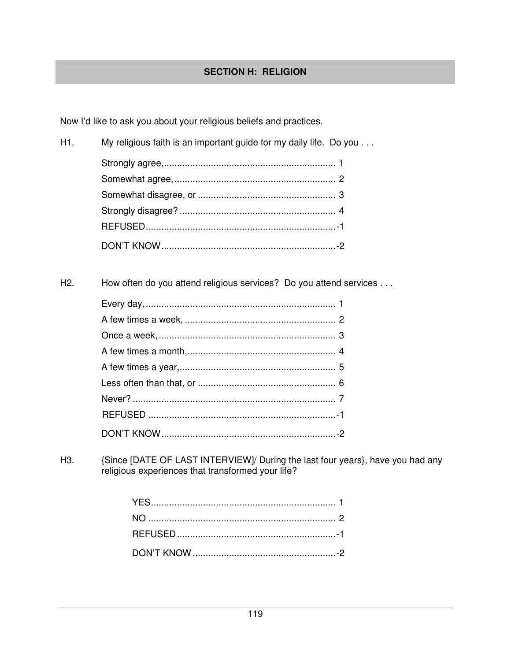# **SECTION H: RELIGION**

Now I'd like to ask you about your religious beliefs and practices.

| H1. | My religious faith is an important guide for my daily life. Do you |  |
|-----|--------------------------------------------------------------------|--|
|     |                                                                    |  |
|     |                                                                    |  |
|     |                                                                    |  |
|     |                                                                    |  |
|     |                                                                    |  |
|     |                                                                    |  |

H<sub>2</sub>. How often do you attend religious services? Do you attend services . . .

{Since [DATE OF LAST INTERVIEW]/ During the last four years}, have you had any religious experiences that transformed your life? H<sub>3</sub>.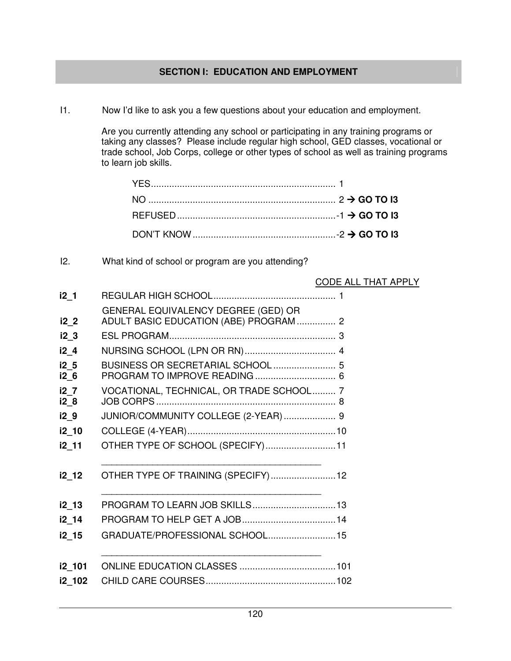# **SECTION I: EDUCATION AND EMPLOYMENT**

I1. Now I'd like to ask you a few questions about your education and employment.

 Are you currently attending any school or participating in any training programs or taking any classes? Please include regular high school, GED classes, vocational or trade school, Job Corps, college or other types of school as well as training programs to learn job skills.

I2. What kind of school or program are you attending?

#### CODE ALL THAT APPLY

| i2 <sub>1</sub>  |                                                                               |
|------------------|-------------------------------------------------------------------------------|
| i2 <sub>2</sub>  | GENERAL EQUIVALENCY DEGREE (GED) OR<br>ADULT BASIC EDUCATION (ABE) PROGRAM  2 |
| i2 <sub>3</sub>  |                                                                               |
| i2 4             |                                                                               |
| $i2-5$<br>$i2$ 6 | BUSINESS OR SECRETARIAL SCHOOL  5<br>PROGRAM TO IMPROVE READING  6            |
| i2 7<br>i2 8     | VOCATIONAL, TECHNICAL, OR TRADE SCHOOL 7                                      |
| i29              | JUNIOR/COMMUNITY COLLEGE (2-YEAR)  9                                          |
| i2_10            |                                                                               |
| i2 11            | OTHER TYPE OF SCHOOL (SPECIFY) 11                                             |
| i2 12            | OTHER TYPE OF TRAINING (SPECIFY) 12                                           |
| $i2$ 13          | PROGRAM TO LEARN JOB SKILLS 13                                                |
| i2_14            |                                                                               |
| i2_15            | GRADUATE/PROFESSIONAL SCHOOL15                                                |
| i2_101           |                                                                               |
| i2_102           |                                                                               |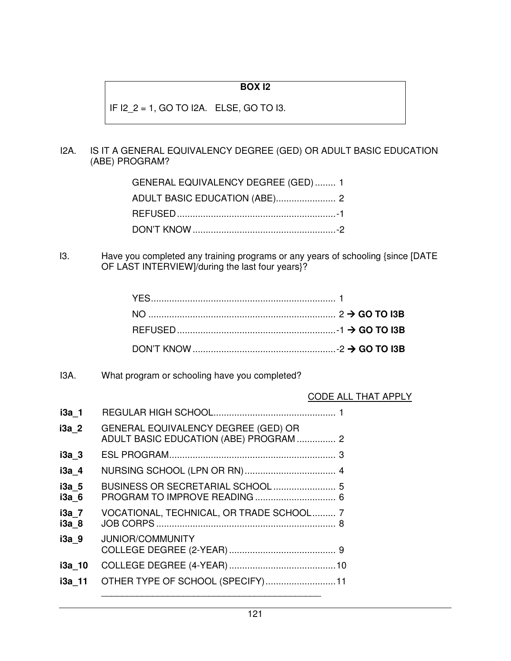# **BOX I2**

IF I2\_2 = 1, GO TO I2A. ELSE, GO TO I3.

## I2A. IS IT A GENERAL EQUIVALENCY DEGREE (GED) OR ADULT BASIC EDUCATION (ABE) PROGRAM?

| GENERAL EQUIVALENCY DEGREE (GED)  1 |  |
|-------------------------------------|--|
|                                     |  |
|                                     |  |
|                                     |  |

I3. Have you completed any training programs or any years of schooling {since [DATE OF LAST INTERVIEW]/during the last four years}?

# I3A. What program or schooling have you completed?

# CODE ALL THAT APPLY

| i3a 1          |                                                                                      |
|----------------|--------------------------------------------------------------------------------------|
| i3a 2          | <b>GENERAL EQUIVALENCY DEGREE (GED) OR</b><br>ADULT BASIC EDUCATION (ABE) PROGRAM  2 |
| $i3a$ 3        |                                                                                      |
| i3a 4          |                                                                                      |
| i3a 5<br>i3a 6 | PROGRAM TO IMPROVE READING  6                                                        |
| i3a 7<br>i3a 8 | VOCATIONAL, TECHNICAL, OR TRADE SCHOOL 7                                             |
| i3a 9          | <b>JUNIOR/COMMUNITY</b>                                                              |
| i3a 10         |                                                                                      |
| i3a 11         | OTHER TYPE OF SCHOOL (SPECIFY) 11                                                    |
|                |                                                                                      |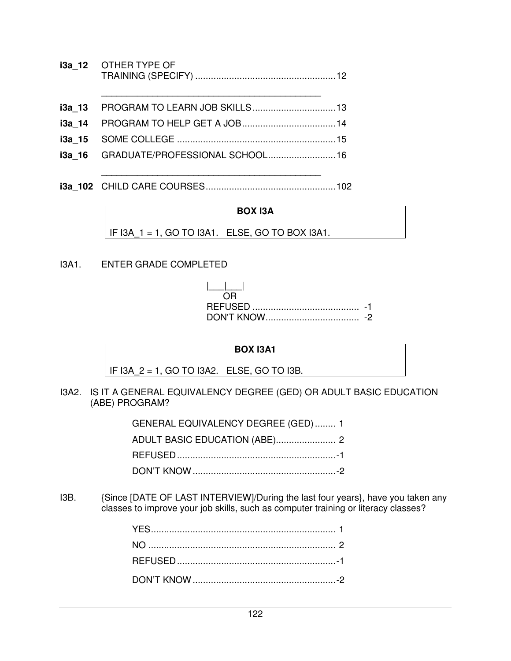- **i3a\_12** OTHER TYPE OF TRAINING (SPECIFY) ...................................................... 12
- \_\_\_\_\_\_\_\_\_\_\_\_\_\_\_\_\_\_\_\_\_\_\_\_\_\_\_\_\_\_\_\_\_\_\_\_\_\_\_\_\_\_\_ **i3a\_13** PROGRAM TO LEARN JOB SKILLS ................................ 13 **i3a 14 PROGRAM TO HELP GET A JOB ................................. 14 i3a\_15** SOME COLLEGE ............................................................. 15 **i3a\_16** GRADUATE/PROFESSIONAL SCHOOL .......................... 16
- **i3a\_102** CHILD CARE COURSES .................................................. 102

\_\_\_\_\_\_\_\_\_\_\_\_\_\_\_\_\_\_\_\_\_\_\_\_\_\_\_\_\_\_\_\_\_\_\_\_\_\_\_\_\_\_\_

#### **BOX I3A**

IF I3A\_1 = 1, GO TO I3A1. ELSE, GO TO BOX I3A1.

I3A1. ENTER GRADE COMPLETED

| - |
|---|
|   |

#### **BOX I3A1**

IF I3A\_2 = 1, GO TO I3A2. ELSE, GO TO I3B.

I3A2. IS IT A GENERAL EQUIVALENCY DEGREE (GED) OR ADULT BASIC EDUCATION (ABE) PROGRAM?

| GENERAL EQUIVALENCY DEGREE (GED)  1 |  |
|-------------------------------------|--|
|                                     |  |
|                                     |  |
|                                     |  |

I3B. {Since [DATE OF LAST INTERVIEW]/During the last four years}, have you taken any classes to improve your job skills, such as computer training or literacy classes?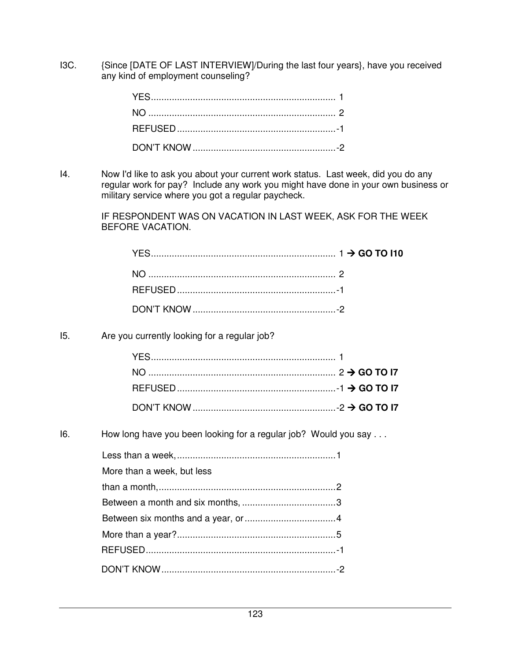I3C. {Since [DATE OF LAST INTERVIEW]/During the last four years}, have you received any kind of employment counseling?

I4. Now I'd like to ask you about your current work status. Last week, did you do any regular work for pay? Include any work you might have done in your own business or military service where you got a regular paycheck.

> IF RESPONDENT WAS ON VACATION IN LAST WEEK, ASK FOR THE WEEK BEFORE VACATION.

I5. Are you currently looking for a regular job?

I6. How long have you been looking for a regular job? Would you say . . .

| More than a week, but less |  |
|----------------------------|--|
|                            |  |
|                            |  |
|                            |  |
|                            |  |
|                            |  |
|                            |  |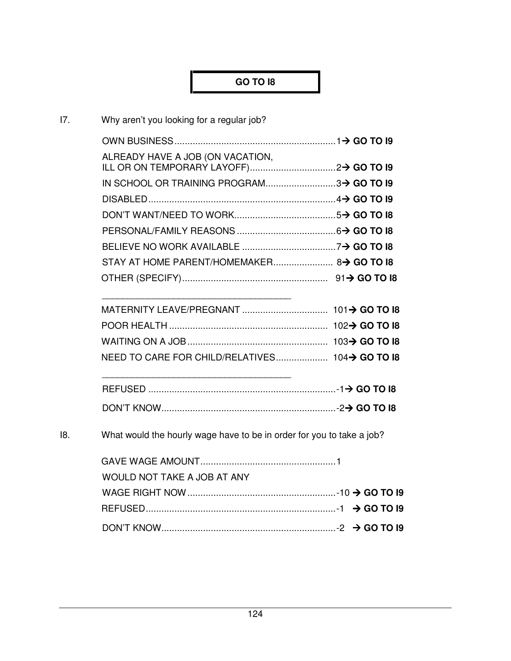# **GO TO I8**

| 17. | Why aren't you looking for a regular job?                             |  |
|-----|-----------------------------------------------------------------------|--|
|     |                                                                       |  |
|     | ALREADY HAVE A JOB (ON VACATION,                                      |  |
|     |                                                                       |  |
|     | IN SCHOOL OR TRAINING PROGRAM3> GO TO I9                              |  |
|     |                                                                       |  |
|     |                                                                       |  |
|     |                                                                       |  |
|     |                                                                       |  |
|     |                                                                       |  |
|     |                                                                       |  |
|     |                                                                       |  |
|     |                                                                       |  |
|     |                                                                       |  |
|     | NEED TO CARE FOR CHILD/RELATIVES 104→ GO TO 18                        |  |
|     |                                                                       |  |
|     |                                                                       |  |
| 18. | What would the hourly wage have to be in order for you to take a job? |  |
|     |                                                                       |  |
|     | WOULD NOT TAKE A JOB AT ANY                                           |  |
|     |                                                                       |  |
|     |                                                                       |  |
|     |                                                                       |  |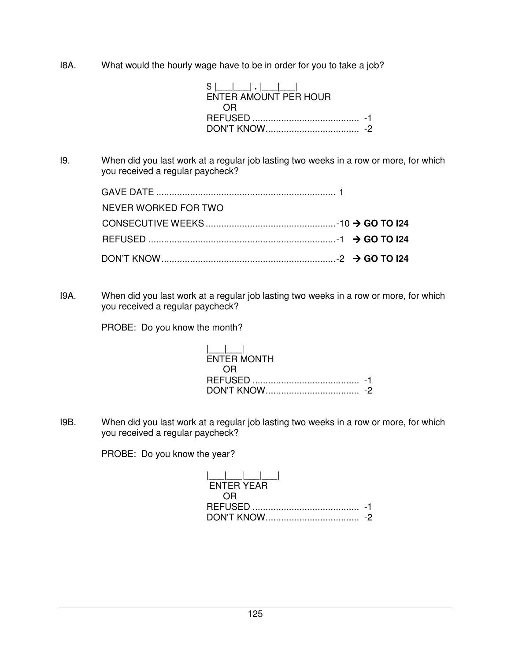I8A. What would the hourly wage have to be in order for you to take a job?

| $S$              <br>ENTER AMOUNT PER HOUR |  |
|--------------------------------------------|--|
| 0 H                                        |  |
|                                            |  |
|                                            |  |

I9. When did you last work at a regular job lasting two weeks in a row or more, for which you received a regular paycheck?

| NEVER WORKED FOR TWO |  |  |
|----------------------|--|--|
|                      |  |  |
|                      |  |  |
|                      |  |  |

I9A. When did you last work at a regular job lasting two weeks in a row or more, for which you received a regular paycheck?

PROBE: Do you know the month?

 $|_{\_\_$  ENTER MONTH OR REFUSED ......................................... -1 DON'T KNOW .................................... -2

I9B. When did you last work at a regular job lasting two weeks in a row or more, for which you received a regular paycheck?

PROBE: Do you know the year?

 |\_\_\_|\_\_\_|\_\_\_|\_\_\_| ENTER YEAR OR REFUSED ......................................... -1 DON'T KNOW .................................... -2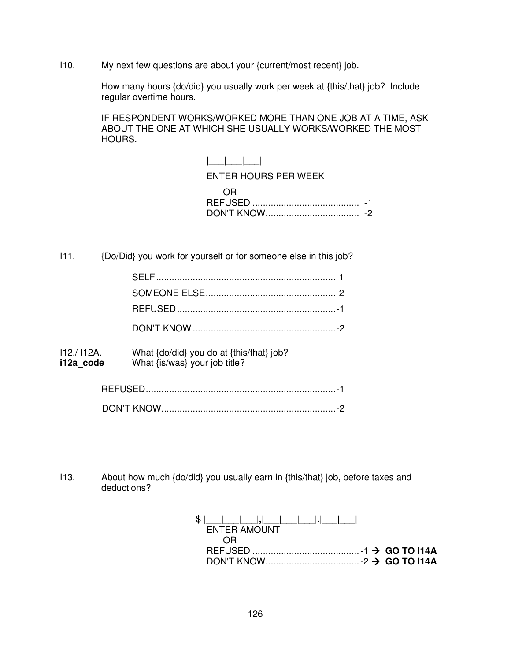I10. My next few questions are about your {current/most recent} job.

 How many hours {do/did} you usually work per week at {this/that} job? Include regular overtime hours.

IF RESPONDENT WORKS/WORKED MORE THAN ONE JOB AT A TIME, ASK ABOUT THE ONE AT WHICH SHE USUALLY WORKS/WORKED THE MOST HOURS.

> |\_\_\_|\_\_\_|\_\_\_| ENTER HOURS PER WEEK OR REFUSED ......................................... -1 DON'T KNOW .................................... -2

I11. {Do/Did} you work for yourself or for someone else in this job?

| 112./112A.<br>i12a code | What {do/did} you do at {this/that} job?<br>What {is/was} your job title? |  |
|-------------------------|---------------------------------------------------------------------------|--|

| חוש דיוור |  |
|-----------|--|

I13. About how much {do/did} you usually earn in {this/that} job, before taxes and deductions?

| ENTER AMOUNT |  |
|--------------|--|
|              |  |
|              |  |
|              |  |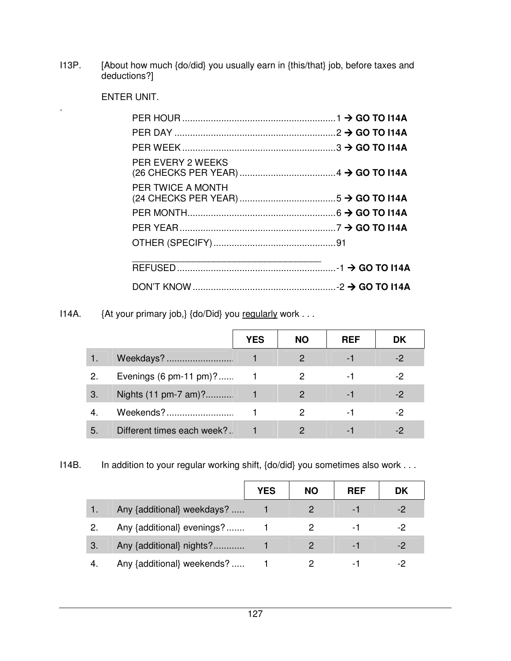I13P. [About how much {do/did} you usually earn in {this/that} job, before taxes and deductions?]

ENTER UNIT.

.

| PER EVERY 2 WEEKS        |  |
|--------------------------|--|
| <b>PER TWICE A MONTH</b> |  |
|                          |  |
|                          |  |
|                          |  |
|                          |  |
|                          |  |

I14A. {At your primary job,} {do/Did} you regularly work . . .

|    |                                   | YES | <b>NO</b> | <b>REF</b> | DK |
|----|-----------------------------------|-----|-----------|------------|----|
|    | Weekdays?                         |     | 2         | - 1        |    |
| 2. | Evenings $(6 \text{ pm-11 pm})$ ? |     | 2         | - 1        | -2 |
| 3. | Nights (11 pm-7 am)?              |     | 2         | - 1        | -2 |
|    | Weekends?                         |     | 2         | - 1        | -2 |
| 5. | Different times each week?        |     |           |            |    |

I14B. In addition to your regular working shift, {do/did} you sometimes also work . . .

|    |                            | YES | <b>NO</b> | <b>REF</b>     | <b>DK</b> |
|----|----------------------------|-----|-----------|----------------|-----------|
|    | Any {additional} weekdays? |     |           |                |           |
|    | Any {additional} evenings? |     |           | $\blacksquare$ | -2        |
| 3. | Any {additional} nights?   |     |           |                | -2        |
|    | Any {additional} weekends? |     |           |                |           |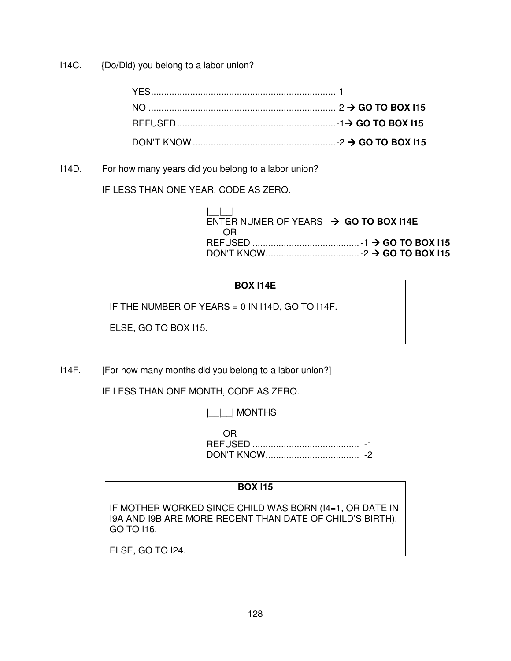I14C. {Do/Did) you belong to a labor union?

I14D. For how many years did you belong to a labor union?

IF LESS THAN ONE YEAR, CODE AS ZERO.

| ENTER NUMER OF YEARS $\rightarrow$ GO TO BOX I14E |  |
|---------------------------------------------------|--|
| OR                                                |  |
|                                                   |  |
|                                                   |  |

# **BOX I14E**

IF THE NUMBER OF YEARS = 0 IN I14D, GO TO I14F.

ELSE, GO TO BOX I15.

I14F. [For how many months did you belong to a labor union?]

IF LESS THAN ONE MONTH, CODE AS ZERO.

|\_\_|\_\_| MONTHS

 OR REFUSED ......................................... -1 DON'T KNOW .................................... -2

# **BOX I15**

IF MOTHER WORKED SINCE CHILD WAS BORN (I4=1, OR DATE IN I9A AND I9B ARE MORE RECENT THAN DATE OF CHILD'S BIRTH), GO TO I16.

ELSE, GO TO I24.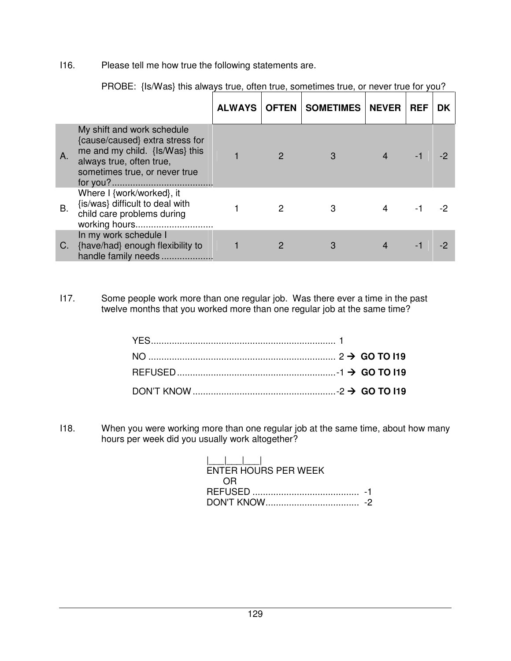I16. Please tell me how true the following statements are.

|           |                                                                                                                                                              | <b>ALWAYS</b> | <b>OFTEN   SOMETIMES   NEVER</b> | <b>REF</b> | DK |
|-----------|--------------------------------------------------------------------------------------------------------------------------------------------------------------|---------------|----------------------------------|------------|----|
| A.        | My shift and work schedule<br>{cause/caused} extra stress for<br>me and my child. {Is/Was} this<br>always true, often true,<br>sometimes true, or never true |               |                                  |            |    |
| <b>B.</b> | Where I {work/worked}, it<br>{is/was} difficult to deal with<br>child care problems during<br>working hours                                                  |               | З                                |            |    |
| C.        | In my work schedule I<br>{have/had} enough flexibility to<br>handle family needs                                                                             |               |                                  |            |    |

PROBE: {Is/Was} this always true, often true, sometimes true, or never true for you?

I17. Some people work more than one regular job. Was there ever a time in the past twelve months that you worked more than one regular job at the same time?

I18. When you were working more than one regular job at the same time, about how many hours per week did you usually work altogether?

| .<br>ENTER HOURS PER WEEK |  |
|---------------------------|--|
| ′)⊢                       |  |
|                           |  |
| DON'T KNOW                |  |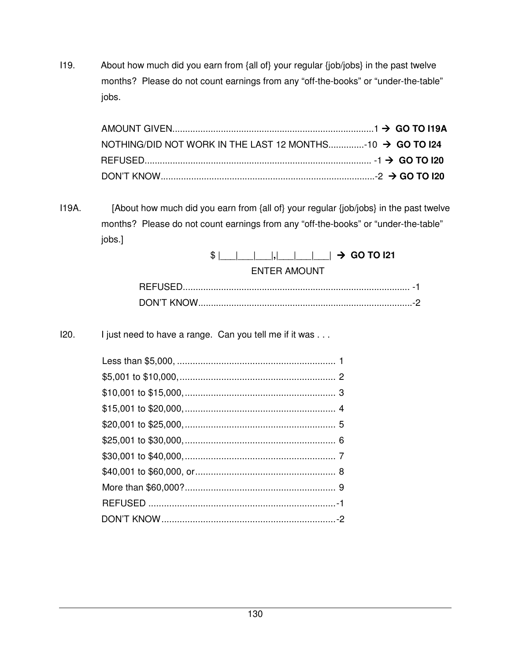I19. About how much did you earn from {all of} your regular {job/jobs} in the past twelve months? Please do not count earnings from any "off-the-books" or "under-the-table" jobs.

| NOTHING/DID NOT WORK IN THE LAST 12 MONTHS10 $\rightarrow$ GO TO 124 |  |
|----------------------------------------------------------------------|--|
|                                                                      |  |
|                                                                      |  |

I19A. [About how much did you earn from {all of} your regular {job/jobs} in the past twelve months? Please do not count earnings from any "off-the-books" or "under-the-table" jobs.]

# $\frac{1}{2}$   $\frac{1}{2}$   $\frac{1}{2}$   $\frac{1}{2}$   $\frac{1}{2}$   $\frac{1}{2}$   $\frac{1}{2}$   $\frac{1}{2}$  **GO TO I21** ENTER AMOUNT

| a matana na manaka na ma |  |
|--------------------------|--|

I20. I just need to have a range. Can you tell me if it was . . .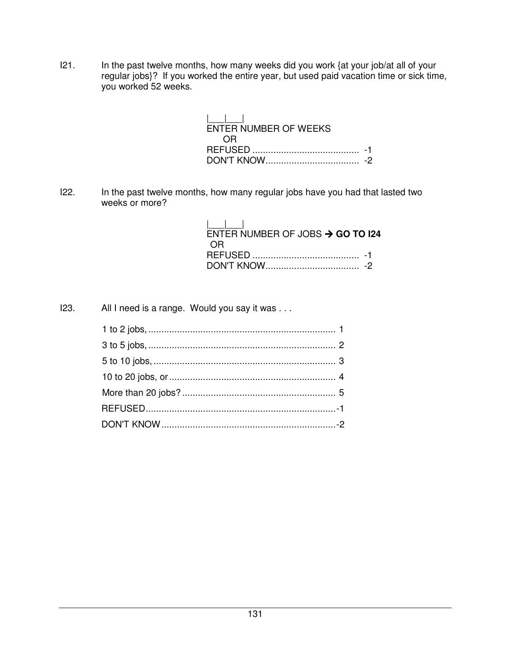I21. In the past twelve months, how many weeks did you work {at your job/at all of your regular jobs}? If you worked the entire year, but used paid vacation time or sick time, you worked 52 weeks.

| <b>ENTER NUMBER OF WEEKS</b> |  |
|------------------------------|--|
| ′ ≻ا(                        |  |
|                              |  |
|                              |  |

I22. In the past twelve months, how many regular jobs have you had that lasted two weeks or more?

| ENTER NUMBER OF JOBS $\rightarrow$ GO TO 124 |  |
|----------------------------------------------|--|
| OR)                                          |  |
|                                              |  |

I23. All I need is a range. Would you say it was . . .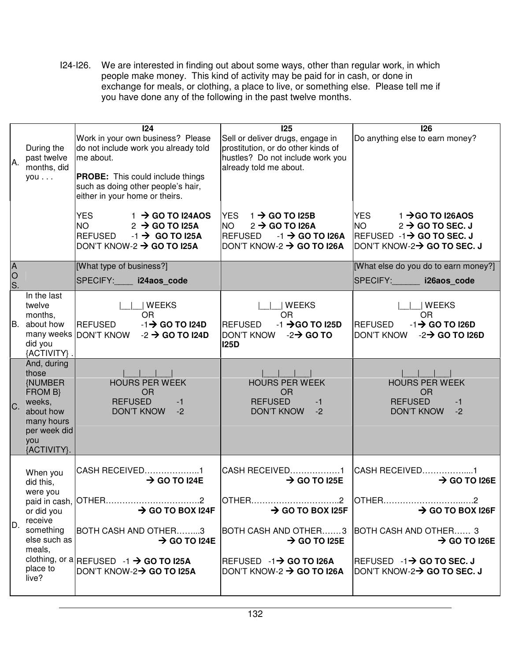I24-I26. We are interested in finding out about some ways, other than regular work, in which people make money. This kind of activity may be paid for in cash, or done in exchange for meals, or clothing, a place to live, or something else. Please tell me if you have done any of the following in the past twelve months.

| A.                        | During the<br>past twelve<br>months, did<br>you                                                                             | 124<br>Work in your own business? Please<br>do not include work you already told<br>me about.<br><b>PROBE:</b> This could include things<br>such as doing other people's hair,<br>either in your home or theirs. | <b>125</b><br>Sell or deliver drugs, engage in<br>prostitution, or do other kinds of<br>hustles? Do not include work you<br>already told me about.                                                                                             | 126<br>Do anything else to earn money?                                                                                                                                                                            |
|---------------------------|-----------------------------------------------------------------------------------------------------------------------------|------------------------------------------------------------------------------------------------------------------------------------------------------------------------------------------------------------------|------------------------------------------------------------------------------------------------------------------------------------------------------------------------------------------------------------------------------------------------|-------------------------------------------------------------------------------------------------------------------------------------------------------------------------------------------------------------------|
|                           |                                                                                                                             | YES.<br>$1 \rightarrow$ GO TO I24AOS<br>NO.<br>$2 \rightarrow$ GO TO I25A<br><b>REFUSED</b><br>$-1 \rightarrow$ GO TO I25A<br>DON'T KNOW-2 $\rightarrow$ GO TO I25A                                              | YES $1 \rightarrow$ GO TO 125B<br><b>NO</b><br>$2 \rightarrow$ GO TO I26A<br><b>REFUSED</b><br>$-1 \rightarrow$ GO TO I26A<br>DON'T KNOW-2 $\rightarrow$ GO TO I26A                                                                            | <b>YES</b><br>$1 \rightarrow$ GO TO I26AOS<br><b>NO</b><br>$2 \rightarrow$ GO TO SEC. J<br>REFUSED $-1\rightarrow$ GO TO SEC. J<br> DON'T KNOW-2→ GO TO SEC. J                                                    |
| $\overline{A}$<br>0<br>S. |                                                                                                                             | [What type of business?]<br>SPECIFY: i24aos code                                                                                                                                                                 |                                                                                                                                                                                                                                                | [What else do you do to earn money?]<br>SPECIFY: 126aos_code                                                                                                                                                      |
|                           | In the last<br>twelve<br>months,<br>B. about how<br>did you<br>{ACTIVITY}.                                                  | WEEKS<br><b>OR</b><br><b>REFUSED</b><br>$-1$ $\rightarrow$ GO TO I24D<br>many weeks DON'T KNOW<br>$-2 \rightarrow$ GO TO I24D                                                                                    | <b>WEEKS</b><br>OR.<br>$-1$ $\rightarrow$ GO TO I25D<br><b>REFUSED</b><br><b>DON'T KNOW</b><br>$-2 \rightarrow$ GO TO<br><b>I25D</b>                                                                                                           | WEEKS<br><b>OR</b><br>$-1$ $\rightarrow$ GO TO I26D<br><b>REFUSED</b><br><b>DON'T KNOW</b><br>$-2$ GO TO I26D                                                                                                     |
| C.                        | And, during<br>those<br><b>NUMBER</b><br>FROM B}<br>weeks,<br>about how<br>many hours<br>per week did<br>you<br>{ACTIVITY}. | <b>HOURS PER WEEK</b><br><b>OR</b><br><b>REFUSED</b><br>$-1$<br><b>DON'T KNOW</b><br>$-2$                                                                                                                        | <b>HOURS PER WEEK</b><br><b>OR</b><br><b>REFUSED</b><br>$-1$<br><b>DON'T KNOW</b><br>$-2$                                                                                                                                                      | <b>HOURS PER WEEK</b><br><b>OR</b><br><b>REFUSED</b><br>$-1$<br><b>DON'T KNOW</b><br>$-2$                                                                                                                         |
| D.                        | When you<br>did this,<br>were you<br>or did you<br>receive<br>something<br>else such as<br>meals,<br>place to<br>live?      | CASH RECEIVED1<br>$\rightarrow$ GO TO I24E<br>$\rightarrow$ GO TO BOX I24F<br>BOTH CASH AND OTHER3<br>$\rightarrow$ GO TO I24E<br>clothing, or a REFUSED -1 $\rightarrow$ GO TO I25A<br>DON'T KNOW-2→ GO TO I25A | CASH RECEIVED1<br>$\rightarrow$ GO TO I25E<br>OTHER2<br>$\rightarrow$ GO TO BOX I25F<br>BOTH CASH AND OTHER3 BOTH CASH AND OTHER 3<br>$\rightarrow$ GO TO I25E<br>$REFUSED -1 \rightarrow GO TO I26A$<br>DON'T KNOW-2 $\rightarrow$ GO TO I26A | CASH RECEIVED1<br>$\rightarrow$ GO TO I26E<br>$\rightarrow$ GO TO BOX I26F<br>$\rightarrow$ GO TO I26E<br>$\textrm{ REFUSED} \hspace{0.15cm}$ -1 $\rightarrow$ GO TO SEC. J<br> DON'T KNOW-2→ <b>GO TO SEC. J</b> |
|                           |                                                                                                                             |                                                                                                                                                                                                                  |                                                                                                                                                                                                                                                |                                                                                                                                                                                                                   |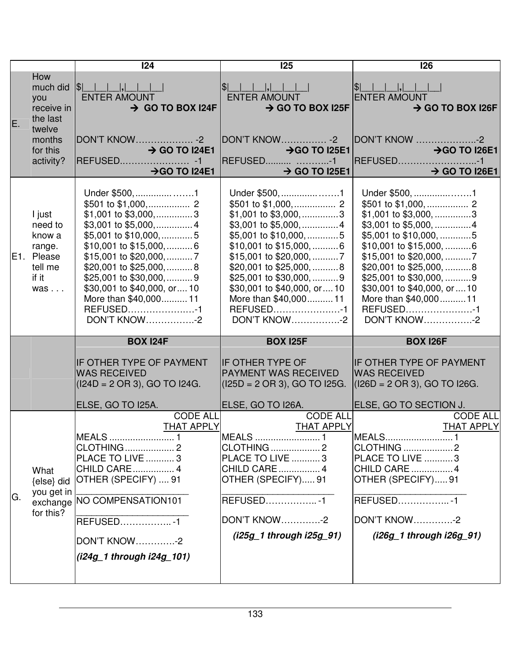|    |                                                                                        | 124                                                                                                                                                                                                                                                                           | 125                                                                                                                                                                                                                                                                                 | 126                                                                                                                                                                                                                                                                                                 |
|----|----------------------------------------------------------------------------------------|-------------------------------------------------------------------------------------------------------------------------------------------------------------------------------------------------------------------------------------------------------------------------------|-------------------------------------------------------------------------------------------------------------------------------------------------------------------------------------------------------------------------------------------------------------------------------------|-----------------------------------------------------------------------------------------------------------------------------------------------------------------------------------------------------------------------------------------------------------------------------------------------------|
| E. | How<br>you<br>receive in<br>the last<br>twelve<br>months<br>for this<br>activity?      | much did $ \$ $      ,    <br><b>ENTER AMOUNT</b><br>$\rightarrow$ GO TO BOX I24F<br>$\rightarrow$ GO TO I24E1<br>→ GO TO I24E1                                                                                                                                               | $ $\rangle$<br>$\Box$ , $\Box$ , $\Box$ , $\Box$<br>ENTER AMOUNT<br>$\rightarrow$ GO TO BOX I25F<br><b>DON'T KNOW -2</b><br>$\rightarrow$ GO TO I25E1<br>REFUSED -1<br>$\rightarrow$ GO TO I25E1<br><u>a shekara ta 1999 a Tar</u>                                                  | <b>ENTER AMOUNT</b><br>$\rightarrow$ GO TO BOX I26F<br>DON'T KNOW 2<br>$\rightarrow$ GO TO I26E1<br>REFUSED1<br>$\rightarrow$ GO TO I26E1<br><u>a sa Tana a</u>                                                                                                                                     |
|    | I just<br>need to<br>know a<br>range.<br>E1. Please<br>tell me<br>if it<br>$was \dots$ | Under \$500, 1<br>\$1,001 to \$3,000,3<br>\$3,001 to \$5,000,  4<br>\$5,001 to \$10,000,5<br>$$10,001$ to $$15,000$ ,  6<br>\$20,001 to \$25,000,    8<br>\$25,001 to \$30,000,  9<br>\$30,001 to \$40,000, or 10<br>More than \$40,000 11<br>REFUSED1<br><b>DON'T KNOW-2</b> | Under \$500, 1<br>$$1,001$ to $$3,000, \dots$ 3<br>\$3,001 to \$5,000,  4<br>\$5,001 to \$10,000, 5<br>\$10,001 to \$15,000,  6<br>\$20,001 to \$25,000,  8<br>\$25,001 to \$30,000,  9<br>\$30,001 to \$40,000, or  10<br>More than \$40,000 11<br>REFUSED1<br><b>DON'T KNOW-2</b> | Under \$500, 1<br>\$1,001 to \$3,000, 3<br>\$3,001 to \$5,000, 4<br>\$5,001 to \$10,000, 5<br>\$10,001 to \$15,000, 6<br>\$15,001 to \$20,000, 7<br>\$20,001 to \$25,000, 8<br>\$25,001 to \$30,000, 9<br>\$30,001 to \$40,000, or  10<br>More than \$40,000  11<br>REFUSED1<br><b>DON'T KNOW-2</b> |
|    |                                                                                        | <b>BOX 124F</b><br><b>IF OTHER TYPE OF PAYMENT</b><br><b>WAS RECEIVED</b><br>$(124D = 2 \text{ OR } 3),$ GO TO I24G.                                                                                                                                                          | <b>BOX I25F</b><br><b>IF OTHER TYPE OF</b><br><b>PAYMENT WAS RECEIVED</b><br>$(125D = 2 \text{ OR } 3),$ GO TO 125G.                                                                                                                                                                | <b>BOX 126F</b><br><b>IF OTHER TYPE OF PAYMENT</b><br><b>WAS RECEIVED</b><br>$ (126D = 2 \text{ OR } 3),$ GO TO I26G.                                                                                                                                                                               |
|    |                                                                                        | ELSE, GO TO I25A.                                                                                                                                                                                                                                                             | ELSE, GO TO I26A.                                                                                                                                                                                                                                                                   | ELSE, GO TO SECTION J.                                                                                                                                                                                                                                                                              |
| G. | What<br>{else} did<br>you get in<br>for this?                                          | <b>CODE ALL</b><br><b>THAT APPLY</b><br><b>MEALS</b> 1<br><b>CLOTHING2</b><br><b>PLACE TO LIVE  3</b><br><b>CHILD CARE 4</b><br>OTHER (SPECIFY)  91<br>exchange   NO COMPENSATION101<br>REFUSED1<br><b>DON'T KNOW-2</b><br>(i24g_1 through i24g_101)                          | <b>CODE ALL</b><br><b>THAT APPLY</b><br>MEALS  1<br><b>CLOTHING</b> 2<br><b>PLACE TO LIVE 3</b><br><b>CHILD CARE</b> 4<br>OTHER (SPECIFY) 91<br>REFUSED1<br><b>DON'T KNOW-2</b><br>(i25g_1 through i25g_91)                                                                         | <b>CODE ALL</b><br><b>THAT APPLY</b><br>MEALS1<br> CLOTHING 2<br>PLACE TO LIVE 3<br>CHILD CARE 4<br>OTHER (SPECIFY)91<br>REFUSED1<br>DON'T KNOW-2<br>(i26g_1 through i26g_91)                                                                                                                       |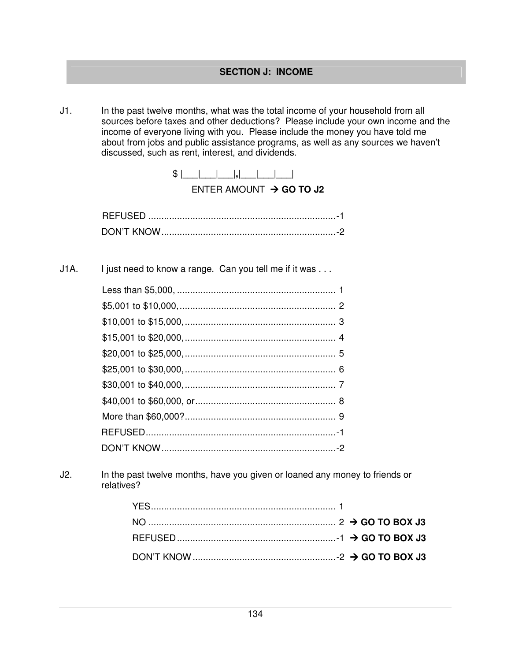J1. In the past twelve months, what was the total income of your household from all sources before taxes and other deductions? Please include your own income and the income of everyone living with you. Please include the money you have told me about from jobs and public assistance programs, as well as any sources we haven't discussed, such as rent, interest, and dividends.



ENTER AMOUNT  $\rightarrow$  GO TO J2

J1A. I just need to know a range. Can you tell me if it was ...

J2. In the past twelve months, have you given or loaned any money to friends or relatives?

| DON'T KNOW $\ldots$ $\ldots$ $\ldots$ $\ldots$ $\ldots$ $\ldots$ $\ldots$ $\ldots$ $\ldots$ $\ldots$ $\ldots$ $\sim$ 3 GO TO BOX J3 |
|-------------------------------------------------------------------------------------------------------------------------------------|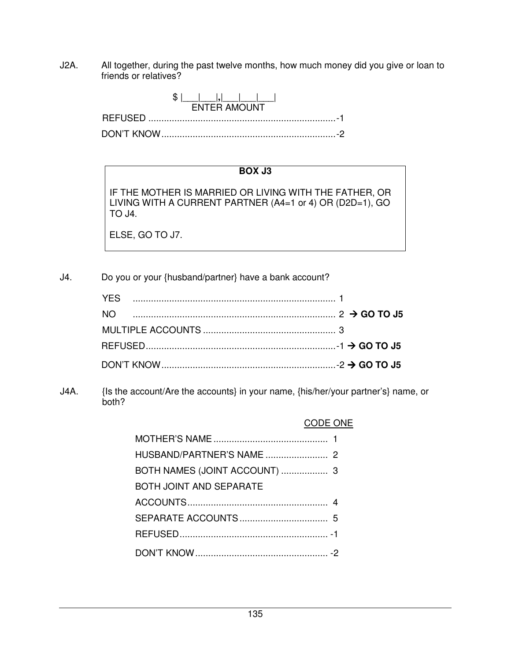J2A. All together, during the past twelve months, how much money did you give or loan to friends or relatives?



# **BOX J3**

IF THE MOTHER IS MARRIED OR LIVING WITH THE FATHER, OR LIVING WITH A CURRENT PARTNER (A4=1 or 4) OR (D2D=1), GO TO J4.

ELSE, GO TO J7.

J4. Do you or your {husband/partner} have a bank account?

| NΩ |  |
|----|--|
|    |  |
|    |  |
|    |  |

J4A. {Is the account/Are the accounts} in your name, {his/her/your partner's} name, or both?

## CODE ONE

| BOTH JOINT AND SEPARATE |  |
|-------------------------|--|
|                         |  |
|                         |  |
|                         |  |
|                         |  |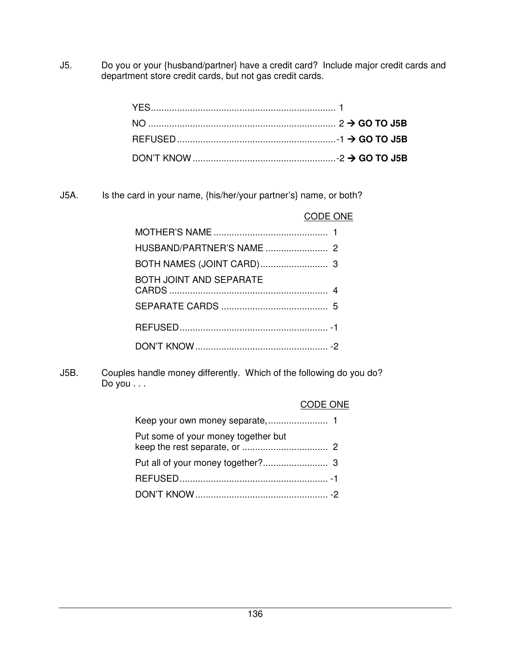J5. Do you or your {husband/partner} have a credit card? Include major credit cards and department store credit cards, but not gas credit cards.

J5A. Is the card in your name, {his/her/your partner's} name, or both?

| <b>CODE ONE</b>                |  |
|--------------------------------|--|
|                                |  |
|                                |  |
|                                |  |
| <b>BOTH JOINT AND SEPARATE</b> |  |
|                                |  |
|                                |  |
|                                |  |

J5B. Couples handle money differently. Which of the following do you do? Do you . . .

#### CODE ONE

| Put some of your money together but |  |
|-------------------------------------|--|
|                                     |  |
|                                     |  |
|                                     |  |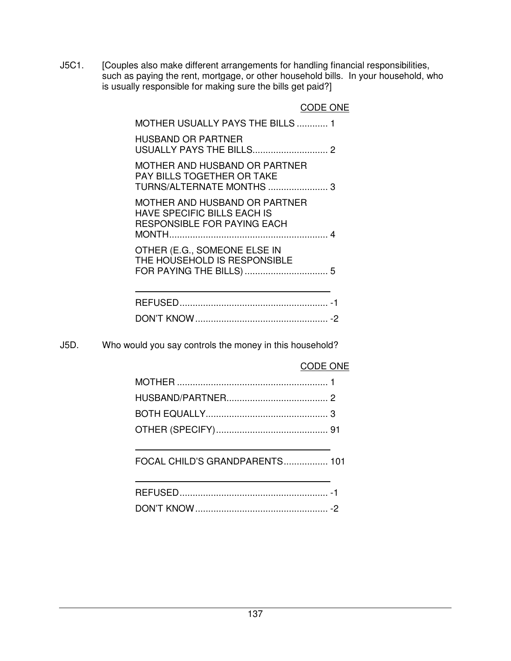J5C1. [Couples also make different arrangements for handling financial responsibilities, such as paying the rent, mortgage, or other household bills. In your household, who is usually responsible for making sure the bills get paid?]

|                                                                                                           | CODE ONE |
|-----------------------------------------------------------------------------------------------------------|----------|
| <b>MOTHER USUALLY PAYS THE BILLS  1</b>                                                                   |          |
| <b>HUSBAND OR PARTNER</b>                                                                                 |          |
| MOTHER AND HUSBAND OR PARTNER<br>PAY BILLS TOGETHER OR TAKE<br>TURNS/ALTERNATE MONTHS  3                  |          |
| MOTHER AND HUSBAND OR PARTNER<br><b>HAVE SPECIFIC BILLS EACH IS</b><br><b>RESPONSIBLE FOR PAYING EACH</b> |          |
| OTHER (E.G., SOMEONE ELSE IN<br>THE HOUSEHOLD IS RESPONSIBLE<br>FOR PAYING THE BILLS)                     | 5        |

|  | - |
|--|---|
|  |   |

J5D. Who would you say controls the money in this household?

## CODE ONE

FOCAL CHILD'S GRANDPARENTS ................. 101

|                        | $\overline{\phantom{a}}$ |
|------------------------|--------------------------|
| יותרא דיותר <i>ו</i> ה | -                        |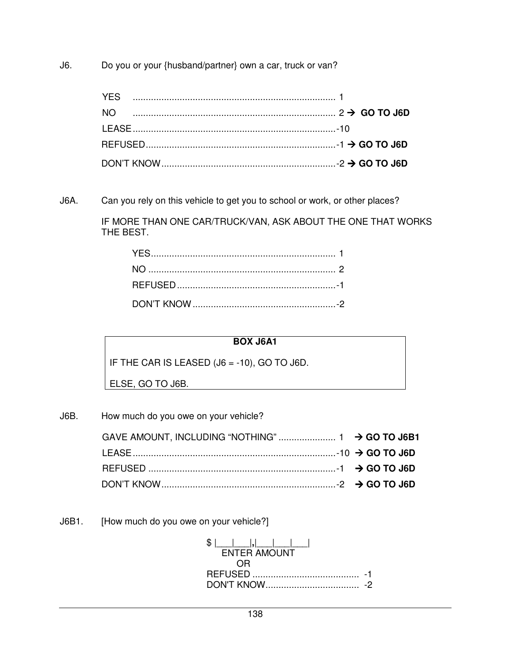J6. Do you or your {husband/partner} own a car, truck or van?

| YFS |  |
|-----|--|
| NO. |  |
|     |  |
|     |  |
|     |  |

J6A. Can you rely on this vehicle to get you to school or work, or other places?

 IF MORE THAN ONE CAR/TRUCK/VAN, ASK ABOUT THE ONE THAT WORKS THE BEST.

# **BOX J6A1**

IF THE CAR IS LEASED (J6 = -10), GO TO J6D.

ELSE, GO TO J6B.

J6B. How much do you owe on your vehicle?

J6B1. [How much do you owe on your vehicle?]

| S <sub>1</sub>      |  |
|---------------------|--|
| <b>ENTER AMOUNT</b> |  |
| 0.R                 |  |
|                     |  |
|                     |  |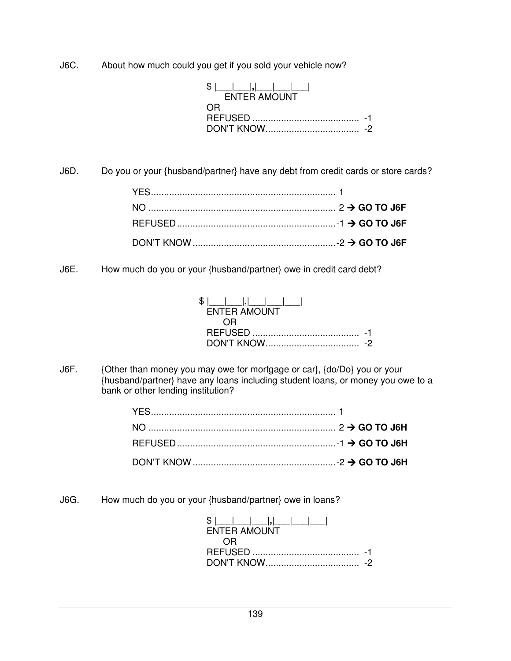J6C. About how much could you get if you sold your vehicle now?

| SI.<br><b>FNTER AMOUNT</b> |  |
|----------------------------|--|
| OR)                        |  |
|                            |  |
|                            |  |

J6D. Do you or your {husband/partner} have any debt from credit cards or store cards?

J6E. How much do you or your {husband/partner} owe in credit card debt?

| SI.                 |
|---------------------|
| <b>ENTER AMOUNT</b> |
|                     |
|                     |
|                     |

J6F. {Other than money you may owe for mortgage or car}, {do/Do} you or your {husband/partner} have any loans including student loans, or money you owe to a bank or other lending institution?

J6G. How much do you or your {husband/partner} owe in loans?

| <b>ENTER AMOUNT</b> |  |
|---------------------|--|
| $\cdot$ ) $\vdash$  |  |
|                     |  |
|                     |  |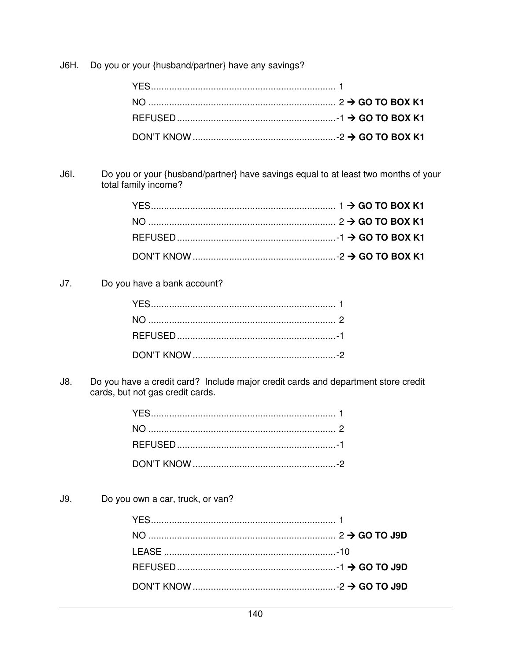J6H. Do you or your {husband/partner} have any savings?

Do you or your {husband/partner} have savings equal to at least two months of your total family income? J6I.

| DON'T KNOW $\ldots$ $\ldots$ $\ldots$ $\ldots$ $\ldots$ $\ldots$ $\ldots$ $\ldots$ $\ldots$ $\ldots$ $\ldots$ $\ldots$ $\ldots$ $\ldots$ $\ldots$ GO TO BOX K1 |  |
|----------------------------------------------------------------------------------------------------------------------------------------------------------------|--|

Do you have a bank account?  $J7.$ 

Do you have a credit card? Include major credit cards and department store credit  $J8.$ cards, but not gas credit cards.

 $J9.$ Do you own a car, truck, or van?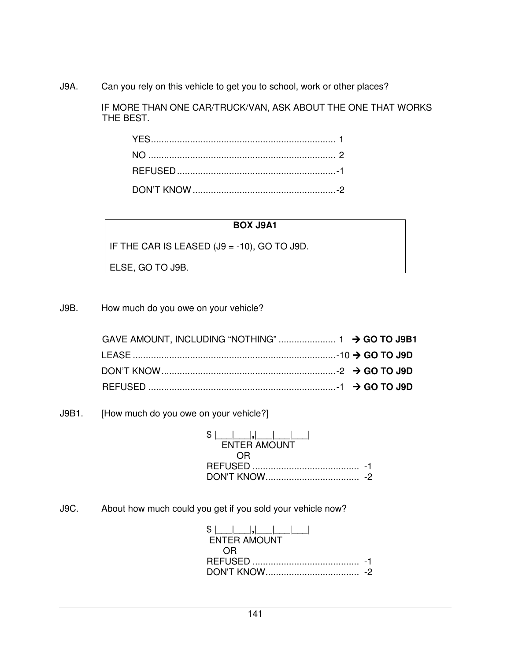J9A. Can you rely on this vehicle to get you to school, work or other places?

 IF MORE THAN ONE CAR/TRUCK/VAN, ASK ABOUT THE ONE THAT WORKS THE BEST.

# **BOX J9A1**

IF THE CAR IS LEASED (J9 = -10), GO TO J9D.

ELSE, GO TO J9B.

J9B. How much do you owe on your vehicle?

J9B1. [How much do you owe on your vehicle?]

| S I                 |  |
|---------------------|--|
| <b>ENTER AMOUNT</b> |  |
| 0.R                 |  |
| REFUSED<br>.        |  |
|                     |  |

J9C. About how much could you get if you sold your vehicle now?

| <b>FNTFR AMOUNT</b>               |  |
|-----------------------------------|--|
|                                   |  |
| $\left( \right)$ $\left( \right)$ |  |
|                                   |  |
|                                   |  |
|                                   |  |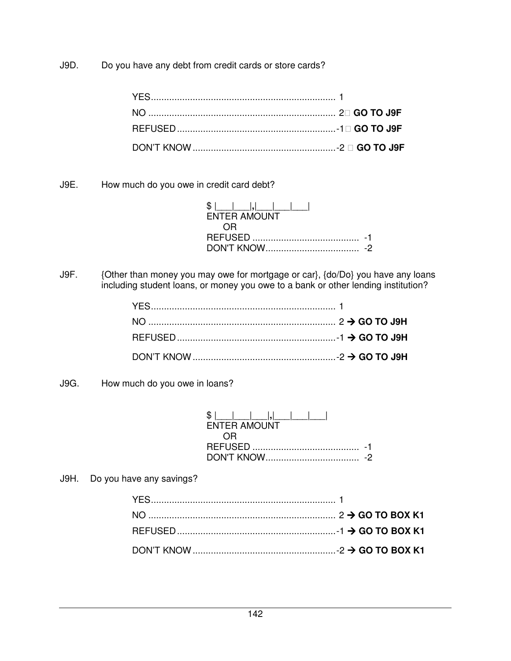J9D. Do you have any debt from credit cards or store cards?

J9E. How much do you owe in credit card debt?

| SS I<br><b>ENTER AMOUNT</b> |  |
|-----------------------------|--|
|                             |  |
|                             |  |
|                             |  |

J9F. {Other than money you may owe for mortgage or car}, {do/Do} you have any loans including student loans, or money you owe to a bank or other lending institution?

J9G. How much do you owe in loans?

| ENTER AMOUNT               |  |
|----------------------------|--|
| $^{\prime}$ ) $\mathsf{H}$ |  |
|                            |  |
|                            |  |

J9H. Do you have any savings?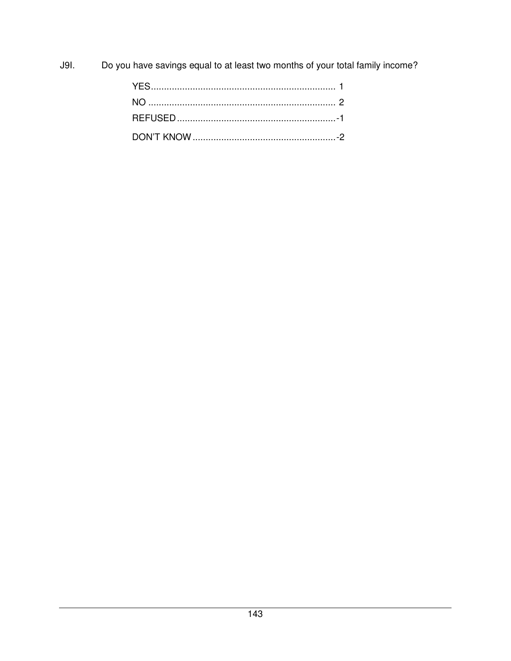**J9I.** Do you have savings equal to at least two months of your total family income?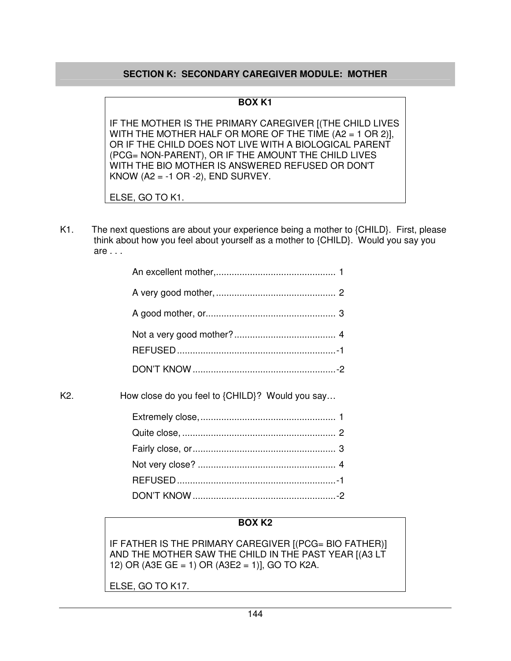# **SECTION K: SECONDARY CAREGIVER MODULE: MOTHER**

#### **BOX K1**

IF THE MOTHER IS THE PRIMARY CAREGIVER [(THE CHILD LIVES WITH THE MOTHER HALF OR MORE OF THE TIME (A2 = 1 OR 2)], OR IF THE CHILD DOES NOT LIVE WITH A BIOLOGICAL PARENT (PCG= NON-PARENT), OR IF THE AMOUNT THE CHILD LIVES WITH THE BIO MOTHER IS ANSWERED REFUSED OR DON'T KNOW (A2 =  $-1$  OR  $-2$ ), END SURVEY.

ELSE, GO TO K1.

K1. The next questions are about your experience being a mother to {CHILD}. First, please think about how you feel about yourself as a mother to {CHILD}. Would you say you are . . .

| K2. | How close do you feel to {CHILD}? Would you say |  |
|-----|-------------------------------------------------|--|

## **BOX K2**

IF FATHER IS THE PRIMARY CAREGIVER [(PCG= BIO FATHER)] AND THE MOTHER SAW THE CHILD IN THE PAST YEAR [(A3 LT 12) OR (A3E GE = 1) OR (A3E2 = 1)], GO TO K2A.

ELSE, GO TO K17.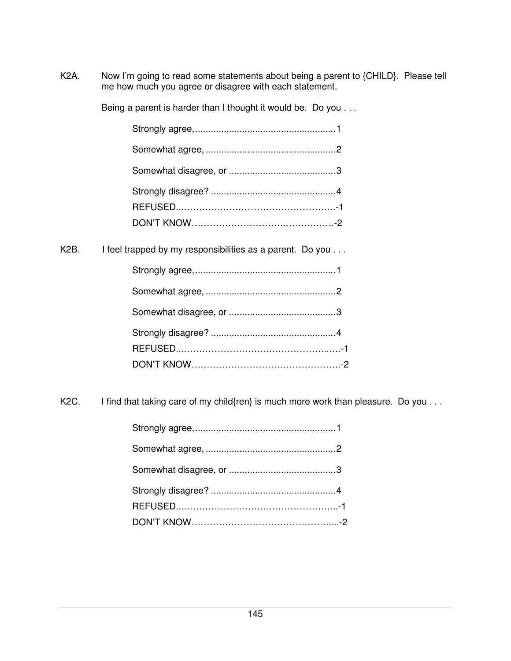K2A. Now I'm going to read some statements about being a parent to {CHILD}. Please tell me how much you agree or disagree with each statement.

Being a parent is harder than I thought it would be. Do you . . .

| K2B. I feel trapped by my responsibilities as a parent. Do you |
|----------------------------------------------------------------|
|                                                                |
|                                                                |
|                                                                |
|                                                                |
|                                                                |
|                                                                |

K2C. I find that taking care of my child{ren} is much more work than pleasure. Do you . . .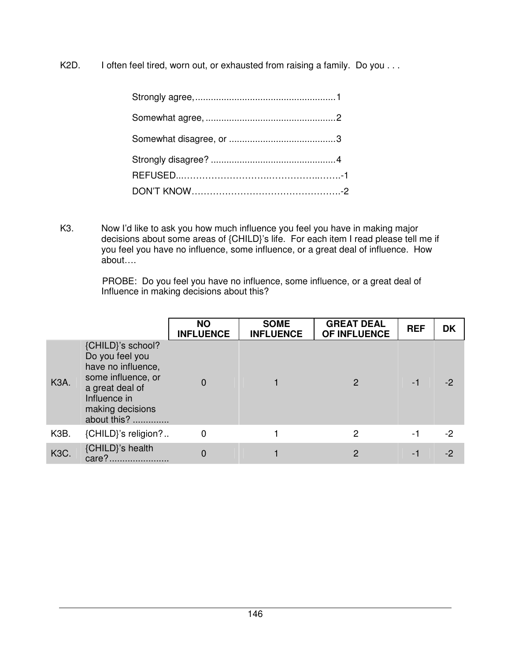K2D. I often feel tired, worn out, or exhausted from raising a family. Do you . . .

K3. Now I'd like to ask you how much influence you feel you have in making major decisions about some areas of {CHILD}'s life. For each item I read please tell me if you feel you have no influence, some influence, or a great deal of influence. How about….

> PROBE: Do you feel you have no influence, some influence, or a great deal of Influence in making decisions about this?

|                   |                                                                                                                                                        | <b>NO</b><br><b>INFLUENCE</b> | <b>SOME</b><br><b>INFLUENCE</b> | <b>GREAT DEAL</b><br>OF INFLUENCE | <b>REF</b> | <b>DK</b> |
|-------------------|--------------------------------------------------------------------------------------------------------------------------------------------------------|-------------------------------|---------------------------------|-----------------------------------|------------|-----------|
| <b>K3A.</b>       | {CHILD}'s school?<br>Do you feel you<br>have no influence,<br>some influence, or<br>a great deal of<br>Influence in<br>making decisions<br>about this? |                               |                                 |                                   | -1         | -2        |
| K <sub>3</sub> B. | {CHILD}'s religion?                                                                                                                                    | 0                             |                                 | 2                                 | -1         | $-2$      |
| <b>K3C.</b>       | {CHILD}'s health<br>care?                                                                                                                              | 0                             |                                 | 2                                 | Ξ.         | -2        |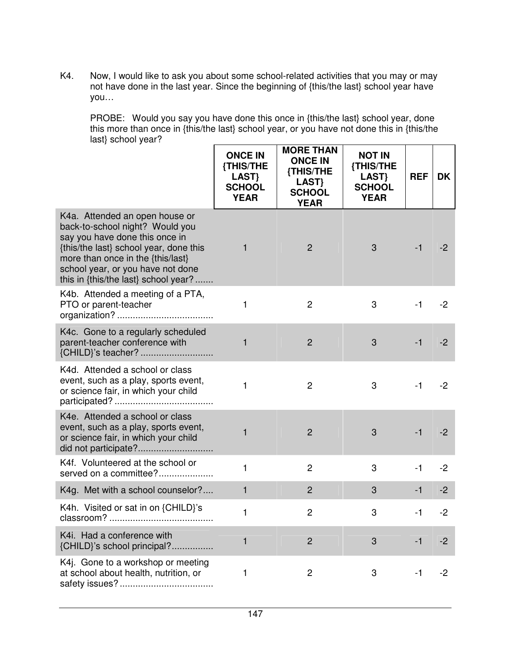K4. Now, I would like to ask you about some school-related activities that you may or may not have done in the last year. Since the beginning of {this/the last} school year have you…

 PROBE: Would you say you have done this once in {this/the last} school year, done this more than once in {this/the last} school year, or you have not done this in {this/the last} school year?

|                                                                                                                                                                                                                                                                 | <b>ONCE IN</b><br>{THIS/THE<br>LAST}<br><b>SCHOOL</b><br><b>YEAR</b> | <b>MORE THAN</b><br><b>ONCE IN</b><br>{THIS/THE<br>LAST}<br><b>SCHOOL</b><br><b>YEAR</b> | <b>NOT IN</b><br>{THIS/THE<br>LAST}<br><b>SCHOOL</b><br><b>YEAR</b> | <b>REF</b> | DK   |
|-----------------------------------------------------------------------------------------------------------------------------------------------------------------------------------------------------------------------------------------------------------------|----------------------------------------------------------------------|------------------------------------------------------------------------------------------|---------------------------------------------------------------------|------------|------|
| K4a. Attended an open house or<br>back-to-school night? Would you<br>say you have done this once in<br>{this/the last} school year, done this<br>more than once in the {this/last}<br>school year, or you have not done<br>this in {this/the last} school year? | 1                                                                    | $\overline{2}$                                                                           | 3                                                                   | $-1$       | $-2$ |
| K4b. Attended a meeting of a PTA,<br>PTO or parent-teacher                                                                                                                                                                                                      | 1                                                                    | $\overline{2}$                                                                           | 3                                                                   | $-1$       | $-2$ |
| K4c. Gone to a regularly scheduled<br>parent-teacher conference with                                                                                                                                                                                            | 1                                                                    | $\overline{2}$                                                                           | 3                                                                   | $-1$       | $-2$ |
| K4d. Attended a school or class<br>event, such as a play, sports event,<br>or science fair, in which your child                                                                                                                                                 | 1                                                                    | $\overline{c}$                                                                           | 3                                                                   | $-1$       | $-2$ |
| K4e. Attended a school or class<br>event, such as a play, sports event,<br>or science fair, in which your child                                                                                                                                                 | 1                                                                    | $\overline{2}$                                                                           | 3                                                                   | $-1$       | $-2$ |
| K4f. Volunteered at the school or<br>served on a committee?                                                                                                                                                                                                     | $\mathbf{1}$                                                         | $\overline{2}$                                                                           | 3                                                                   | $-1$       | $-2$ |
| K4g. Met with a school counselor?                                                                                                                                                                                                                               | 1                                                                    | $\overline{2}$                                                                           | 3                                                                   | $-1$       | $-2$ |
| K4h. Visited or sat in on {CHILD}'s<br>classroom?                                                                                                                                                                                                               | 1                                                                    | $\overline{c}$                                                                           | 3                                                                   | $-1$       | $-2$ |
| K4i. Had a conference with<br>{CHILD}'s school principal?.                                                                                                                                                                                                      | 1                                                                    | $\overline{c}$                                                                           | 3                                                                   | $-1$       | $-2$ |
| K4j. Gone to a workshop or meeting<br>at school about health, nutrition, or                                                                                                                                                                                     | 1                                                                    | $\overline{c}$                                                                           | 3                                                                   | $-1$       | $-2$ |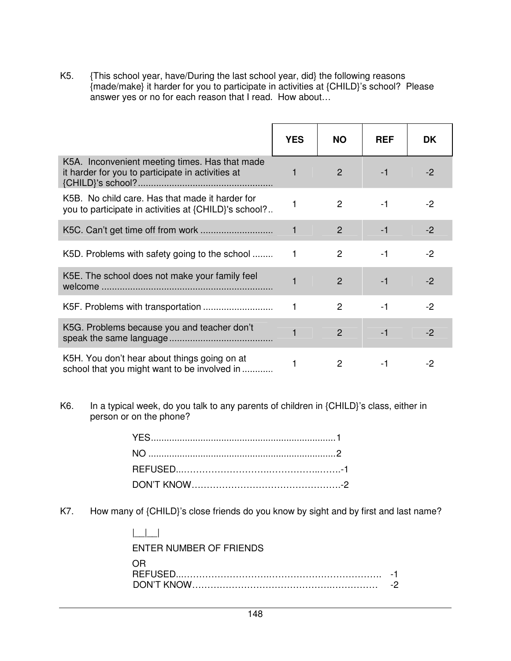K5. {This school year, have/During the last school year, did} the following reasons {made/make} it harder for you to participate in activities at {CHILD}'s school? Please answer yes or no for each reason that I read. How about...

|                                                                                                          | <b>YES</b> | <b>NO</b>      | <b>REF</b> | <b>DK</b> |
|----------------------------------------------------------------------------------------------------------|------------|----------------|------------|-----------|
| K5A. Inconvenient meeting times. Has that made<br>it harder for you to participate in activities at      |            | $\mathcal{P}$  | $-1$       | $-2$      |
| K5B. No child care. Has that made it harder for<br>you to participate in activities at {CHILD}'s school? |            | $\overline{2}$ | $-1$       | -2        |
|                                                                                                          | 1          | 2              | $-1$       | $-2$      |
| K5D. Problems with safety going to the school                                                            |            | 2              | -1         | $-2$      |
| K5E. The school does not make your family feel                                                           |            | $\mathcal{P}$  | $-1$       | $-2$      |
|                                                                                                          |            | $\mathcal{P}$  | $-1$       | $-2$      |
| K5G. Problems because you and teacher don't                                                              |            | $\overline{2}$ | $-1$       | $-2$      |
| K5H. You don't hear about things going on at<br>school that you might want to be involved in             | 1          | 2              |            | -2        |

K6. In a typical week, do you talk to any parents of children in {CHILD}'s class, either in person or on the phone?

K7. How many of {CHILD}'s close friends do you know by sight and by first and last name?

| ENTER NUMBER OF FRIENDS |  |
|-------------------------|--|
| ()1–2                   |  |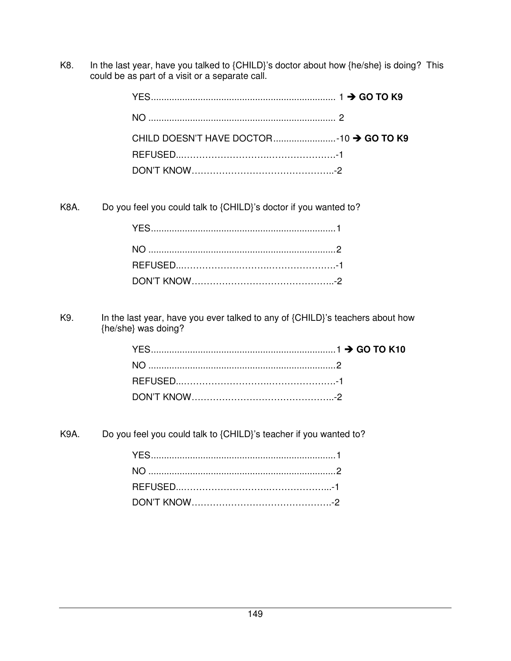K8. In the last year, have you talked to {CHILD}'s doctor about how {he/she} is doing? This could be as part of a visit or a separate call.

K8A. Do you feel you could talk to {CHILD}'s doctor if you wanted to?

K9. In the last year, have you ever talked to any of {CHILD}'s teachers about how {he/she} was doing?

K9A. Do you feel you could talk to {CHILD}'s teacher if you wanted to?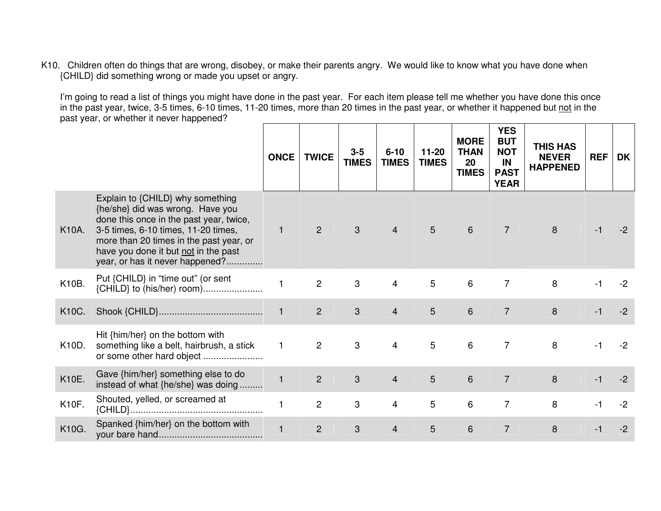K10. Children often do things that are wrong, disobey, or make their parents angry. We would like to know what you have done when {CHILD} did something wrong or made you upset or angry.

I'm going to read a list of things you might have done in the past year. For each item please tell me whether you have done this once in the past year, twice, 3-5 times, 6-10 times, 11-20 times, more than 20 times in the past year, or whether it happened but not in the past year, or whether it never happened?

|       |                                                                                                                                                                                                                                                                              | <b>ONCE</b>  | <b>TWICE</b>   | $3 - 5$<br><b>TIMES</b> | $6 - 10$<br><b>TIMES</b> | $11-20$<br><b>TIMES</b> | <b>MORE</b><br><b>THAN</b><br>20<br><b>TIMES</b> | <b>YES</b><br><b>BUT</b><br><b>NOT</b><br>IN<br><b>PAST</b><br><b>YEAR</b> | <b>THIS HAS</b><br><b>NEVER</b><br><b>HAPPENED</b> | <b>REF</b> | <b>DK</b> |
|-------|------------------------------------------------------------------------------------------------------------------------------------------------------------------------------------------------------------------------------------------------------------------------------|--------------|----------------|-------------------------|--------------------------|-------------------------|--------------------------------------------------|----------------------------------------------------------------------------|----------------------------------------------------|------------|-----------|
| K10A. | Explain to {CHILD} why something<br>{he/she} did was wrong. Have you<br>done this once in the past year, twice,<br>3-5 times, 6-10 times, 11-20 times,<br>more than 20 times in the past year, or<br>have you done it but not in the past<br>year, or has it never happened? | $\mathbf{1}$ | 2              | 3                       | $\overline{4}$           | 5                       | 6                                                | $\overline{7}$                                                             | 8                                                  |            | -2        |
| K10B. | Put {CHILD} in "time out" (or sent<br>{CHILD} to (his/her) room)                                                                                                                                                                                                             |              | $\overline{c}$ | 3                       | 4                        | 5                       | 6                                                | $\overline{7}$                                                             | 8                                                  |            | $-2$      |
| K10C. |                                                                                                                                                                                                                                                                              |              | 2              | 3                       | $\overline{4}$           | 5                       | 6                                                | $\overline{7}$                                                             | 8                                                  | $-1$       | $-2$      |
| K10D. | Hit {him/her} on the bottom with<br>something like a belt, hairbrush, a stick<br>or some other hard object                                                                                                                                                                   | $\mathbf{1}$ | $\overline{2}$ | 3                       | $\overline{4}$           | 5                       | 6                                                | $\overline{7}$                                                             | 8                                                  | -1         | $-2$      |
| K10E. | Gave {him/her} something else to do<br>instead of what {he/she} was doing                                                                                                                                                                                                    |              | $\overline{2}$ | 3                       | $\overline{4}$           | 5                       | 6                                                | $\overline{7}$                                                             | 8                                                  |            | $-2$      |
| K10F. | Shouted, yelled, or screamed at                                                                                                                                                                                                                                              |              | $\overline{c}$ | 3                       | 4                        | 5                       | 6                                                | $\overline{7}$                                                             | 8                                                  |            | $-2$      |
| K10G. | Spanked {him/her} on the bottom with                                                                                                                                                                                                                                         |              | $\overline{2}$ | 3                       | 4                        | 5                       | 6                                                | $\overline{7}$                                                             | 8                                                  |            | $-2$      |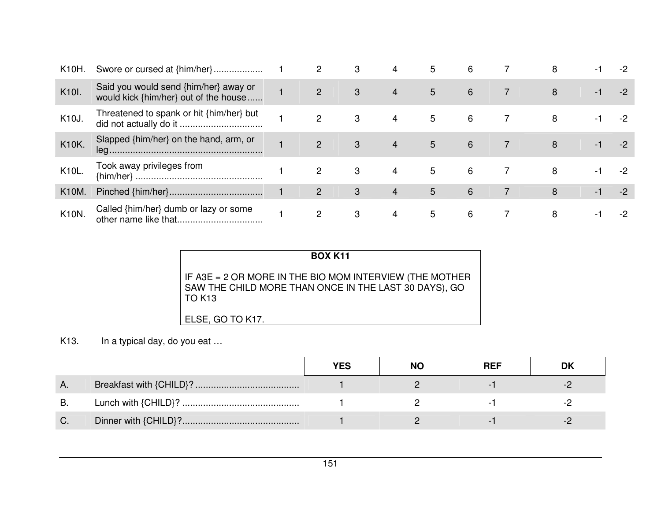| K10H.        | Swore or cursed at {him/her}                                                   | 2                     | 3 | 4              | 5 | 6 | 8 | - 1  | -2 |
|--------------|--------------------------------------------------------------------------------|-----------------------|---|----------------|---|---|---|------|----|
| K10I.        | Said you would send {him/her} away or<br>would kick {him/her} out of the house | 2                     | 3 | 4              | 5 | 6 | 8 | -1   |    |
| K10J.        | Threatened to spank or hit {him/her} but                                       | 2                     | 3 | 4              | 5 | 6 | 8 | - 1  |    |
| K10K.        | Slapped {him/her} on the hand, arm, or                                         | $\mathcal{P}$         | 3 | $\overline{4}$ | 5 | 6 | 8 | $-1$ |    |
| K10L.        | Took away privileges from                                                      | 2                     | 3 | 4              | 5 | 6 | 8 | - 1  |    |
| <b>K10M.</b> |                                                                                | $\mathbf{2}^{\prime}$ | 3 | 4              | 5 | 6 | 8 | -1   |    |
| <b>K10N.</b> | Called {him/her} dumb or lazy or some                                          | $\mathcal{P}$         | 3 | 4              | 5 | 6 | 8 | - 1  |    |

| <b>BOX K11</b>                                                                                                            |
|---------------------------------------------------------------------------------------------------------------------------|
| IF A3E = 2 OR MORE IN THE BIO MOM INTERVIEW (THE MOTHER<br>SAW THE CHILD MORE THAN ONCE IN THE LAST 30 DAYS), GO<br>TOK13 |
| ELSE, GO TO K17.                                                                                                          |

## K13. In a typical day, do you eat …

|    | <b>YES</b> | <b>NO</b> | <b>REF</b> | DK |
|----|------------|-----------|------------|----|
| Α. |            |           |            |    |
| B. |            |           |            |    |
|    |            |           |            |    |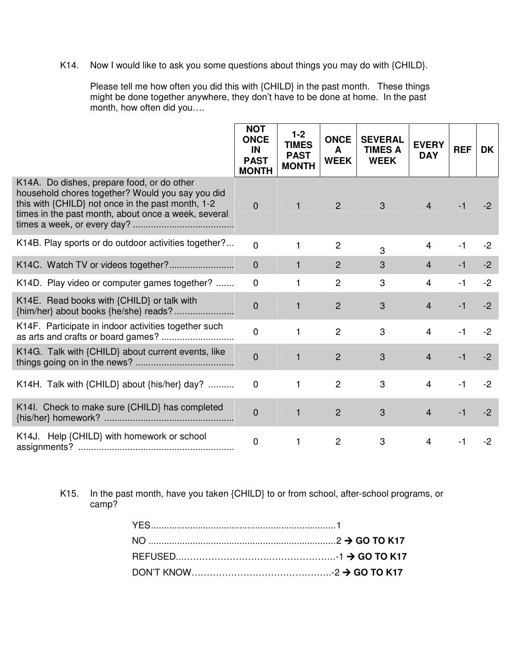K14. Now I would like to ask you some questions about things you may do with {CHILD}.

Please tell me how often you did this with {CHILD} in the past month. These things might be done together anywhere, they don't have to be done at home. In the past month, how often did you….

|                                                                                                                                                                                                            | <b>NOT</b><br><b>ONCE</b><br>IN<br><b>PAST</b><br><b>MONTH</b> | $1 - 2$<br><b>TIMES</b><br><b>PAST</b><br><b>MONTH</b> | <b>ONCE</b><br>A<br><b>WEEK</b> | <b>SEVERAL</b><br><b>TIMES A</b><br><b>WEEK</b> | <b>EVERY</b><br><b>DAY</b> | <b>REF</b> | <b>DK</b> |
|------------------------------------------------------------------------------------------------------------------------------------------------------------------------------------------------------------|----------------------------------------------------------------|--------------------------------------------------------|---------------------------------|-------------------------------------------------|----------------------------|------------|-----------|
| K14A. Do dishes, prepare food, or do other<br>household chores together? Would you say you did<br>this with {CHILD} not once in the past month, 1-2<br>times in the past month, about once a week, several | $\overline{0}$                                                 | $\mathbf{1}$                                           | $\overline{2}$                  | $\mathbf{3}$                                    | $\overline{4}$             | -1         | $-2$      |
| K14B. Play sports or do outdoor activities together?                                                                                                                                                       | $\overline{0}$                                                 | 1                                                      | $\overline{2}$                  | 3                                               | 4                          | $-1$       | $-2$      |
| K14C. Watch TV or videos together?                                                                                                                                                                         | $\mathbf{0}$                                                   | 1                                                      | 2                               | 3                                               | $\overline{4}$             | $-1$       | $-2$      |
| K14D. Play video or computer games together?                                                                                                                                                               | $\mathbf 0$                                                    | 1                                                      | $\overline{2}$                  | 3                                               | 4                          | $-1$       | $-2$      |
| K14E. Read books with {CHILD} or talk with                                                                                                                                                                 | $\overline{0}$                                                 | 1                                                      | $\overline{2}$                  | 3                                               | $\overline{4}$             | $-1$       | $-2$      |
| K14F. Participate in indoor activities together such                                                                                                                                                       | $\overline{0}$                                                 | 1                                                      | $\overline{2}$                  | 3                                               | $\overline{4}$             | $-1$       | $-2$      |
| K14G. Talk with {CHILD} about current events, like                                                                                                                                                         | $\overline{0}$                                                 | $\mathbf{1}$                                           | $\overline{2}$                  | 3                                               | $\overline{4}$             | $-1$       | $-2$      |
| K14H. Talk with {CHILD} about {his/her} day?                                                                                                                                                               | 0                                                              | 1                                                      | $\overline{c}$                  | 3                                               | $\overline{4}$             | $-1$       | $-2$      |
| K14I. Check to make sure {CHILD} has completed                                                                                                                                                             | $\overline{0}$                                                 | $\mathbf{1}$                                           | $\overline{2}$                  | 3                                               | $\overline{4}$             | $-1$       | $-2$      |
| K14J. Help {CHILD} with homework or school                                                                                                                                                                 | $\overline{0}$                                                 | 1                                                      | $\overline{2}$                  | 3                                               | $\overline{4}$             | $-1$       | $-2$      |

K15. In the past month, have you taken {CHILD} to or from school, after-school programs, or camp?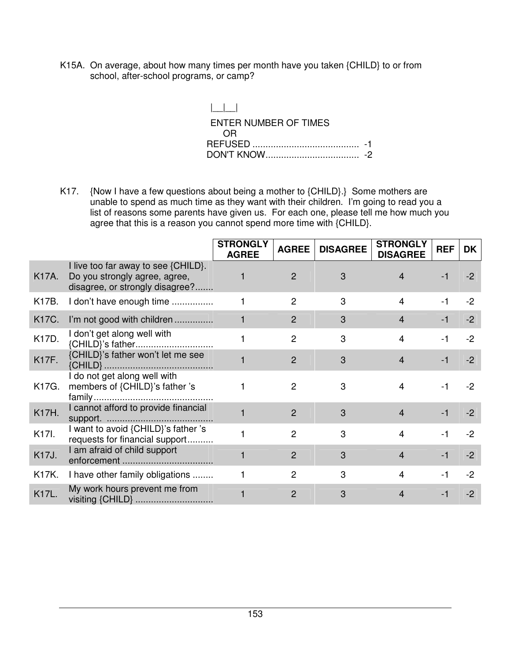K15A. On average, about how many times per month have you taken {CHILD} to or from school, after-school programs, or camp?

> $| \_|$  ENTER NUMBER OF TIMES OR REFUSED ......................................... -1 DON'T KNOW .................................... -2

K17. {Now I have a few questions about being a mother to {CHILD}.} Some mothers are unable to spend as much time as they want with their children. I'm going to read you a list of reasons some parents have given us. For each one, please tell me how much you agree that this is a reason you cannot spend more time with {CHILD}.

|              |                                                                                                         | <b>STRONGLY</b><br><b>AGREE</b> | <b>AGREE</b>   | <b>DISAGREE</b> | <b>STRONGLY</b><br><b>DISAGREE</b> | <b>REF</b> | <b>DK</b> |
|--------------|---------------------------------------------------------------------------------------------------------|---------------------------------|----------------|-----------------|------------------------------------|------------|-----------|
| K17A.        | I live too far away to see {CHILD}.<br>Do you strongly agree, agree,<br>disagree, or strongly disagree? |                                 | $\overline{2}$ | 3               | 4                                  | $-1$       | $-2$      |
| K17B.        | I don't have enough time                                                                                |                                 | $\overline{2}$ | 3               | $\overline{4}$                     | -1         | $-2$      |
| <b>K17C.</b> | I'm not good with children                                                                              |                                 | $\mathcal{P}$  | 3               | $\overline{4}$                     | -1         | $-2$      |
| <b>K17D.</b> | I don't get along well with<br>{CHILD}'s father                                                         |                                 | $\overline{2}$ | 3               | $\overline{4}$                     | -1         | -2        |
| <b>K17F.</b> | {CHILD}'s father won't let me see                                                                       |                                 | $\overline{2}$ | 3               | $\overline{4}$                     | $-1$       | $-2$      |
| K17G.        | I do not get along well with<br>members of {CHILD}'s father 's                                          |                                 | $\overline{2}$ | 3               | $\overline{4}$                     | -1         | $-2$      |
| <b>K17H.</b> | I cannot afford to provide financial                                                                    |                                 | $\overline{2}$ | 3               | $\overline{4}$                     | $-1$       | $-2$      |
| K17I.        | I want to avoid {CHILD}'s father 's<br>requests for financial support                                   |                                 | 2              | 3               | 4                                  |            | -2        |
| <b>K17J.</b> | I am afraid of child support                                                                            |                                 | $\mathcal{P}$  | 3               | $\overline{4}$                     | $-1$       | $-2$      |
| K17K.        | I have other family obligations                                                                         |                                 | $\overline{2}$ | 3               | $\overline{4}$                     | $-1$       | $-2$      |
| <b>K17L.</b> | My work hours prevent me from<br>visiting {CHILD}                                                       |                                 | 2              | 3               | 4                                  | $-1$       | $-2$      |